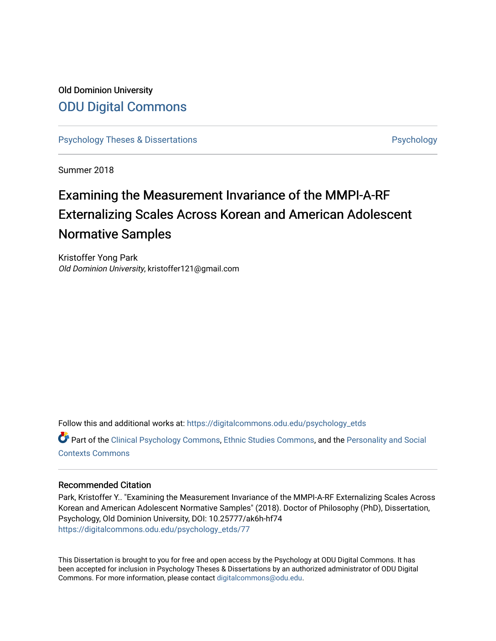# Old Dominion University [ODU Digital Commons](https://digitalcommons.odu.edu/)

[Psychology Theses & Dissertations](https://digitalcommons.odu.edu/psychology_etds) **Psychology** [Psychology](https://digitalcommons.odu.edu/psychology) **Psychology** 

Summer 2018

# Examining the Measurement Invariance of the MMPI-A-RF Externalizing Scales Across Korean and American Adolescent Normative Samples

Kristoffer Yong Park Old Dominion University, kristoffer121@gmail.com

Follow this and additional works at: [https://digitalcommons.odu.edu/psychology\\_etds](https://digitalcommons.odu.edu/psychology_etds?utm_source=digitalcommons.odu.edu%2Fpsychology_etds%2F77&utm_medium=PDF&utm_campaign=PDFCoverPages)

Part of the [Clinical Psychology Commons,](http://network.bepress.com/hgg/discipline/406?utm_source=digitalcommons.odu.edu%2Fpsychology_etds%2F77&utm_medium=PDF&utm_campaign=PDFCoverPages) [Ethnic Studies Commons](http://network.bepress.com/hgg/discipline/570?utm_source=digitalcommons.odu.edu%2Fpsychology_etds%2F77&utm_medium=PDF&utm_campaign=PDFCoverPages), and the [Personality and Social](http://network.bepress.com/hgg/discipline/413?utm_source=digitalcommons.odu.edu%2Fpsychology_etds%2F77&utm_medium=PDF&utm_campaign=PDFCoverPages)  [Contexts Commons](http://network.bepress.com/hgg/discipline/413?utm_source=digitalcommons.odu.edu%2Fpsychology_etds%2F77&utm_medium=PDF&utm_campaign=PDFCoverPages)

### Recommended Citation

Park, Kristoffer Y.. "Examining the Measurement Invariance of the MMPI-A-RF Externalizing Scales Across Korean and American Adolescent Normative Samples" (2018). Doctor of Philosophy (PhD), Dissertation, Psychology, Old Dominion University, DOI: 10.25777/ak6h-hf74 [https://digitalcommons.odu.edu/psychology\\_etds/77](https://digitalcommons.odu.edu/psychology_etds/77?utm_source=digitalcommons.odu.edu%2Fpsychology_etds%2F77&utm_medium=PDF&utm_campaign=PDFCoverPages) 

This Dissertation is brought to you for free and open access by the Psychology at ODU Digital Commons. It has been accepted for inclusion in Psychology Theses & Dissertations by an authorized administrator of ODU Digital Commons. For more information, please contact [digitalcommons@odu.edu](mailto:digitalcommons@odu.edu).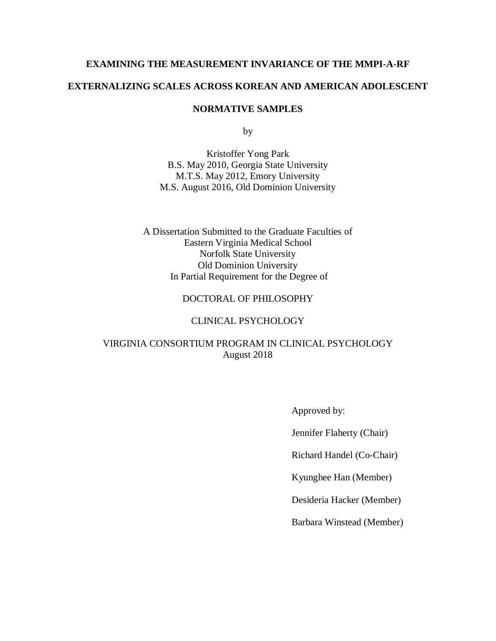### **EXAMINING THE MEASUREMENT INVARIANCE OF THE MMPI-A-RF**

# **EXTERNALIZING SCALES ACROSS KOREAN AND AMERICAN ADOLESCENT**

### **NORMATIVE SAMPLES**

by

Kristoffer Yong Park B.S. May 2010, Georgia State University M.T.S. May 2012, Emory University M.S. August 2016, Old Dominion University

A Dissertation Submitted to the Graduate Faculties of Eastern Virginia Medical School Norfolk State University Old Dominion University In Partial Requirement for the Degree of

# DOCTORAL OF PHILOSOPHY

# CLINICAL PSYCHOLOGY

# VIRGINIA CONSORTIUM PROGRAM IN CLINICAL PSYCHOLOGY August 2018

Approved by:

Jennifer Flaherty (Chair)

Richard Handel (Co-Chair)

Kyunghee Han (Member)

Desideria Hacker (Member)

Barbara Winstead (Member)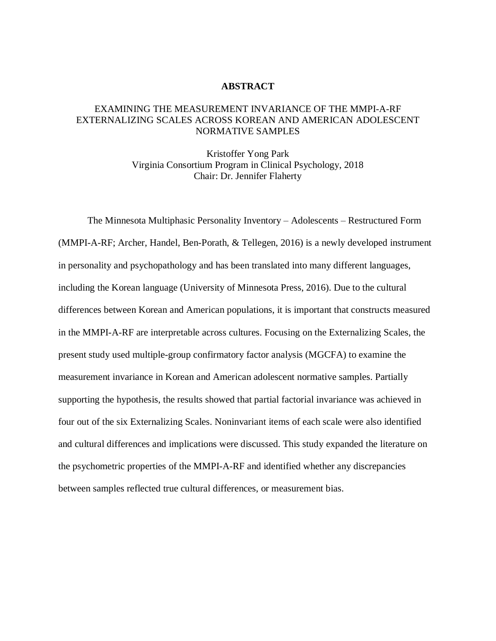### **ABSTRACT**

### EXAMINING THE MEASUREMENT INVARIANCE OF THE MMPI-A-RF EXTERNALIZING SCALES ACROSS KOREAN AND AMERICAN ADOLESCENT NORMATIVE SAMPLES

Kristoffer Yong Park Virginia Consortium Program in Clinical Psychology, 2018 Chair: Dr. Jennifer Flaherty

The Minnesota Multiphasic Personality Inventory – Adolescents – Restructured Form (MMPI-A-RF; Archer, Handel, Ben-Porath, & Tellegen, 2016) is a newly developed instrument in personality and psychopathology and has been translated into many different languages, including the Korean language (University of Minnesota Press, 2016). Due to the cultural differences between Korean and American populations, it is important that constructs measured in the MMPI-A-RF are interpretable across cultures. Focusing on the Externalizing Scales, the present study used multiple-group confirmatory factor analysis (MGCFA) to examine the measurement invariance in Korean and American adolescent normative samples. Partially supporting the hypothesis, the results showed that partial factorial invariance was achieved in four out of the six Externalizing Scales. Noninvariant items of each scale were also identified and cultural differences and implications were discussed. This study expanded the literature on the psychometric properties of the MMPI-A-RF and identified whether any discrepancies between samples reflected true cultural differences, or measurement bias.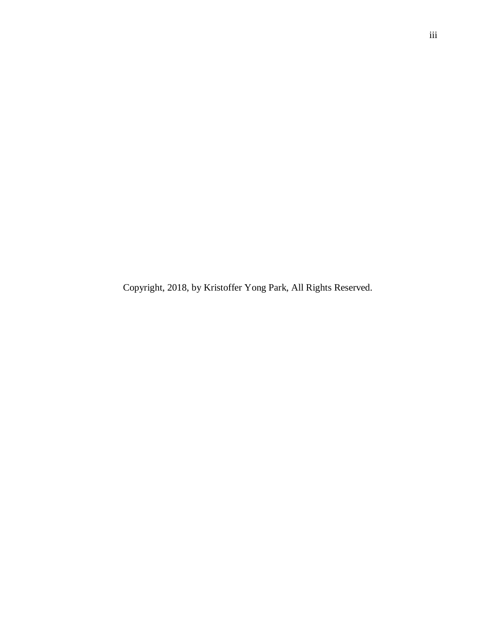Copyright, 2018, by Kristoffer Yong Park, All Rights Reserved.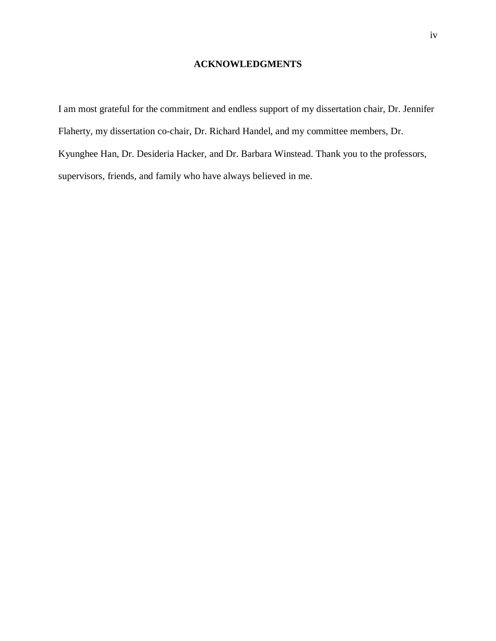# **ACKNOWLEDGMENTS**

I am most grateful for the commitment and endless support of my dissertation chair, Dr. Jennifer Flaherty, my dissertation co-chair, Dr. Richard Handel, and my committee members, Dr. Kyunghee Han, Dr. Desideria Hacker, and Dr. Barbara Winstead. Thank you to the professors, supervisors, friends, and family who have always believed in me.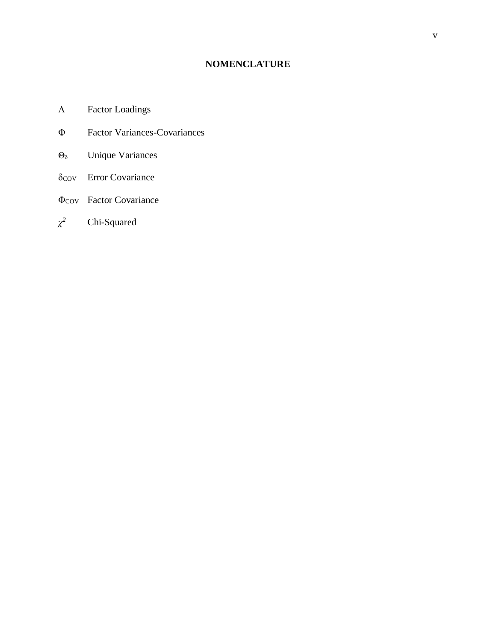# **NOMENCLATURE**

- Factor Loadings
- Φ Factor Variances-Covariances
- Θ<sub>δ</sub> Unique Variances
- δcov Error Covariance
- ΦCOV Factor Covariance
- *χ <sup>2</sup>* Chi-Squared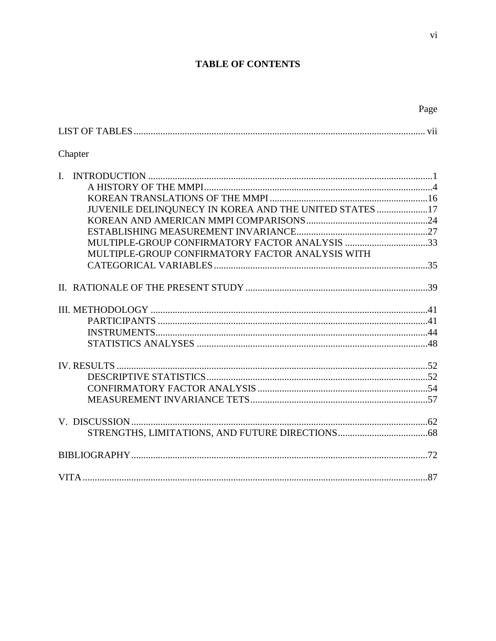# **TABLE OF CONTENTS**

|                                                        | Page |
|--------------------------------------------------------|------|
|                                                        |      |
| Chapter                                                |      |
| L.                                                     |      |
|                                                        |      |
|                                                        |      |
| JUVENILE DELINQUNECY IN KOREA AND THE UNITED STATES 17 |      |
|                                                        |      |
| MULTIPLE-GROUP CONFIRMATORY FACTOR ANALYSIS 33         |      |
|                                                        |      |
| MULTIPLE-GROUP CONFIRMATORY FACTOR ANALYSIS WITH       |      |
|                                                        |      |
|                                                        |      |
|                                                        |      |
|                                                        |      |
|                                                        |      |
|                                                        |      |
|                                                        |      |
|                                                        |      |

|   | ۰. |
|---|----|
|   |    |
|   |    |
| ۰ |    |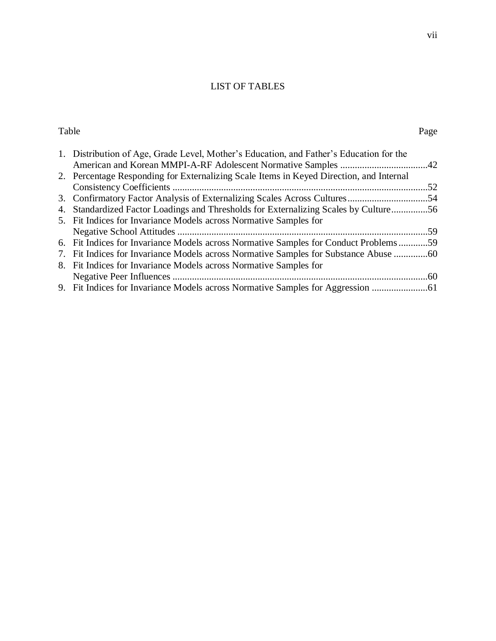# LIST OF TABLES

| Table |                                                                                         | Page |
|-------|-----------------------------------------------------------------------------------------|------|
|       | 1. Distribution of Age, Grade Level, Mother's Education, and Father's Education for the |      |
|       |                                                                                         |      |
|       | 2. Percentage Responding for Externalizing Scale Items in Keyed Direction, and Internal |      |
|       |                                                                                         |      |
|       |                                                                                         |      |
|       | 4. Standardized Factor Loadings and Thresholds for Externalizing Scales by Culture56    |      |
|       | 5. Fit Indices for Invariance Models across Normative Samples for                       |      |
|       |                                                                                         |      |
|       | 6. Fit Indices for Invariance Models across Normative Samples for Conduct Problems59    |      |
|       | 7. Fit Indices for Invariance Models across Normative Samples for Substance Abuse       |      |
|       | 8. Fit Indices for Invariance Models across Normative Samples for                       |      |
|       |                                                                                         |      |
|       | 9. Fit Indices for Invariance Models across Normative Samples for Aggression            |      |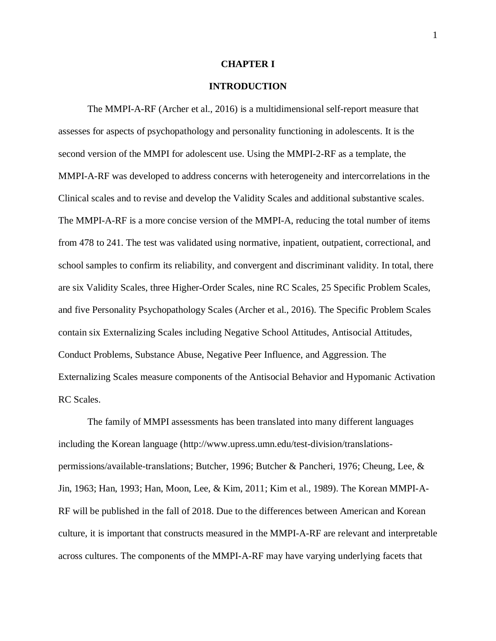#### **CHAPTER I**

### **INTRODUCTION**

The MMPI-A-RF (Archer et al., 2016) is a multidimensional self-report measure that assesses for aspects of psychopathology and personality functioning in adolescents. It is the second version of the MMPI for adolescent use. Using the MMPI-2-RF as a template, the MMPI-A-RF was developed to address concerns with heterogeneity and intercorrelations in the Clinical scales and to revise and develop the Validity Scales and additional substantive scales. The MMPI-A-RF is a more concise version of the MMPI-A, reducing the total number of items from 478 to 241. The test was validated using normative, inpatient, outpatient, correctional, and school samples to confirm its reliability, and convergent and discriminant validity. In total, there are six Validity Scales, three Higher-Order Scales, nine RC Scales, 25 Specific Problem Scales, and five Personality Psychopathology Scales (Archer et al., 2016). The Specific Problem Scales contain six Externalizing Scales including Negative School Attitudes, Antisocial Attitudes, Conduct Problems, Substance Abuse, Negative Peer Influence, and Aggression. The Externalizing Scales measure components of the Antisocial Behavior and Hypomanic Activation RC Scales.

The family of MMPI assessments has been translated into many different languages including the Korean language [\(http://www.upress.umn.edu/test-division/translations](http://www.upress.umn.edu/test-division/translations-permissions/available-translations)[permissions/available-translations;](http://www.upress.umn.edu/test-division/translations-permissions/available-translations) Butcher, 1996; Butcher & Pancheri, 1976; Cheung, Lee, & Jin, 1963; Han, 1993; Han, Moon, Lee, & Kim, 2011; Kim et al., 1989). The Korean MMPI-A-RF will be published in the fall of 2018. Due to the differences between American and Korean culture, it is important that constructs measured in the MMPI-A-RF are relevant and interpretable across cultures. The components of the MMPI-A-RF may have varying underlying facets that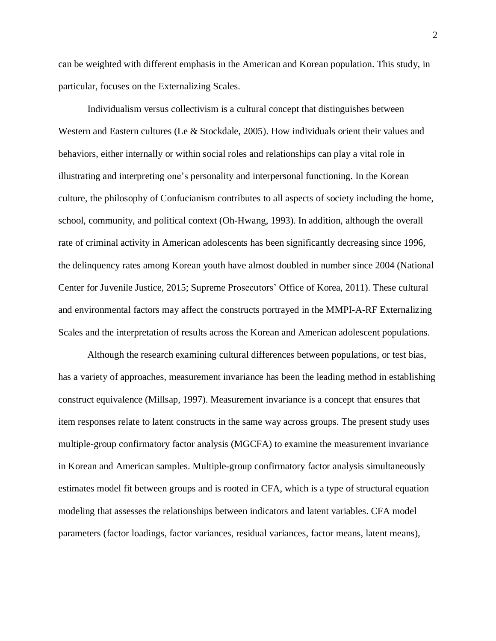can be weighted with different emphasis in the American and Korean population. This study, in particular, focuses on the Externalizing Scales.

Individualism versus collectivism is a cultural concept that distinguishes between Western and Eastern cultures (Le & Stockdale, 2005). How individuals orient their values and behaviors, either internally or within social roles and relationships can play a vital role in illustrating and interpreting one's personality and interpersonal functioning. In the Korean culture, the philosophy of Confucianism contributes to all aspects of society including the home, school, community, and political context (Oh-Hwang, 1993). In addition, although the overall rate of criminal activity in American adolescents has been significantly decreasing since 1996, the delinquency rates among Korean youth have almost doubled in number since 2004 (National Center for Juvenile Justice, 2015; Supreme Prosecutors' Office of Korea, 2011). These cultural and environmental factors may affect the constructs portrayed in the MMPI-A-RF Externalizing Scales and the interpretation of results across the Korean and American adolescent populations.

Although the research examining cultural differences between populations, or test bias, has a variety of approaches, measurement invariance has been the leading method in establishing construct equivalence (Millsap, 1997). Measurement invariance is a concept that ensures that item responses relate to latent constructs in the same way across groups. The present study uses multiple-group confirmatory factor analysis (MGCFA) to examine the measurement invariance in Korean and American samples. Multiple-group confirmatory factor analysis simultaneously estimates model fit between groups and is rooted in CFA, which is a type of structural equation modeling that assesses the relationships between indicators and latent variables. CFA model parameters (factor loadings, factor variances, residual variances, factor means, latent means),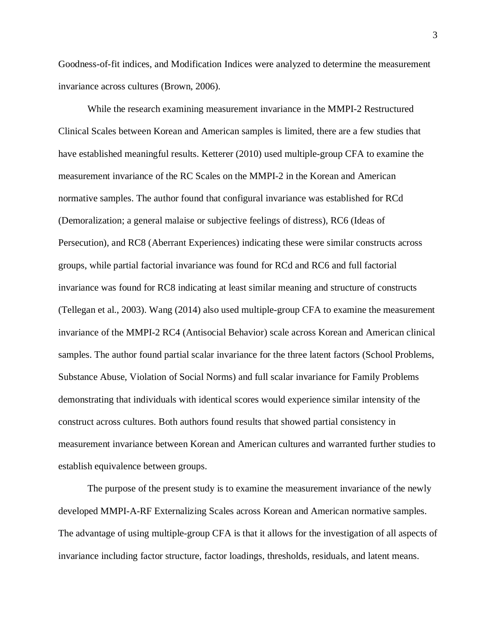Goodness-of-fit indices, and Modification Indices were analyzed to determine the measurement invariance across cultures (Brown, 2006).

While the research examining measurement invariance in the MMPI-2 Restructured Clinical Scales between Korean and American samples is limited, there are a few studies that have established meaningful results. Ketterer (2010) used multiple-group CFA to examine the measurement invariance of the RC Scales on the MMPI-2 in the Korean and American normative samples. The author found that configural invariance was established for RCd (Demoralization; a general malaise or subjective feelings of distress), RC6 (Ideas of Persecution), and RC8 (Aberrant Experiences) indicating these were similar constructs across groups, while partial factorial invariance was found for RCd and RC6 and full factorial invariance was found for RC8 indicating at least similar meaning and structure of constructs (Tellegan et al., 2003). Wang (2014) also used multiple-group CFA to examine the measurement invariance of the MMPI-2 RC4 (Antisocial Behavior) scale across Korean and American clinical samples. The author found partial scalar invariance for the three latent factors (School Problems, Substance Abuse, Violation of Social Norms) and full scalar invariance for Family Problems demonstrating that individuals with identical scores would experience similar intensity of the construct across cultures. Both authors found results that showed partial consistency in measurement invariance between Korean and American cultures and warranted further studies to establish equivalence between groups.

The purpose of the present study is to examine the measurement invariance of the newly developed MMPI-A-RF Externalizing Scales across Korean and American normative samples. The advantage of using multiple-group CFA is that it allows for the investigation of all aspects of invariance including factor structure, factor loadings, thresholds, residuals, and latent means.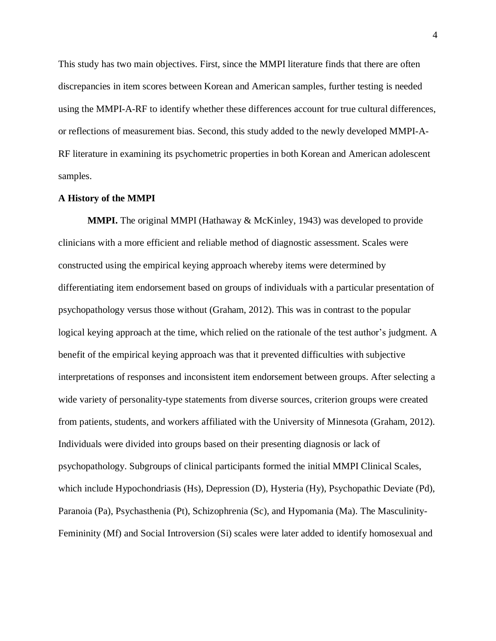This study has two main objectives. First, since the MMPI literature finds that there are often discrepancies in item scores between Korean and American samples, further testing is needed using the MMPI-A-RF to identify whether these differences account for true cultural differences, or reflections of measurement bias. Second, this study added to the newly developed MMPI-A-RF literature in examining its psychometric properties in both Korean and American adolescent samples.

### **A History of the MMPI**

**MMPI.** The original MMPI (Hathaway & McKinley, 1943) was developed to provide clinicians with a more efficient and reliable method of diagnostic assessment. Scales were constructed using the empirical keying approach whereby items were determined by differentiating item endorsement based on groups of individuals with a particular presentation of psychopathology versus those without (Graham, 2012). This was in contrast to the popular logical keying approach at the time, which relied on the rationale of the test author's judgment. A benefit of the empirical keying approach was that it prevented difficulties with subjective interpretations of responses and inconsistent item endorsement between groups. After selecting a wide variety of personality-type statements from diverse sources, criterion groups were created from patients, students, and workers affiliated with the University of Minnesota (Graham, 2012). Individuals were divided into groups based on their presenting diagnosis or lack of psychopathology. Subgroups of clinical participants formed the initial MMPI Clinical Scales, which include Hypochondriasis (Hs), Depression (D), Hysteria (Hy), Psychopathic Deviate (Pd), Paranoia (Pa), Psychasthenia (Pt), Schizophrenia (Sc), and Hypomania (Ma). The Masculinity-Femininity (Mf) and Social Introversion (Si) scales were later added to identify homosexual and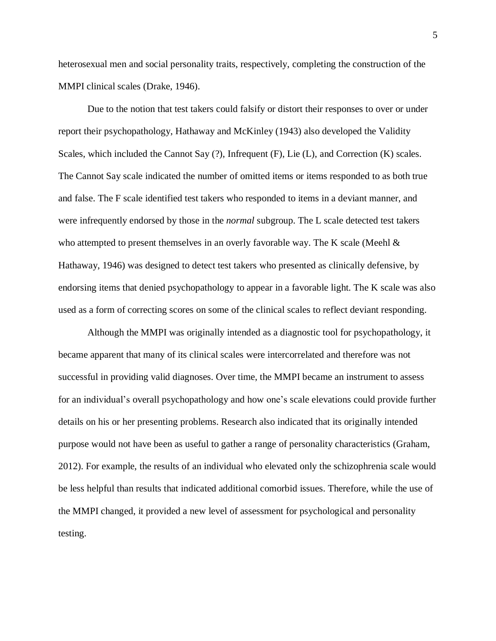heterosexual men and social personality traits, respectively, completing the construction of the MMPI clinical scales (Drake, 1946).

Due to the notion that test takers could falsify or distort their responses to over or under report their psychopathology, Hathaway and McKinley (1943) also developed the Validity Scales, which included the Cannot Say (?), Infrequent (F), Lie (L), and Correction (K) scales. The Cannot Say scale indicated the number of omitted items or items responded to as both true and false. The F scale identified test takers who responded to items in a deviant manner, and were infrequently endorsed by those in the *normal* subgroup. The L scale detected test takers who attempted to present themselves in an overly favorable way. The K scale (Meehl & Hathaway, 1946) was designed to detect test takers who presented as clinically defensive, by endorsing items that denied psychopathology to appear in a favorable light. The K scale was also used as a form of correcting scores on some of the clinical scales to reflect deviant responding.

Although the MMPI was originally intended as a diagnostic tool for psychopathology, it became apparent that many of its clinical scales were intercorrelated and therefore was not successful in providing valid diagnoses. Over time, the MMPI became an instrument to assess for an individual's overall psychopathology and how one's scale elevations could provide further details on his or her presenting problems. Research also indicated that its originally intended purpose would not have been as useful to gather a range of personality characteristics (Graham, 2012). For example, the results of an individual who elevated only the schizophrenia scale would be less helpful than results that indicated additional comorbid issues. Therefore, while the use of the MMPI changed, it provided a new level of assessment for psychological and personality testing.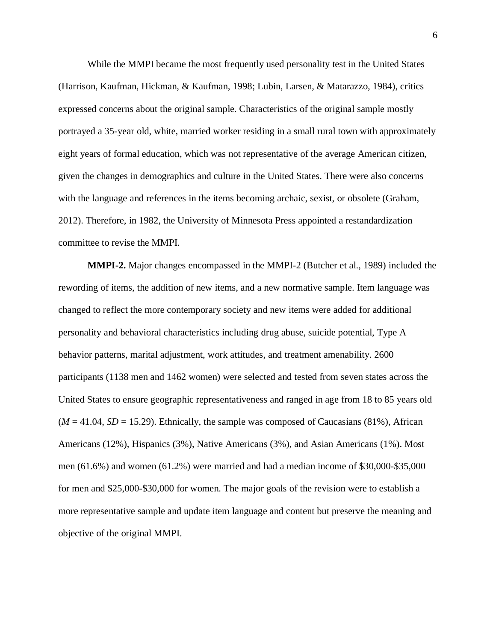While the MMPI became the most frequently used personality test in the United States (Harrison, Kaufman, Hickman, & Kaufman, 1998; Lubin, Larsen, & Matarazzo, 1984), critics expressed concerns about the original sample. Characteristics of the original sample mostly portrayed a 35-year old, white, married worker residing in a small rural town with approximately eight years of formal education, which was not representative of the average American citizen, given the changes in demographics and culture in the United States. There were also concerns with the language and references in the items becoming archaic, sexist, or obsolete (Graham, 2012). Therefore, in 1982, the University of Minnesota Press appointed a restandardization committee to revise the MMPI.

**MMPI-2.** Major changes encompassed in the MMPI-2 (Butcher et al., 1989) included the rewording of items, the addition of new items, and a new normative sample. Item language was changed to reflect the more contemporary society and new items were added for additional personality and behavioral characteristics including drug abuse, suicide potential, Type A behavior patterns, marital adjustment, work attitudes, and treatment amenability. 2600 participants (1138 men and 1462 women) were selected and tested from seven states across the United States to ensure geographic representativeness and ranged in age from 18 to 85 years old  $(M = 41.04, SD = 15.29)$ . Ethnically, the sample was composed of Caucasians (81%), African Americans (12%), Hispanics (3%), Native Americans (3%), and Asian Americans (1%). Most men (61.6%) and women (61.2%) were married and had a median income of \$30,000-\$35,000 for men and \$25,000-\$30,000 for women. The major goals of the revision were to establish a more representative sample and update item language and content but preserve the meaning and objective of the original MMPI.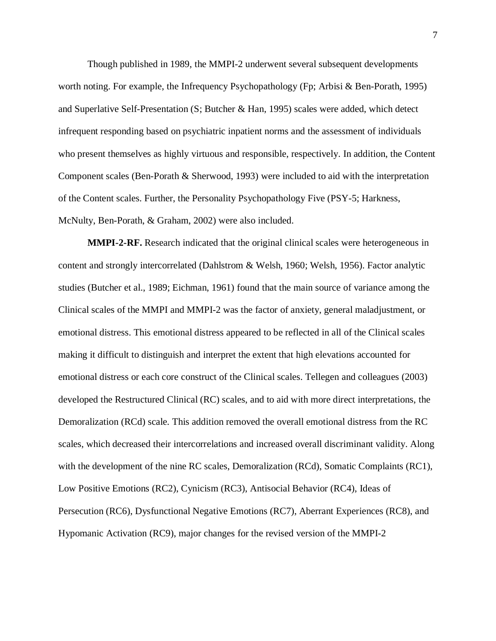Though published in 1989, the MMPI-2 underwent several subsequent developments worth noting. For example, the Infrequency Psychopathology (Fp; Arbisi & Ben-Porath, 1995) and Superlative Self-Presentation (S; Butcher & Han, 1995) scales were added, which detect infrequent responding based on psychiatric inpatient norms and the assessment of individuals who present themselves as highly virtuous and responsible, respectively. In addition, the Content Component scales (Ben-Porath & Sherwood, 1993) were included to aid with the interpretation of the Content scales. Further, the Personality Psychopathology Five (PSY-5; Harkness, McNulty, Ben-Porath, & Graham, 2002) were also included.

**MMPI-2-RF.** Research indicated that the original clinical scales were heterogeneous in content and strongly intercorrelated (Dahlstrom & Welsh, 1960; Welsh, 1956). Factor analytic studies (Butcher et al., 1989; Eichman, 1961) found that the main source of variance among the Clinical scales of the MMPI and MMPI-2 was the factor of anxiety, general maladjustment, or emotional distress. This emotional distress appeared to be reflected in all of the Clinical scales making it difficult to distinguish and interpret the extent that high elevations accounted for emotional distress or each core construct of the Clinical scales. Tellegen and colleagues (2003) developed the Restructured Clinical (RC) scales, and to aid with more direct interpretations, the Demoralization (RCd) scale. This addition removed the overall emotional distress from the RC scales, which decreased their intercorrelations and increased overall discriminant validity. Along with the development of the nine RC scales, Demoralization (RCd), Somatic Complaints (RC1), Low Positive Emotions (RC2), Cynicism (RC3), Antisocial Behavior (RC4), Ideas of Persecution (RC6), Dysfunctional Negative Emotions (RC7), Aberrant Experiences (RC8), and Hypomanic Activation (RC9), major changes for the revised version of the MMPI-2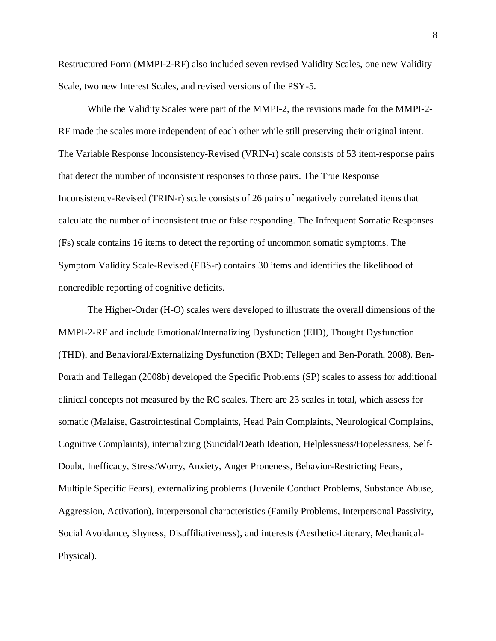Restructured Form (MMPI-2-RF) also included seven revised Validity Scales, one new Validity Scale, two new Interest Scales, and revised versions of the PSY-5.

While the Validity Scales were part of the MMPI-2, the revisions made for the MMPI-2- RF made the scales more independent of each other while still preserving their original intent. The Variable Response Inconsistency-Revised (VRIN-r) scale consists of 53 item-response pairs that detect the number of inconsistent responses to those pairs. The True Response Inconsistency-Revised (TRIN-r) scale consists of 26 pairs of negatively correlated items that calculate the number of inconsistent true or false responding. The Infrequent Somatic Responses (Fs) scale contains 16 items to detect the reporting of uncommon somatic symptoms. The Symptom Validity Scale-Revised (FBS-r) contains 30 items and identifies the likelihood of noncredible reporting of cognitive deficits.

The Higher-Order (H-O) scales were developed to illustrate the overall dimensions of the MMPI-2-RF and include Emotional/Internalizing Dysfunction (EID), Thought Dysfunction (THD), and Behavioral/Externalizing Dysfunction (BXD; Tellegen and Ben-Porath, 2008). Ben-Porath and Tellegan (2008b) developed the Specific Problems (SP) scales to assess for additional clinical concepts not measured by the RC scales. There are 23 scales in total, which assess for somatic (Malaise, Gastrointestinal Complaints, Head Pain Complaints, Neurological Complains, Cognitive Complaints), internalizing (Suicidal/Death Ideation, Helplessness/Hopelessness, Self-Doubt, Inefficacy, Stress/Worry, Anxiety, Anger Proneness, Behavior-Restricting Fears, Multiple Specific Fears), externalizing problems (Juvenile Conduct Problems, Substance Abuse, Aggression, Activation), interpersonal characteristics (Family Problems, Interpersonal Passivity, Social Avoidance, Shyness, Disaffiliativeness), and interests (Aesthetic-Literary, Mechanical-Physical).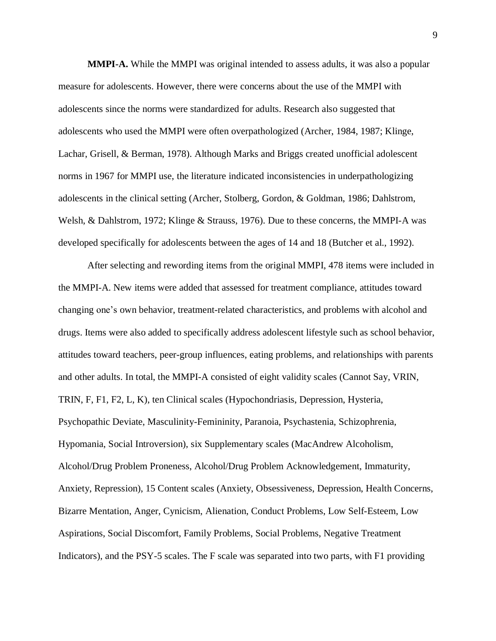**MMPI-A.** While the MMPI was original intended to assess adults, it was also a popular measure for adolescents. However, there were concerns about the use of the MMPI with adolescents since the norms were standardized for adults. Research also suggested that adolescents who used the MMPI were often overpathologized (Archer, 1984, 1987; Klinge, Lachar, Grisell, & Berman, 1978). Although Marks and Briggs created unofficial adolescent norms in 1967 for MMPI use, the literature indicated inconsistencies in underpathologizing adolescents in the clinical setting (Archer, Stolberg, Gordon, & Goldman, 1986; Dahlstrom, Welsh, & Dahlstrom, 1972; Klinge & Strauss, 1976). Due to these concerns, the MMPI-A was developed specifically for adolescents between the ages of 14 and 18 (Butcher et al., 1992).

After selecting and rewording items from the original MMPI, 478 items were included in the MMPI-A. New items were added that assessed for treatment compliance, attitudes toward changing one's own behavior, treatment-related characteristics, and problems with alcohol and drugs. Items were also added to specifically address adolescent lifestyle such as school behavior, attitudes toward teachers, peer-group influences, eating problems, and relationships with parents and other adults. In total, the MMPI-A consisted of eight validity scales (Cannot Say, VRIN, TRIN, F, F1, F2, L, K), ten Clinical scales (Hypochondriasis, Depression, Hysteria, Psychopathic Deviate, Masculinity-Femininity, Paranoia, Psychastenia, Schizophrenia, Hypomania, Social Introversion), six Supplementary scales (MacAndrew Alcoholism, Alcohol/Drug Problem Proneness, Alcohol/Drug Problem Acknowledgement, Immaturity, Anxiety, Repression), 15 Content scales (Anxiety, Obsessiveness, Depression, Health Concerns, Bizarre Mentation, Anger, Cynicism, Alienation, Conduct Problems, Low Self-Esteem, Low Aspirations, Social Discomfort, Family Problems, Social Problems, Negative Treatment Indicators), and the PSY-5 scales. The F scale was separated into two parts, with F1 providing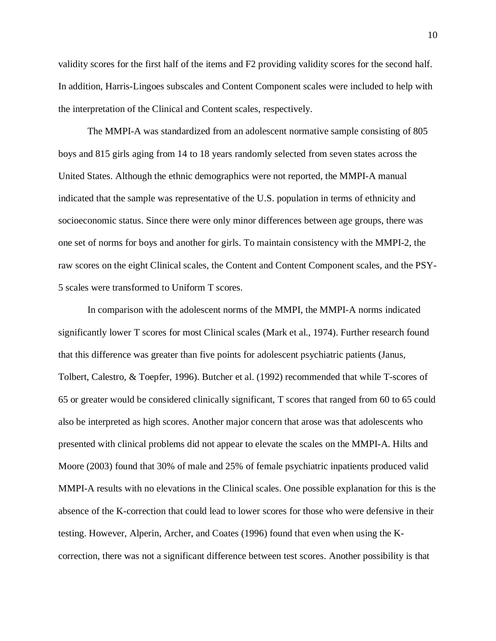validity scores for the first half of the items and F2 providing validity scores for the second half. In addition, Harris-Lingoes subscales and Content Component scales were included to help with the interpretation of the Clinical and Content scales, respectively.

The MMPI-A was standardized from an adolescent normative sample consisting of 805 boys and 815 girls aging from 14 to 18 years randomly selected from seven states across the United States. Although the ethnic demographics were not reported, the MMPI-A manual indicated that the sample was representative of the U.S. population in terms of ethnicity and socioeconomic status. Since there were only minor differences between age groups, there was one set of norms for boys and another for girls. To maintain consistency with the MMPI-2, the raw scores on the eight Clinical scales, the Content and Content Component scales, and the PSY-5 scales were transformed to Uniform T scores.

In comparison with the adolescent norms of the MMPI, the MMPI-A norms indicated significantly lower T scores for most Clinical scales (Mark et al., 1974). Further research found that this difference was greater than five points for adolescent psychiatric patients (Janus, Tolbert, Calestro, & Toepfer, 1996). Butcher et al. (1992) recommended that while T-scores of 65 or greater would be considered clinically significant, T scores that ranged from 60 to 65 could also be interpreted as high scores. Another major concern that arose was that adolescents who presented with clinical problems did not appear to elevate the scales on the MMPI-A. Hilts and Moore (2003) found that 30% of male and 25% of female psychiatric inpatients produced valid MMPI-A results with no elevations in the Clinical scales. One possible explanation for this is the absence of the K-correction that could lead to lower scores for those who were defensive in their testing. However, Alperin, Archer, and Coates (1996) found that even when using the Kcorrection, there was not a significant difference between test scores. Another possibility is that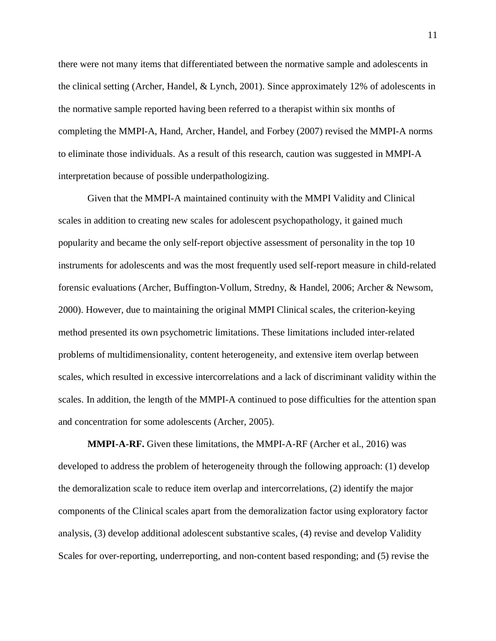there were not many items that differentiated between the normative sample and adolescents in the clinical setting (Archer, Handel, & Lynch, 2001). Since approximately 12% of adolescents in the normative sample reported having been referred to a therapist within six months of completing the MMPI-A, Hand, Archer, Handel, and Forbey (2007) revised the MMPI-A norms to eliminate those individuals. As a result of this research, caution was suggested in MMPI-A interpretation because of possible underpathologizing.

Given that the MMPI-A maintained continuity with the MMPI Validity and Clinical scales in addition to creating new scales for adolescent psychopathology, it gained much popularity and became the only self-report objective assessment of personality in the top 10 instruments for adolescents and was the most frequently used self-report measure in child-related forensic evaluations (Archer, Buffington-Vollum, Stredny, & Handel, 2006; Archer & Newsom, 2000). However, due to maintaining the original MMPI Clinical scales, the criterion-keying method presented its own psychometric limitations. These limitations included inter-related problems of multidimensionality, content heterogeneity, and extensive item overlap between scales, which resulted in excessive intercorrelations and a lack of discriminant validity within the scales. In addition, the length of the MMPI-A continued to pose difficulties for the attention span and concentration for some adolescents (Archer, 2005).

**MMPI-A-RF.** Given these limitations, the MMPI-A-RF (Archer et al., 2016) was developed to address the problem of heterogeneity through the following approach: (1) develop the demoralization scale to reduce item overlap and intercorrelations, (2) identify the major components of the Clinical scales apart from the demoralization factor using exploratory factor analysis, (3) develop additional adolescent substantive scales, (4) revise and develop Validity Scales for over-reporting, underreporting, and non-content based responding; and (5) revise the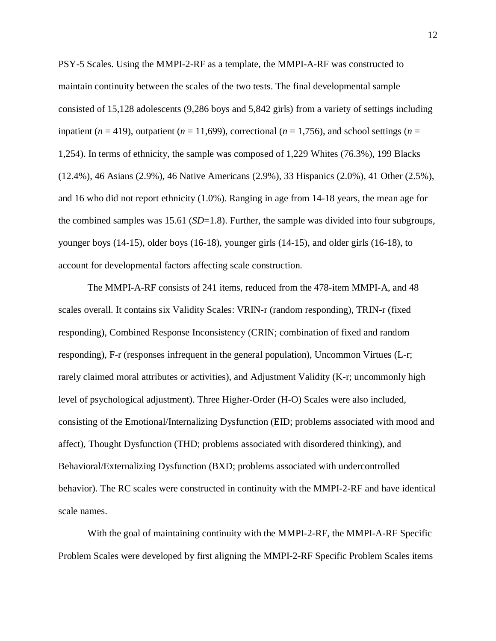PSY-5 Scales. Using the MMPI-2-RF as a template, the MMPI-A-RF was constructed to maintain continuity between the scales of the two tests. The final developmental sample consisted of 15,128 adolescents (9,286 boys and 5,842 girls) from a variety of settings including inpatient ( $n = 419$ ), outpatient ( $n = 11,699$ ), correctional ( $n = 1,756$ ), and school settings ( $n =$ 1,254). In terms of ethnicity, the sample was composed of 1,229 Whites (76.3%), 199 Blacks (12.4%), 46 Asians (2.9%), 46 Native Americans (2.9%), 33 Hispanics (2.0%), 41 Other (2.5%), and 16 who did not report ethnicity (1.0%). Ranging in age from 14-18 years, the mean age for the combined samples was 15.61 (*SD*=1.8). Further, the sample was divided into four subgroups, younger boys (14-15), older boys (16-18), younger girls (14-15), and older girls (16-18), to account for developmental factors affecting scale construction.

The MMPI-A-RF consists of 241 items, reduced from the 478-item MMPI-A, and 48 scales overall. It contains six Validity Scales: VRIN-r (random responding), TRIN-r (fixed responding), Combined Response Inconsistency (CRIN; combination of fixed and random responding), F-r (responses infrequent in the general population), Uncommon Virtues (L-r; rarely claimed moral attributes or activities), and Adjustment Validity (K-r; uncommonly high level of psychological adjustment). Three Higher-Order (H-O) Scales were also included, consisting of the Emotional/Internalizing Dysfunction (EID; problems associated with mood and affect), Thought Dysfunction (THD; problems associated with disordered thinking), and Behavioral/Externalizing Dysfunction (BXD; problems associated with undercontrolled behavior). The RC scales were constructed in continuity with the MMPI-2-RF and have identical scale names.

With the goal of maintaining continuity with the MMPI-2-RF, the MMPI-A-RF Specific Problem Scales were developed by first aligning the MMPI-2-RF Specific Problem Scales items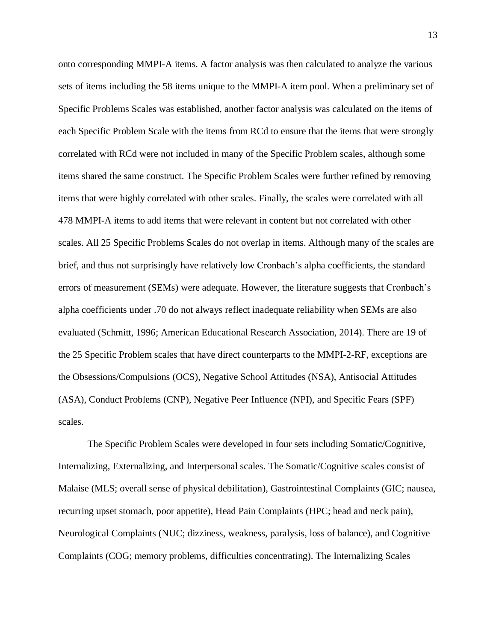onto corresponding MMPI-A items. A factor analysis was then calculated to analyze the various sets of items including the 58 items unique to the MMPI-A item pool. When a preliminary set of Specific Problems Scales was established, another factor analysis was calculated on the items of each Specific Problem Scale with the items from RCd to ensure that the items that were strongly correlated with RCd were not included in many of the Specific Problem scales, although some items shared the same construct. The Specific Problem Scales were further refined by removing items that were highly correlated with other scales. Finally, the scales were correlated with all 478 MMPI-A items to add items that were relevant in content but not correlated with other scales. All 25 Specific Problems Scales do not overlap in items. Although many of the scales are brief, and thus not surprisingly have relatively low Cronbach's alpha coefficients, the standard errors of measurement (SEMs) were adequate. However, the literature suggests that Cronbach's alpha coefficients under .70 do not always reflect inadequate reliability when SEMs are also evaluated (Schmitt, 1996; American Educational Research Association, 2014). There are 19 of the 25 Specific Problem scales that have direct counterparts to the MMPI-2-RF, exceptions are the Obsessions/Compulsions (OCS), Negative School Attitudes (NSA), Antisocial Attitudes (ASA), Conduct Problems (CNP), Negative Peer Influence (NPI), and Specific Fears (SPF) scales.

The Specific Problem Scales were developed in four sets including Somatic/Cognitive, Internalizing, Externalizing, and Interpersonal scales. The Somatic/Cognitive scales consist of Malaise (MLS; overall sense of physical debilitation), Gastrointestinal Complaints (GIC; nausea, recurring upset stomach, poor appetite), Head Pain Complaints (HPC; head and neck pain), Neurological Complaints (NUC; dizziness, weakness, paralysis, loss of balance), and Cognitive Complaints (COG; memory problems, difficulties concentrating). The Internalizing Scales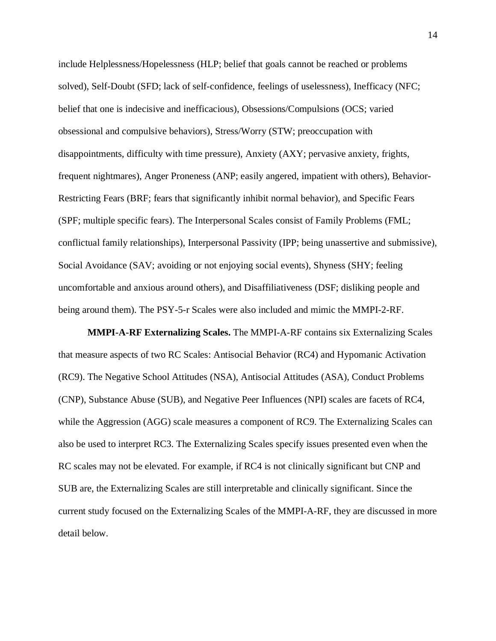include Helplessness/Hopelessness (HLP; belief that goals cannot be reached or problems solved), Self-Doubt (SFD; lack of self-confidence, feelings of uselessness), Inefficacy (NFC; belief that one is indecisive and inefficacious), Obsessions/Compulsions (OCS; varied obsessional and compulsive behaviors), Stress/Worry (STW; preoccupation with disappointments, difficulty with time pressure), Anxiety (AXY; pervasive anxiety, frights, frequent nightmares), Anger Proneness (ANP; easily angered, impatient with others), Behavior-Restricting Fears (BRF; fears that significantly inhibit normal behavior), and Specific Fears (SPF; multiple specific fears). The Interpersonal Scales consist of Family Problems (FML; conflictual family relationships), Interpersonal Passivity (IPP; being unassertive and submissive), Social Avoidance (SAV; avoiding or not enjoying social events), Shyness (SHY; feeling uncomfortable and anxious around others), and Disaffiliativeness (DSF; disliking people and being around them). The PSY-5-r Scales were also included and mimic the MMPI-2-RF.

**MMPI-A-RF Externalizing Scales.** The MMPI-A-RF contains six Externalizing Scales that measure aspects of two RC Scales: Antisocial Behavior (RC4) and Hypomanic Activation (RC9). The Negative School Attitudes (NSA), Antisocial Attitudes (ASA), Conduct Problems (CNP), Substance Abuse (SUB), and Negative Peer Influences (NPI) scales are facets of RC4, while the Aggression (AGG) scale measures a component of RC9. The Externalizing Scales can also be used to interpret RC3. The Externalizing Scales specify issues presented even when the RC scales may not be elevated. For example, if RC4 is not clinically significant but CNP and SUB are, the Externalizing Scales are still interpretable and clinically significant. Since the current study focused on the Externalizing Scales of the MMPI-A-RF, they are discussed in more detail below.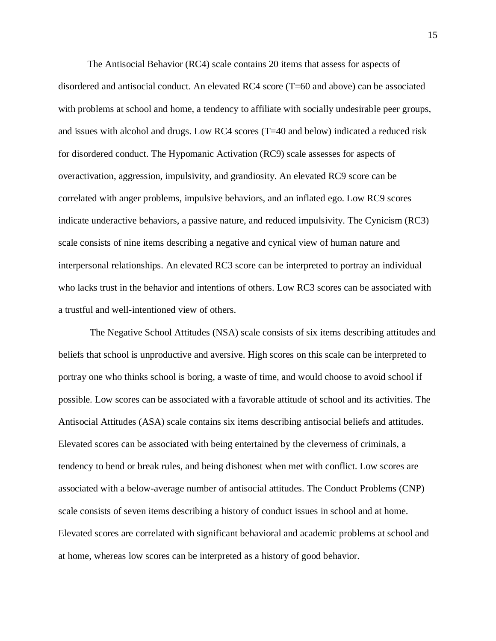The Antisocial Behavior (RC4) scale contains 20 items that assess for aspects of disordered and antisocial conduct. An elevated RC4 score (T=60 and above) can be associated with problems at school and home, a tendency to affiliate with socially undesirable peer groups, and issues with alcohol and drugs. Low RC4 scores (T=40 and below) indicated a reduced risk for disordered conduct. The Hypomanic Activation (RC9) scale assesses for aspects of overactivation, aggression, impulsivity, and grandiosity. An elevated RC9 score can be correlated with anger problems, impulsive behaviors, and an inflated ego. Low RC9 scores indicate underactive behaviors, a passive nature, and reduced impulsivity. The Cynicism (RC3) scale consists of nine items describing a negative and cynical view of human nature and interpersonal relationships. An elevated RC3 score can be interpreted to portray an individual who lacks trust in the behavior and intentions of others. Low RC3 scores can be associated with a trustful and well-intentioned view of others.

The Negative School Attitudes (NSA) scale consists of six items describing attitudes and beliefs that school is unproductive and aversive. High scores on this scale can be interpreted to portray one who thinks school is boring, a waste of time, and would choose to avoid school if possible. Low scores can be associated with a favorable attitude of school and its activities. The Antisocial Attitudes (ASA) scale contains six items describing antisocial beliefs and attitudes. Elevated scores can be associated with being entertained by the cleverness of criminals, a tendency to bend or break rules, and being dishonest when met with conflict. Low scores are associated with a below-average number of antisocial attitudes. The Conduct Problems (CNP) scale consists of seven items describing a history of conduct issues in school and at home. Elevated scores are correlated with significant behavioral and academic problems at school and at home, whereas low scores can be interpreted as a history of good behavior.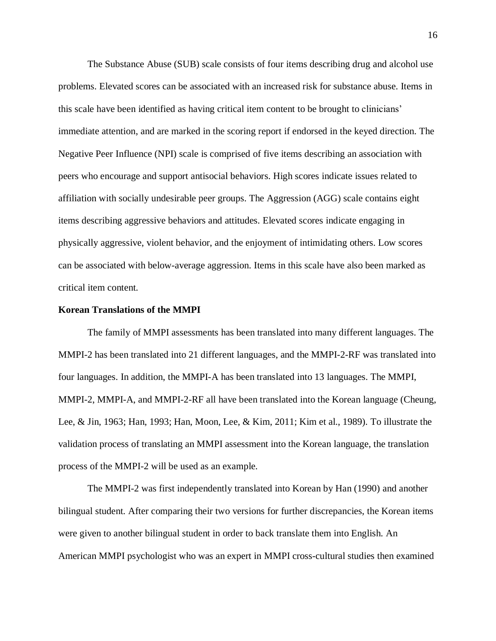The Substance Abuse (SUB) scale consists of four items describing drug and alcohol use problems. Elevated scores can be associated with an increased risk for substance abuse. Items in this scale have been identified as having critical item content to be brought to clinicians' immediate attention, and are marked in the scoring report if endorsed in the keyed direction. The Negative Peer Influence (NPI) scale is comprised of five items describing an association with peers who encourage and support antisocial behaviors. High scores indicate issues related to affiliation with socially undesirable peer groups. The Aggression (AGG) scale contains eight items describing aggressive behaviors and attitudes. Elevated scores indicate engaging in physically aggressive, violent behavior, and the enjoyment of intimidating others. Low scores can be associated with below-average aggression. Items in this scale have also been marked as critical item content.

### **Korean Translations of the MMPI**

The family of MMPI assessments has been translated into many different languages. The MMPI-2 has been translated into 21 different languages, and the MMPI-2-RF was translated into four languages. In addition, the MMPI-A has been translated into 13 languages. The MMPI, MMPI-2, MMPI-A, and MMPI-2-RF all have been translated into the Korean language (Cheung, Lee, & Jin, 1963; Han, 1993; Han, Moon, Lee, & Kim, 2011; Kim et al., 1989). To illustrate the validation process of translating an MMPI assessment into the Korean language, the translation process of the MMPI-2 will be used as an example.

The MMPI-2 was first independently translated into Korean by Han (1990) and another bilingual student. After comparing their two versions for further discrepancies, the Korean items were given to another bilingual student in order to back translate them into English. An American MMPI psychologist who was an expert in MMPI cross-cultural studies then examined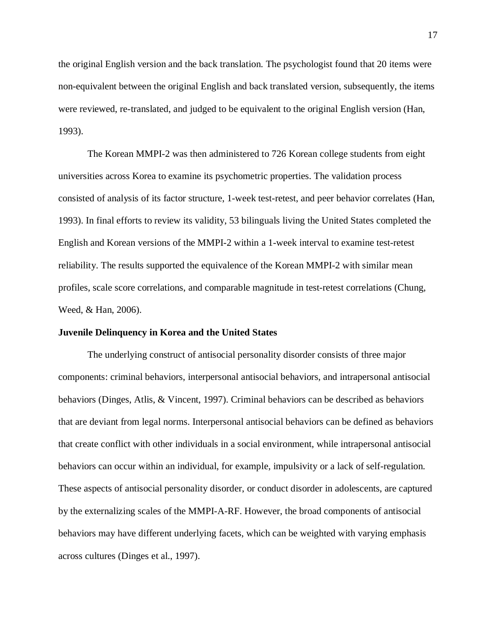the original English version and the back translation. The psychologist found that 20 items were non-equivalent between the original English and back translated version, subsequently, the items were reviewed, re-translated, and judged to be equivalent to the original English version (Han, 1993).

The Korean MMPI-2 was then administered to 726 Korean college students from eight universities across Korea to examine its psychometric properties. The validation process consisted of analysis of its factor structure, 1-week test-retest, and peer behavior correlates (Han, 1993). In final efforts to review its validity, 53 bilinguals living the United States completed the English and Korean versions of the MMPI-2 within a 1-week interval to examine test-retest reliability. The results supported the equivalence of the Korean MMPI-2 with similar mean profiles, scale score correlations, and comparable magnitude in test-retest correlations (Chung, Weed, & Han, 2006).

### **Juvenile Delinquency in Korea and the United States**

The underlying construct of antisocial personality disorder consists of three major components: criminal behaviors, interpersonal antisocial behaviors, and intrapersonal antisocial behaviors (Dinges, Atlis, & Vincent, 1997). Criminal behaviors can be described as behaviors that are deviant from legal norms. Interpersonal antisocial behaviors can be defined as behaviors that create conflict with other individuals in a social environment, while intrapersonal antisocial behaviors can occur within an individual, for example, impulsivity or a lack of self-regulation. These aspects of antisocial personality disorder, or conduct disorder in adolescents, are captured by the externalizing scales of the MMPI-A-RF. However, the broad components of antisocial behaviors may have different underlying facets, which can be weighted with varying emphasis across cultures (Dinges et al., 1997).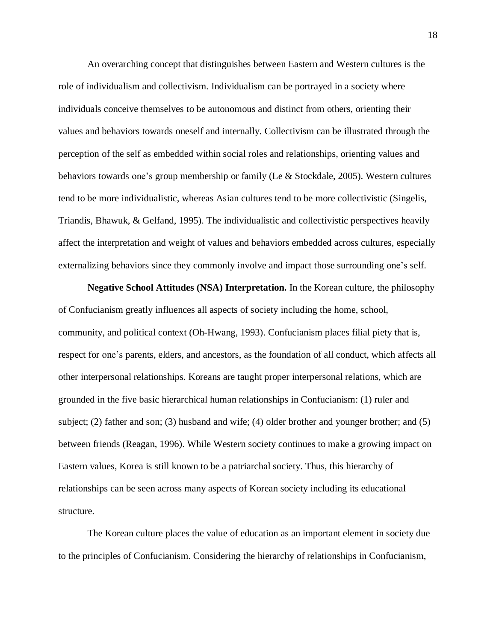An overarching concept that distinguishes between Eastern and Western cultures is the role of individualism and collectivism. Individualism can be portrayed in a society where individuals conceive themselves to be autonomous and distinct from others, orienting their values and behaviors towards oneself and internally. Collectivism can be illustrated through the perception of the self as embedded within social roles and relationships, orienting values and behaviors towards one's group membership or family (Le & Stockdale, 2005). Western cultures tend to be more individualistic, whereas Asian cultures tend to be more collectivistic (Singelis, Triandis, Bhawuk, & Gelfand, 1995). The individualistic and collectivistic perspectives heavily affect the interpretation and weight of values and behaviors embedded across cultures, especially externalizing behaviors since they commonly involve and impact those surrounding one's self.

**Negative School Attitudes (NSA) Interpretation.** In the Korean culture, the philosophy of Confucianism greatly influences all aspects of society including the home, school, community, and political context (Oh-Hwang, 1993). Confucianism places filial piety that is, respect for one's parents, elders, and ancestors, as the foundation of all conduct, which affects all other interpersonal relationships. Koreans are taught proper interpersonal relations, which are grounded in the five basic hierarchical human relationships in Confucianism: (1) ruler and subject; (2) father and son; (3) husband and wife; (4) older brother and younger brother; and (5) between friends (Reagan, 1996). While Western society continues to make a growing impact on Eastern values, Korea is still known to be a patriarchal society. Thus, this hierarchy of relationships can be seen across many aspects of Korean society including its educational structure.

The Korean culture places the value of education as an important element in society due to the principles of Confucianism. Considering the hierarchy of relationships in Confucianism,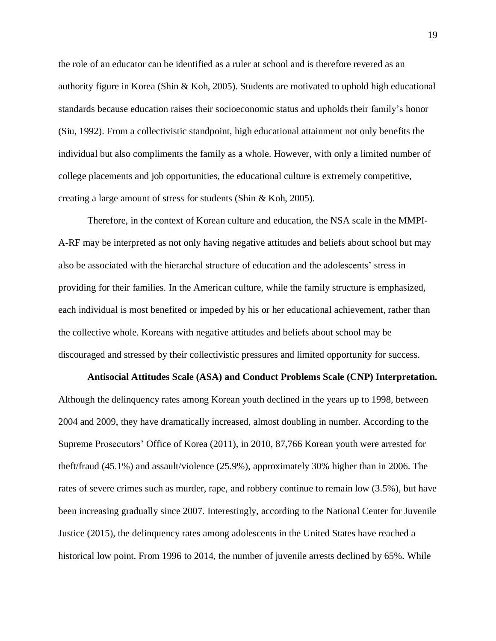the role of an educator can be identified as a ruler at school and is therefore revered as an authority figure in Korea (Shin & Koh, 2005). Students are motivated to uphold high educational standards because education raises their socioeconomic status and upholds their family's honor (Siu, 1992). From a collectivistic standpoint, high educational attainment not only benefits the individual but also compliments the family as a whole. However, with only a limited number of college placements and job opportunities, the educational culture is extremely competitive, creating a large amount of stress for students (Shin & Koh, 2005).

Therefore, in the context of Korean culture and education, the NSA scale in the MMPI-A-RF may be interpreted as not only having negative attitudes and beliefs about school but may also be associated with the hierarchal structure of education and the adolescents' stress in providing for their families. In the American culture, while the family structure is emphasized, each individual is most benefited or impeded by his or her educational achievement, rather than the collective whole. Koreans with negative attitudes and beliefs about school may be discouraged and stressed by their collectivistic pressures and limited opportunity for success.

**Antisocial Attitudes Scale (ASA) and Conduct Problems Scale (CNP) Interpretation.** Although the delinquency rates among Korean youth declined in the years up to 1998, between 2004 and 2009, they have dramatically increased, almost doubling in number. According to the Supreme Prosecutors' Office of Korea (2011), in 2010, 87,766 Korean youth were arrested for theft/fraud (45.1%) and assault/violence (25.9%), approximately 30% higher than in 2006. The rates of severe crimes such as murder, rape, and robbery continue to remain low (3.5%), but have been increasing gradually since 2007. Interestingly, according to the National Center for Juvenile Justice (2015), the delinquency rates among adolescents in the United States have reached a historical low point. From 1996 to 2014, the number of juvenile arrests declined by 65%. While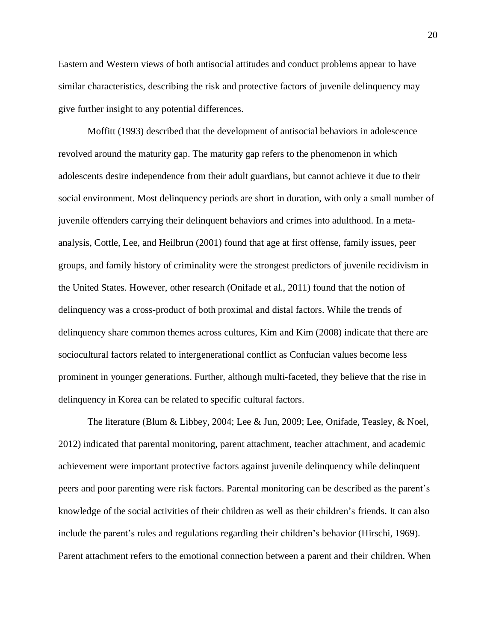Eastern and Western views of both antisocial attitudes and conduct problems appear to have similar characteristics, describing the risk and protective factors of juvenile delinquency may give further insight to any potential differences.

Moffitt (1993) described that the development of antisocial behaviors in adolescence revolved around the maturity gap. The maturity gap refers to the phenomenon in which adolescents desire independence from their adult guardians, but cannot achieve it due to their social environment. Most delinquency periods are short in duration, with only a small number of juvenile offenders carrying their delinquent behaviors and crimes into adulthood. In a metaanalysis, Cottle, Lee, and Heilbrun (2001) found that age at first offense, family issues, peer groups, and family history of criminality were the strongest predictors of juvenile recidivism in the United States. However, other research (Onifade et al., 2011) found that the notion of delinquency was a cross-product of both proximal and distal factors. While the trends of delinquency share common themes across cultures, Kim and Kim (2008) indicate that there are sociocultural factors related to intergenerational conflict as Confucian values become less prominent in younger generations. Further, although multi-faceted, they believe that the rise in delinquency in Korea can be related to specific cultural factors.

The literature (Blum & Libbey, 2004; Lee & Jun, 2009; Lee, Onifade, Teasley, & Noel, 2012) indicated that parental monitoring, parent attachment, teacher attachment, and academic achievement were important protective factors against juvenile delinquency while delinquent peers and poor parenting were risk factors. Parental monitoring can be described as the parent's knowledge of the social activities of their children as well as their children's friends. It can also include the parent's rules and regulations regarding their children's behavior (Hirschi, 1969). Parent attachment refers to the emotional connection between a parent and their children. When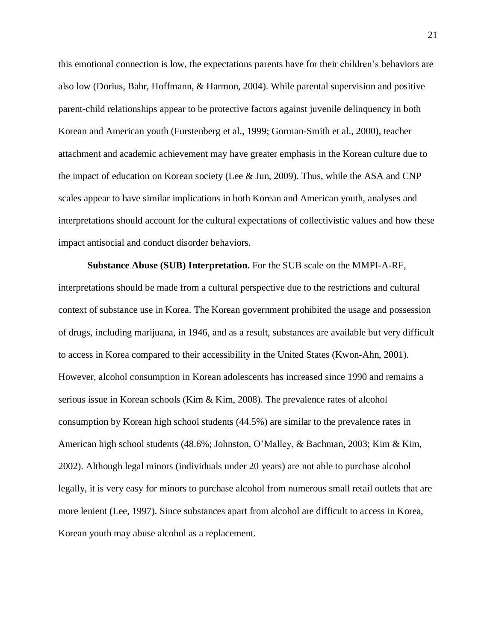this emotional connection is low, the expectations parents have for their children's behaviors are also low (Dorius, Bahr, Hoffmann, & Harmon, 2004). While parental supervision and positive parent-child relationships appear to be protective factors against juvenile delinquency in both Korean and American youth (Furstenberg et al., 1999; Gorman-Smith et al., 2000), teacher attachment and academic achievement may have greater emphasis in the Korean culture due to the impact of education on Korean society (Lee & Jun, 2009). Thus, while the ASA and CNP scales appear to have similar implications in both Korean and American youth, analyses and interpretations should account for the cultural expectations of collectivistic values and how these impact antisocial and conduct disorder behaviors.

**Substance Abuse (SUB) Interpretation.** For the SUB scale on the MMPI-A-RF, interpretations should be made from a cultural perspective due to the restrictions and cultural context of substance use in Korea. The Korean government prohibited the usage and possession of drugs, including marijuana, in 1946, and as a result, substances are available but very difficult to access in Korea compared to their accessibility in the United States (Kwon-Ahn, 2001). However, alcohol consumption in Korean adolescents has increased since 1990 and remains a serious issue in Korean schools (Kim & Kim, 2008). The prevalence rates of alcohol consumption by Korean high school students (44.5%) are similar to the prevalence rates in American high school students (48.6%; Johnston, O'Malley, & Bachman, 2003; Kim & Kim, 2002). Although legal minors (individuals under 20 years) are not able to purchase alcohol legally, it is very easy for minors to purchase alcohol from numerous small retail outlets that are more lenient (Lee, 1997). Since substances apart from alcohol are difficult to access in Korea, Korean youth may abuse alcohol as a replacement.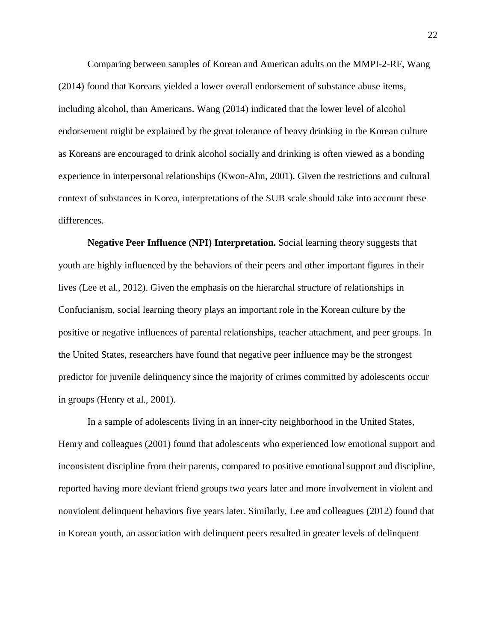Comparing between samples of Korean and American adults on the MMPI-2-RF, Wang (2014) found that Koreans yielded a lower overall endorsement of substance abuse items, including alcohol, than Americans. Wang (2014) indicated that the lower level of alcohol endorsement might be explained by the great tolerance of heavy drinking in the Korean culture as Koreans are encouraged to drink alcohol socially and drinking is often viewed as a bonding experience in interpersonal relationships (Kwon-Ahn, 2001). Given the restrictions and cultural context of substances in Korea, interpretations of the SUB scale should take into account these differences.

**Negative Peer Influence (NPI) Interpretation.** Social learning theory suggests that youth are highly influenced by the behaviors of their peers and other important figures in their lives (Lee et al., 2012). Given the emphasis on the hierarchal structure of relationships in Confucianism, social learning theory plays an important role in the Korean culture by the positive or negative influences of parental relationships, teacher attachment, and peer groups. In the United States, researchers have found that negative peer influence may be the strongest predictor for juvenile delinquency since the majority of crimes committed by adolescents occur in groups (Henry et al., 2001).

In a sample of adolescents living in an inner-city neighborhood in the United States, Henry and colleagues (2001) found that adolescents who experienced low emotional support and inconsistent discipline from their parents, compared to positive emotional support and discipline, reported having more deviant friend groups two years later and more involvement in violent and nonviolent delinquent behaviors five years later. Similarly, Lee and colleagues (2012) found that in Korean youth, an association with delinquent peers resulted in greater levels of delinquent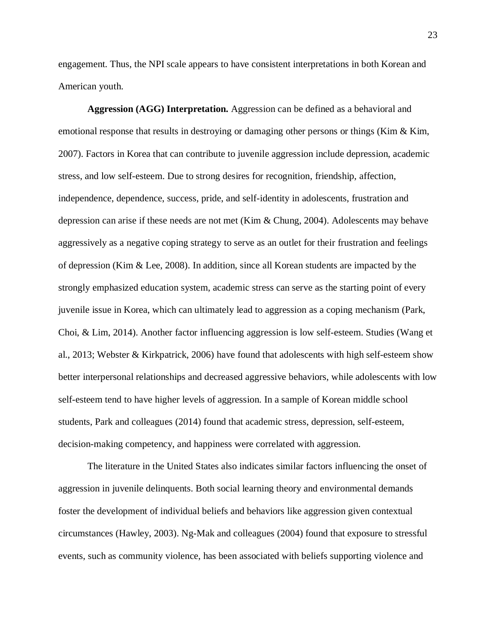engagement. Thus, the NPI scale appears to have consistent interpretations in both Korean and American youth.

**Aggression (AGG) Interpretation.** Aggression can be defined as a behavioral and emotional response that results in destroying or damaging other persons or things (Kim & Kim, 2007). Factors in Korea that can contribute to juvenile aggression include depression, academic stress, and low self-esteem. Due to strong desires for recognition, friendship, affection, independence, dependence, success, pride, and self-identity in adolescents, frustration and depression can arise if these needs are not met (Kim & Chung, 2004). Adolescents may behave aggressively as a negative coping strategy to serve as an outlet for their frustration and feelings of depression (Kim & Lee, 2008). In addition, since all Korean students are impacted by the strongly emphasized education system, academic stress can serve as the starting point of every juvenile issue in Korea, which can ultimately lead to aggression as a coping mechanism (Park, Choi, & Lim, 2014). Another factor influencing aggression is low self-esteem. Studies (Wang et al., 2013; Webster & Kirkpatrick, 2006) have found that adolescents with high self-esteem show better interpersonal relationships and decreased aggressive behaviors, while adolescents with low self-esteem tend to have higher levels of aggression. In a sample of Korean middle school students, Park and colleagues (2014) found that academic stress, depression, self-esteem, decision-making competency, and happiness were correlated with aggression.

The literature in the United States also indicates similar factors influencing the onset of aggression in juvenile delinquents. Both social learning theory and environmental demands foster the development of individual beliefs and behaviors like aggression given contextual circumstances (Hawley, 2003). Ng-Mak and colleagues (2004) found that exposure to stressful events, such as community violence, has been associated with beliefs supporting violence and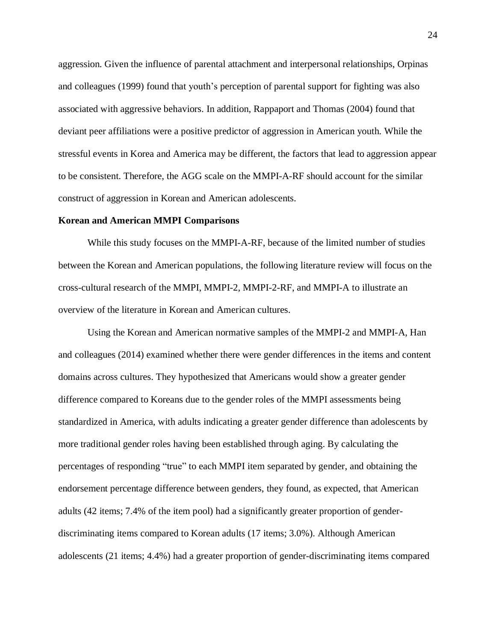aggression. Given the influence of parental attachment and interpersonal relationships, Orpinas and colleagues (1999) found that youth's perception of parental support for fighting was also associated with aggressive behaviors. In addition, Rappaport and Thomas (2004) found that deviant peer affiliations were a positive predictor of aggression in American youth. While the stressful events in Korea and America may be different, the factors that lead to aggression appear to be consistent. Therefore, the AGG scale on the MMPI-A-RF should account for the similar construct of aggression in Korean and American adolescents.

### **Korean and American MMPI Comparisons**

While this study focuses on the MMPI-A-RF, because of the limited number of studies between the Korean and American populations, the following literature review will focus on the cross-cultural research of the MMPI, MMPI-2, MMPI-2-RF, and MMPI-A to illustrate an overview of the literature in Korean and American cultures.

Using the Korean and American normative samples of the MMPI-2 and MMPI-A, Han and colleagues (2014) examined whether there were gender differences in the items and content domains across cultures. They hypothesized that Americans would show a greater gender difference compared to Koreans due to the gender roles of the MMPI assessments being standardized in America, with adults indicating a greater gender difference than adolescents by more traditional gender roles having been established through aging. By calculating the percentages of responding "true" to each MMPI item separated by gender, and obtaining the endorsement percentage difference between genders, they found, as expected, that American adults (42 items; 7.4% of the item pool) had a significantly greater proportion of genderdiscriminating items compared to Korean adults (17 items; 3.0%). Although American adolescents (21 items; 4.4%) had a greater proportion of gender-discriminating items compared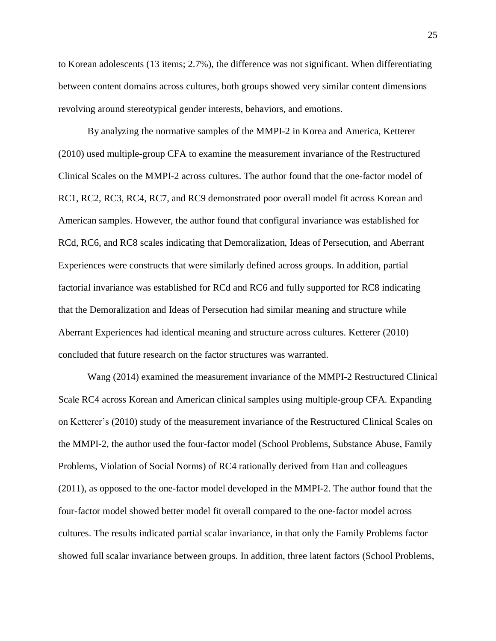to Korean adolescents (13 items; 2.7%), the difference was not significant. When differentiating between content domains across cultures, both groups showed very similar content dimensions revolving around stereotypical gender interests, behaviors, and emotions.

By analyzing the normative samples of the MMPI-2 in Korea and America, Ketterer (2010) used multiple-group CFA to examine the measurement invariance of the Restructured Clinical Scales on the MMPI-2 across cultures. The author found that the one-factor model of RC1, RC2, RC3, RC4, RC7, and RC9 demonstrated poor overall model fit across Korean and American samples. However, the author found that configural invariance was established for RCd, RC6, and RC8 scales indicating that Demoralization, Ideas of Persecution, and Aberrant Experiences were constructs that were similarly defined across groups. In addition, partial factorial invariance was established for RCd and RC6 and fully supported for RC8 indicating that the Demoralization and Ideas of Persecution had similar meaning and structure while Aberrant Experiences had identical meaning and structure across cultures. Ketterer (2010) concluded that future research on the factor structures was warranted.

Wang (2014) examined the measurement invariance of the MMPI-2 Restructured Clinical Scale RC4 across Korean and American clinical samples using multiple-group CFA. Expanding on Ketterer's (2010) study of the measurement invariance of the Restructured Clinical Scales on the MMPI-2, the author used the four-factor model (School Problems, Substance Abuse, Family Problems, Violation of Social Norms) of RC4 rationally derived from Han and colleagues (2011), as opposed to the one-factor model developed in the MMPI-2. The author found that the four-factor model showed better model fit overall compared to the one-factor model across cultures. The results indicated partial scalar invariance, in that only the Family Problems factor showed full scalar invariance between groups. In addition, three latent factors (School Problems,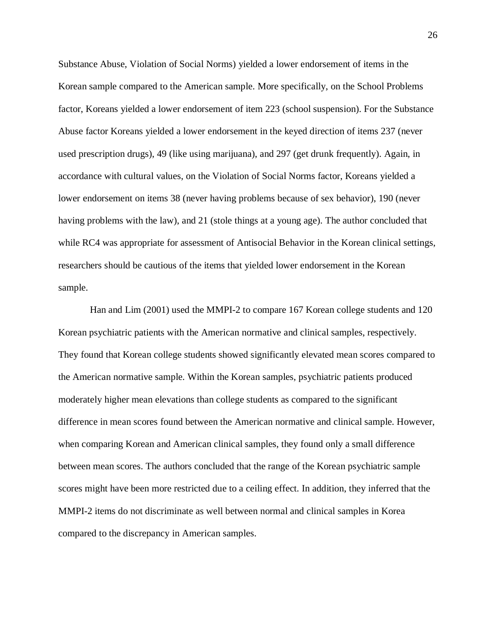Substance Abuse, Violation of Social Norms) yielded a lower endorsement of items in the Korean sample compared to the American sample. More specifically, on the School Problems factor, Koreans yielded a lower endorsement of item 223 (school suspension). For the Substance Abuse factor Koreans yielded a lower endorsement in the keyed direction of items 237 (never used prescription drugs), 49 (like using marijuana), and 297 (get drunk frequently). Again, in accordance with cultural values, on the Violation of Social Norms factor, Koreans yielded a lower endorsement on items 38 (never having problems because of sex behavior), 190 (never having problems with the law), and 21 (stole things at a young age). The author concluded that while RC4 was appropriate for assessment of Antisocial Behavior in the Korean clinical settings, researchers should be cautious of the items that yielded lower endorsement in the Korean sample.

Han and Lim (2001) used the MMPI-2 to compare 167 Korean college students and 120 Korean psychiatric patients with the American normative and clinical samples, respectively. They found that Korean college students showed significantly elevated mean scores compared to the American normative sample. Within the Korean samples, psychiatric patients produced moderately higher mean elevations than college students as compared to the significant difference in mean scores found between the American normative and clinical sample. However, when comparing Korean and American clinical samples, they found only a small difference between mean scores. The authors concluded that the range of the Korean psychiatric sample scores might have been more restricted due to a ceiling effect. In addition, they inferred that the MMPI-2 items do not discriminate as well between normal and clinical samples in Korea compared to the discrepancy in American samples.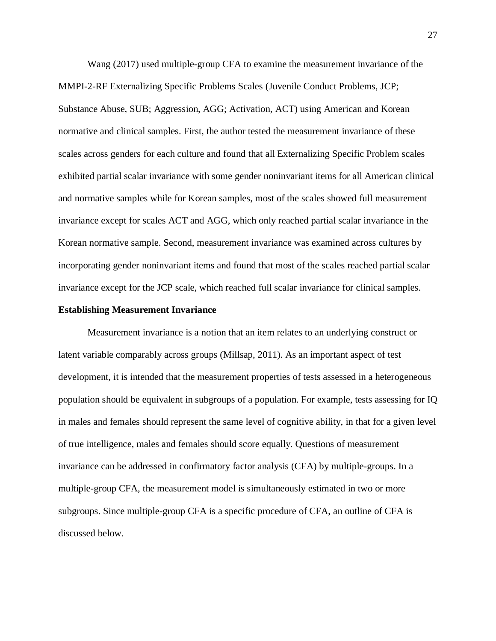Wang (2017) used multiple-group CFA to examine the measurement invariance of the MMPI-2-RF Externalizing Specific Problems Scales (Juvenile Conduct Problems, JCP; Substance Abuse, SUB; Aggression, AGG; Activation, ACT) using American and Korean normative and clinical samples. First, the author tested the measurement invariance of these scales across genders for each culture and found that all Externalizing Specific Problem scales exhibited partial scalar invariance with some gender noninvariant items for all American clinical and normative samples while for Korean samples, most of the scales showed full measurement invariance except for scales ACT and AGG, which only reached partial scalar invariance in the Korean normative sample. Second, measurement invariance was examined across cultures by incorporating gender noninvariant items and found that most of the scales reached partial scalar invariance except for the JCP scale, which reached full scalar invariance for clinical samples.

### **Establishing Measurement Invariance**

Measurement invariance is a notion that an item relates to an underlying construct or latent variable comparably across groups (Millsap, 2011). As an important aspect of test development, it is intended that the measurement properties of tests assessed in a heterogeneous population should be equivalent in subgroups of a population. For example, tests assessing for IQ in males and females should represent the same level of cognitive ability, in that for a given level of true intelligence, males and females should score equally. Questions of measurement invariance can be addressed in confirmatory factor analysis (CFA) by multiple-groups. In a multiple-group CFA, the measurement model is simultaneously estimated in two or more subgroups. Since multiple-group CFA is a specific procedure of CFA, an outline of CFA is discussed below.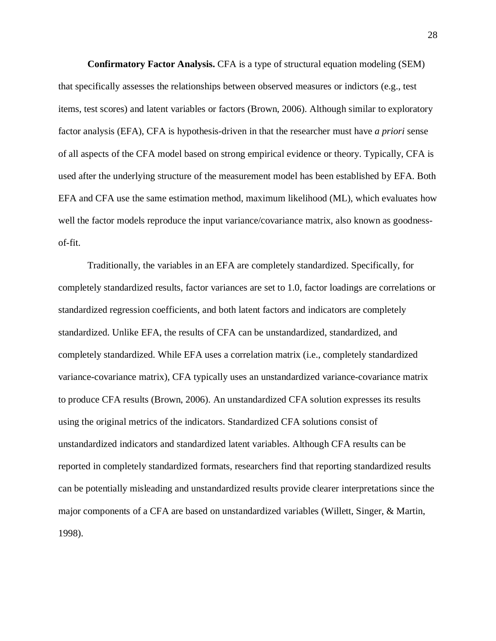**Confirmatory Factor Analysis.** CFA is a type of structural equation modeling (SEM) that specifically assesses the relationships between observed measures or indictors (e.g., test items, test scores) and latent variables or factors (Brown, 2006). Although similar to exploratory factor analysis (EFA), CFA is hypothesis-driven in that the researcher must have *a priori* sense of all aspects of the CFA model based on strong empirical evidence or theory. Typically, CFA is used after the underlying structure of the measurement model has been established by EFA. Both EFA and CFA use the same estimation method, maximum likelihood (ML), which evaluates how well the factor models reproduce the input variance/covariance matrix, also known as goodnessof-fit.

Traditionally, the variables in an EFA are completely standardized. Specifically, for completely standardized results, factor variances are set to 1.0, factor loadings are correlations or standardized regression coefficients, and both latent factors and indicators are completely standardized. Unlike EFA, the results of CFA can be unstandardized, standardized, and completely standardized. While EFA uses a correlation matrix (i.e., completely standardized variance-covariance matrix), CFA typically uses an unstandardized variance-covariance matrix to produce CFA results (Brown, 2006). An unstandardized CFA solution expresses its results using the original metrics of the indicators. Standardized CFA solutions consist of unstandardized indicators and standardized latent variables. Although CFA results can be reported in completely standardized formats, researchers find that reporting standardized results can be potentially misleading and unstandardized results provide clearer interpretations since the major components of a CFA are based on unstandardized variables (Willett, Singer, & Martin, 1998).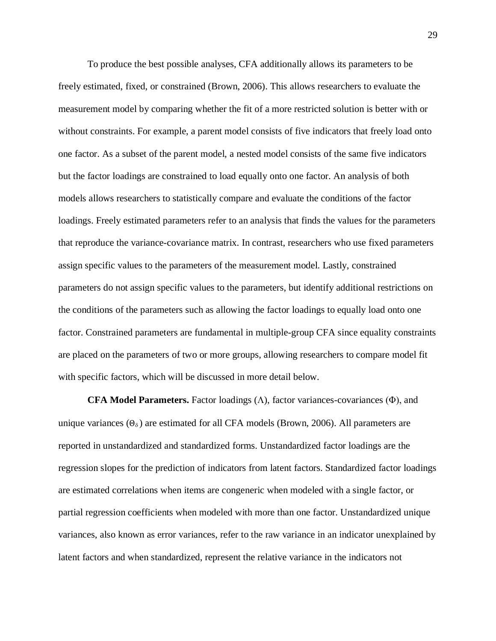To produce the best possible analyses, CFA additionally allows its parameters to be freely estimated, fixed, or constrained (Brown, 2006). This allows researchers to evaluate the measurement model by comparing whether the fit of a more restricted solution is better with or without constraints. For example, a parent model consists of five indicators that freely load onto one factor. As a subset of the parent model, a nested model consists of the same five indicators but the factor loadings are constrained to load equally onto one factor. An analysis of both models allows researchers to statistically compare and evaluate the conditions of the factor loadings. Freely estimated parameters refer to an analysis that finds the values for the parameters that reproduce the variance-covariance matrix. In contrast, researchers who use fixed parameters assign specific values to the parameters of the measurement model. Lastly, constrained parameters do not assign specific values to the parameters, but identify additional restrictions on the conditions of the parameters such as allowing the factor loadings to equally load onto one factor. Constrained parameters are fundamental in multiple-group CFA since equality constraints are placed on the parameters of two or more groups, allowing researchers to compare model fit with specific factors, which will be discussed in more detail below.

**CFA Model Parameters.** Factor loadings  $(\Lambda)$ , factor variances-covariances  $(\Phi)$ , and unique variances  $(\Theta_{\delta})$  are estimated for all CFA models (Brown, 2006). All parameters are reported in unstandardized and standardized forms. Unstandardized factor loadings are the regression slopes for the prediction of indicators from latent factors. Standardized factor loadings are estimated correlations when items are congeneric when modeled with a single factor, or partial regression coefficients when modeled with more than one factor. Unstandardized unique variances, also known as error variances, refer to the raw variance in an indicator unexplained by latent factors and when standardized, represent the relative variance in the indicators not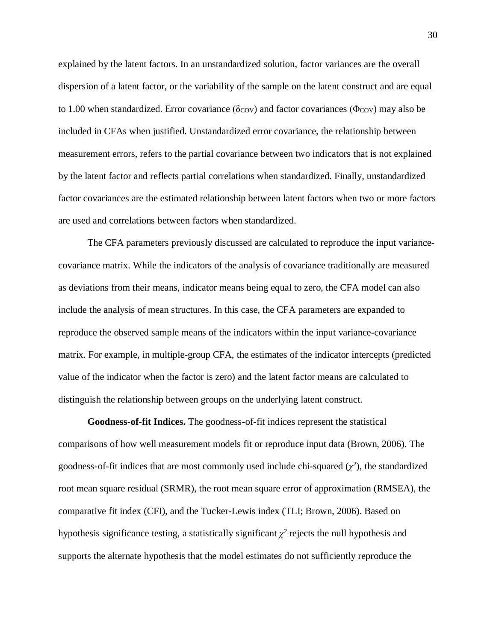explained by the latent factors. In an unstandardized solution, factor variances are the overall dispersion of a latent factor, or the variability of the sample on the latent construct and are equal to 1.00 when standardized. Error covariance ( $\delta_{\rm COV}$ ) and factor covariances ( $\Phi_{\rm COV}$ ) may also be included in CFAs when justified. Unstandardized error covariance, the relationship between measurement errors, refers to the partial covariance between two indicators that is not explained by the latent factor and reflects partial correlations when standardized. Finally, unstandardized factor covariances are the estimated relationship between latent factors when two or more factors are used and correlations between factors when standardized.

The CFA parameters previously discussed are calculated to reproduce the input variancecovariance matrix. While the indicators of the analysis of covariance traditionally are measured as deviations from their means, indicator means being equal to zero, the CFA model can also include the analysis of mean structures. In this case, the CFA parameters are expanded to reproduce the observed sample means of the indicators within the input variance-covariance matrix. For example, in multiple-group CFA, the estimates of the indicator intercepts (predicted value of the indicator when the factor is zero) and the latent factor means are calculated to distinguish the relationship between groups on the underlying latent construct.

**Goodness-of-fit Indices.** The goodness-of-fit indices represent the statistical comparisons of how well measurement models fit or reproduce input data (Brown, 2006). The goodness-of-fit indices that are most commonly used include chi-squared  $(\chi^2)$ , the standardized root mean square residual (SRMR), the root mean square error of approximation (RMSEA), the comparative fit index (CFI), and the Tucker-Lewis index (TLI; Brown, 2006). Based on hypothesis significance testing, a statistically significant  $\chi^2$  rejects the null hypothesis and supports the alternate hypothesis that the model estimates do not sufficiently reproduce the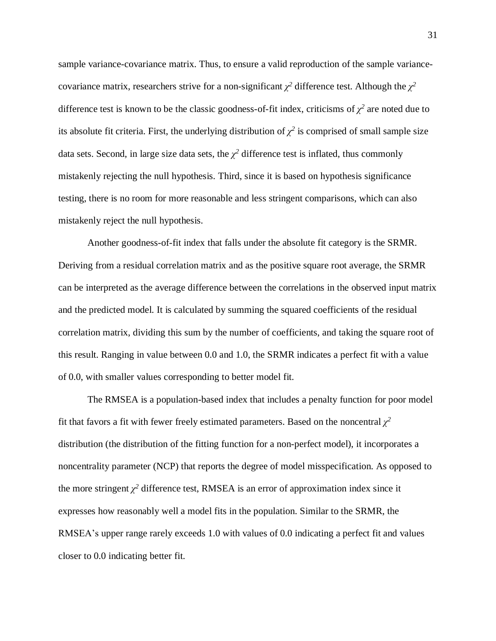sample variance-covariance matrix. Thus, to ensure a valid reproduction of the sample variancecovariance matrix, researchers strive for a non-significant  $\chi^2$  difference test. Although the  $\chi^2$ difference test is known to be the classic goodness-of-fit index, criticisms of  $\chi^2$  are noted due to its absolute fit criteria. First, the underlying distribution of  $\chi^2$  is comprised of small sample size data sets. Second, in large size data sets, the  $\chi^2$  difference test is inflated, thus commonly mistakenly rejecting the null hypothesis. Third, since it is based on hypothesis significance testing, there is no room for more reasonable and less stringent comparisons, which can also mistakenly reject the null hypothesis.

Another goodness-of-fit index that falls under the absolute fit category is the SRMR. Deriving from a residual correlation matrix and as the positive square root average, the SRMR can be interpreted as the average difference between the correlations in the observed input matrix and the predicted model. It is calculated by summing the squared coefficients of the residual correlation matrix, dividing this sum by the number of coefficients, and taking the square root of this result. Ranging in value between 0.0 and 1.0, the SRMR indicates a perfect fit with a value of 0.0, with smaller values corresponding to better model fit.

The RMSEA is a population-based index that includes a penalty function for poor model fit that favors a fit with fewer freely estimated parameters. Based on the noncentral  $\chi^2$ distribution (the distribution of the fitting function for a non-perfect model), it incorporates a noncentrality parameter (NCP) that reports the degree of model misspecification. As opposed to the more stringent  $\chi^2$  difference test, RMSEA is an error of approximation index since it expresses how reasonably well a model fits in the population. Similar to the SRMR, the RMSEA's upper range rarely exceeds 1.0 with values of 0.0 indicating a perfect fit and values closer to 0.0 indicating better fit.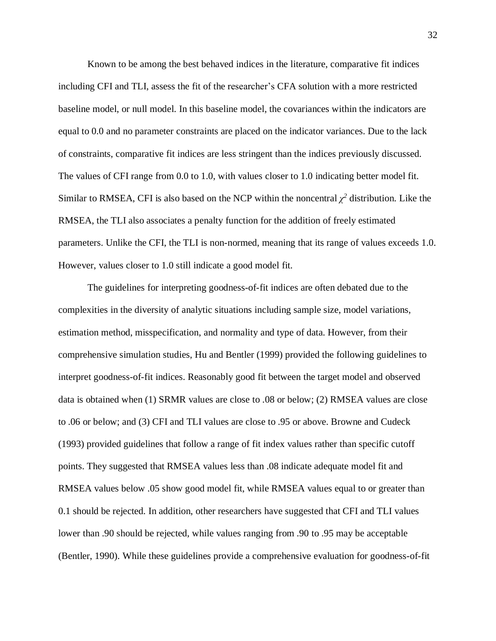Known to be among the best behaved indices in the literature, comparative fit indices including CFI and TLI, assess the fit of the researcher's CFA solution with a more restricted baseline model, or null model. In this baseline model, the covariances within the indicators are equal to 0.0 and no parameter constraints are placed on the indicator variances. Due to the lack of constraints, comparative fit indices are less stringent than the indices previously discussed. The values of CFI range from 0.0 to 1.0, with values closer to 1.0 indicating better model fit. Similar to RMSEA, CFI is also based on the NCP within the noncentral  $\chi^2$  distribution. Like the RMSEA, the TLI also associates a penalty function for the addition of freely estimated parameters. Unlike the CFI, the TLI is non-normed, meaning that its range of values exceeds 1.0. However, values closer to 1.0 still indicate a good model fit.

The guidelines for interpreting goodness-of-fit indices are often debated due to the complexities in the diversity of analytic situations including sample size, model variations, estimation method, misspecification, and normality and type of data. However, from their comprehensive simulation studies, Hu and Bentler (1999) provided the following guidelines to interpret goodness-of-fit indices. Reasonably good fit between the target model and observed data is obtained when (1) SRMR values are close to .08 or below; (2) RMSEA values are close to .06 or below; and (3) CFI and TLI values are close to .95 or above. Browne and Cudeck (1993) provided guidelines that follow a range of fit index values rather than specific cutoff points. They suggested that RMSEA values less than .08 indicate adequate model fit and RMSEA values below .05 show good model fit, while RMSEA values equal to or greater than 0.1 should be rejected. In addition, other researchers have suggested that CFI and TLI values lower than .90 should be rejected, while values ranging from .90 to .95 may be acceptable (Bentler, 1990). While these guidelines provide a comprehensive evaluation for goodness-of-fit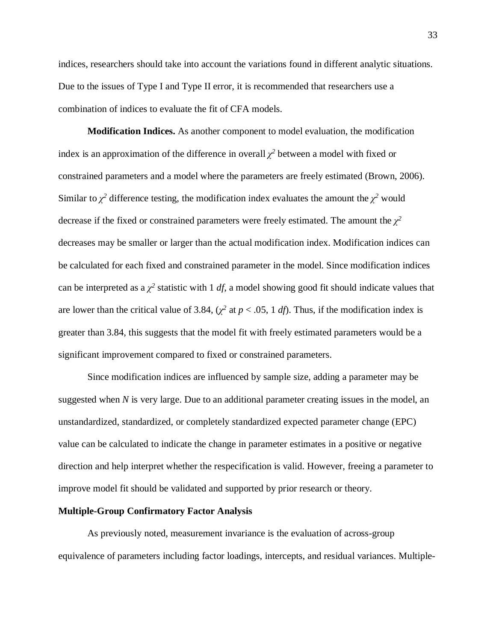indices, researchers should take into account the variations found in different analytic situations. Due to the issues of Type I and Type II error, it is recommended that researchers use a combination of indices to evaluate the fit of CFA models.

**Modification Indices.** As another component to model evaluation, the modification index is an approximation of the difference in overall  $\chi^2$  between a model with fixed or constrained parameters and a model where the parameters are freely estimated (Brown, 2006). Similar to  $\chi^2$  difference testing, the modification index evaluates the amount the  $\chi^2$  would decrease if the fixed or constrained parameters were freely estimated. The amount the  $\chi^2$ decreases may be smaller or larger than the actual modification index. Modification indices can be calculated for each fixed and constrained parameter in the model. Since modification indices can be interpreted as a  $\chi^2$  statistic with 1 *df*, a model showing good fit should indicate values that are lower than the critical value of 3.84,  $(\chi^2$  at  $p < .05$ , 1 *df*). Thus, if the modification index is greater than 3.84, this suggests that the model fit with freely estimated parameters would be a significant improvement compared to fixed or constrained parameters.

Since modification indices are influenced by sample size, adding a parameter may be suggested when *N* is very large. Due to an additional parameter creating issues in the model, an unstandardized, standardized, or completely standardized expected parameter change (EPC) value can be calculated to indicate the change in parameter estimates in a positive or negative direction and help interpret whether the respecification is valid. However, freeing a parameter to improve model fit should be validated and supported by prior research or theory.

#### **Multiple-Group Confirmatory Factor Analysis**

As previously noted, measurement invariance is the evaluation of across-group equivalence of parameters including factor loadings, intercepts, and residual variances. Multiple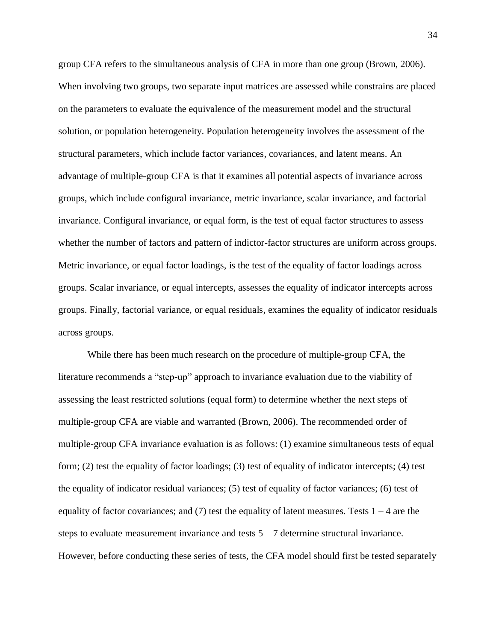group CFA refers to the simultaneous analysis of CFA in more than one group (Brown, 2006). When involving two groups, two separate input matrices are assessed while constrains are placed on the parameters to evaluate the equivalence of the measurement model and the structural solution, or population heterogeneity. Population heterogeneity involves the assessment of the structural parameters, which include factor variances, covariances, and latent means. An advantage of multiple-group CFA is that it examines all potential aspects of invariance across groups, which include configural invariance, metric invariance, scalar invariance, and factorial invariance. Configural invariance, or equal form, is the test of equal factor structures to assess whether the number of factors and pattern of indictor-factor structures are uniform across groups. Metric invariance, or equal factor loadings, is the test of the equality of factor loadings across groups. Scalar invariance, or equal intercepts, assesses the equality of indicator intercepts across groups. Finally, factorial variance, or equal residuals, examines the equality of indicator residuals across groups.

While there has been much research on the procedure of multiple-group CFA, the literature recommends a "step-up" approach to invariance evaluation due to the viability of assessing the least restricted solutions (equal form) to determine whether the next steps of multiple-group CFA are viable and warranted (Brown, 2006). The recommended order of multiple-group CFA invariance evaluation is as follows: (1) examine simultaneous tests of equal form; (2) test the equality of factor loadings; (3) test of equality of indicator intercepts; (4) test the equality of indicator residual variances; (5) test of equality of factor variances; (6) test of equality of factor covariances; and  $(7)$  test the equality of latent measures. Tests  $1 - 4$  are the steps to evaluate measurement invariance and tests  $5 - 7$  determine structural invariance. However, before conducting these series of tests, the CFA model should first be tested separately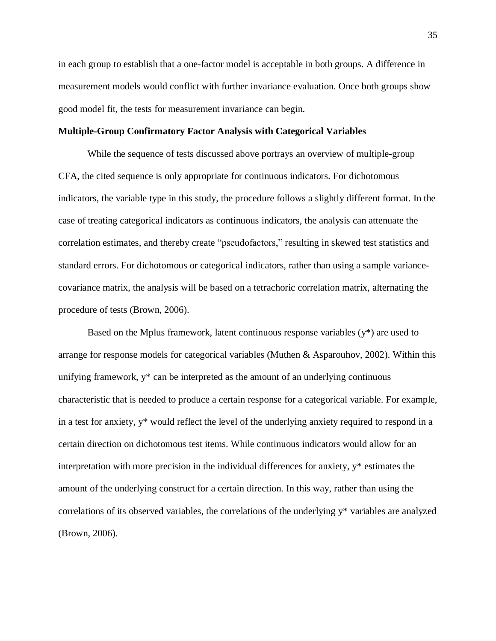in each group to establish that a one-factor model is acceptable in both groups. A difference in measurement models would conflict with further invariance evaluation. Once both groups show good model fit, the tests for measurement invariance can begin.

## **Multiple-Group Confirmatory Factor Analysis with Categorical Variables**

While the sequence of tests discussed above portrays an overview of multiple-group CFA, the cited sequence is only appropriate for continuous indicators. For dichotomous indicators, the variable type in this study, the procedure follows a slightly different format. In the case of treating categorical indicators as continuous indicators, the analysis can attenuate the correlation estimates, and thereby create "pseudofactors," resulting in skewed test statistics and standard errors. For dichotomous or categorical indicators, rather than using a sample variancecovariance matrix, the analysis will be based on a tetrachoric correlation matrix, alternating the procedure of tests (Brown, 2006).

Based on the Mplus framework, latent continuous response variables  $(y^*)$  are used to arrange for response models for categorical variables (Muthen & Asparouhov, 2002). Within this unifying framework, y\* can be interpreted as the amount of an underlying continuous characteristic that is needed to produce a certain response for a categorical variable. For example, in a test for anxiety, y\* would reflect the level of the underlying anxiety required to respond in a certain direction on dichotomous test items. While continuous indicators would allow for an interpretation with more precision in the individual differences for anxiety, y\* estimates the amount of the underlying construct for a certain direction. In this way, rather than using the correlations of its observed variables, the correlations of the underlying y\* variables are analyzed (Brown, 2006).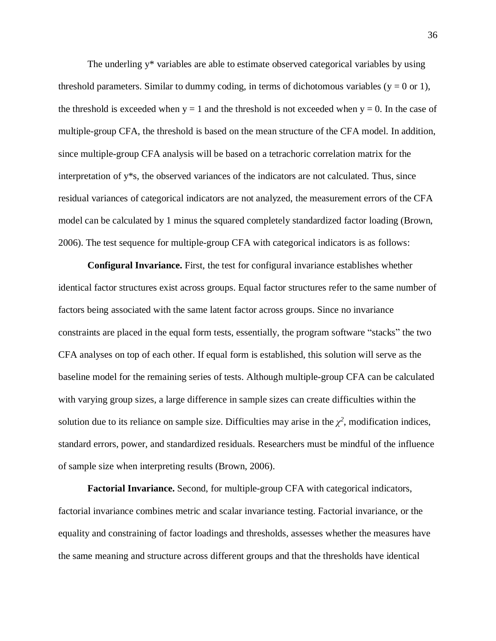The underling y\* variables are able to estimate observed categorical variables by using threshold parameters. Similar to dummy coding, in terms of dichotomous variables ( $y = 0$  or 1), the threshold is exceeded when  $y = 1$  and the threshold is not exceeded when  $y = 0$ . In the case of multiple-group CFA, the threshold is based on the mean structure of the CFA model. In addition, since multiple-group CFA analysis will be based on a tetrachoric correlation matrix for the interpretation of y\*s, the observed variances of the indicators are not calculated. Thus, since residual variances of categorical indicators are not analyzed, the measurement errors of the CFA model can be calculated by 1 minus the squared completely standardized factor loading (Brown, 2006). The test sequence for multiple-group CFA with categorical indicators is as follows:

**Configural Invariance.** First, the test for configural invariance establishes whether identical factor structures exist across groups. Equal factor structures refer to the same number of factors being associated with the same latent factor across groups. Since no invariance constraints are placed in the equal form tests, essentially, the program software "stacks" the two CFA analyses on top of each other. If equal form is established, this solution will serve as the baseline model for the remaining series of tests. Although multiple-group CFA can be calculated with varying group sizes, a large difference in sample sizes can create difficulties within the solution due to its reliance on sample size. Difficulties may arise in the  $\chi^2$ , modification indices, standard errors, power, and standardized residuals. Researchers must be mindful of the influence of sample size when interpreting results (Brown, 2006).

**Factorial Invariance.** Second, for multiple-group CFA with categorical indicators, factorial invariance combines metric and scalar invariance testing. Factorial invariance, or the equality and constraining of factor loadings and thresholds, assesses whether the measures have the same meaning and structure across different groups and that the thresholds have identical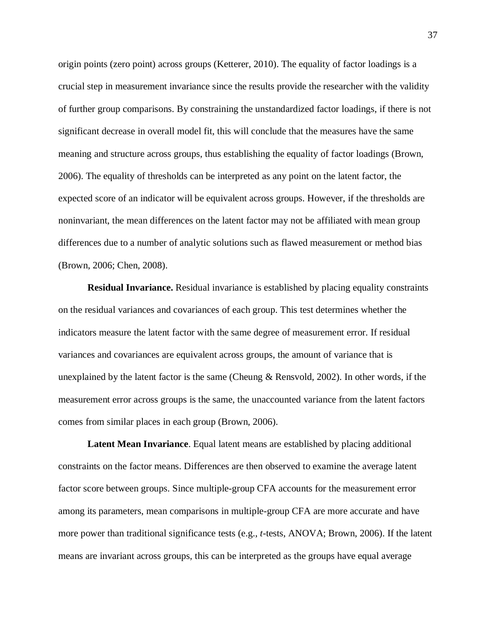origin points (zero point) across groups (Ketterer, 2010). The equality of factor loadings is a crucial step in measurement invariance since the results provide the researcher with the validity of further group comparisons. By constraining the unstandardized factor loadings, if there is not significant decrease in overall model fit, this will conclude that the measures have the same meaning and structure across groups, thus establishing the equality of factor loadings (Brown, 2006). The equality of thresholds can be interpreted as any point on the latent factor, the expected score of an indicator will be equivalent across groups. However, if the thresholds are noninvariant, the mean differences on the latent factor may not be affiliated with mean group differences due to a number of analytic solutions such as flawed measurement or method bias (Brown, 2006; Chen, 2008).

**Residual Invariance.** Residual invariance is established by placing equality constraints on the residual variances and covariances of each group. This test determines whether the indicators measure the latent factor with the same degree of measurement error. If residual variances and covariances are equivalent across groups, the amount of variance that is unexplained by the latent factor is the same (Cheung & Rensvold, 2002). In other words, if the measurement error across groups is the same, the unaccounted variance from the latent factors comes from similar places in each group (Brown, 2006).

**Latent Mean Invariance**. Equal latent means are established by placing additional constraints on the factor means. Differences are then observed to examine the average latent factor score between groups. Since multiple-group CFA accounts for the measurement error among its parameters, mean comparisons in multiple-group CFA are more accurate and have more power than traditional significance tests (e.g., *t*-tests, ANOVA; Brown, 2006). If the latent means are invariant across groups, this can be interpreted as the groups have equal average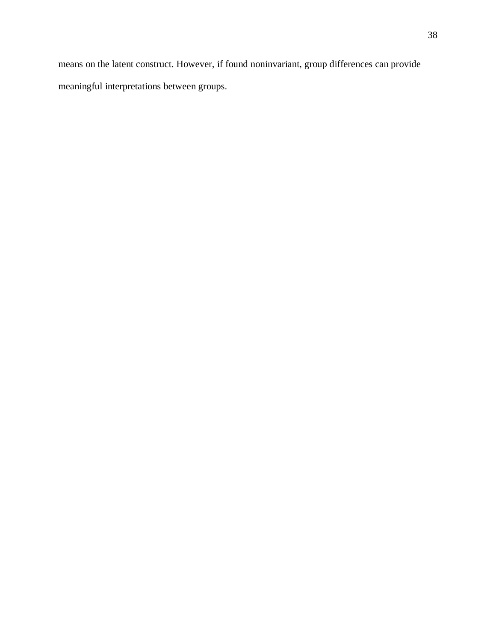means on the latent construct. However, if found noninvariant, group differences can provide meaningful interpretations between groups.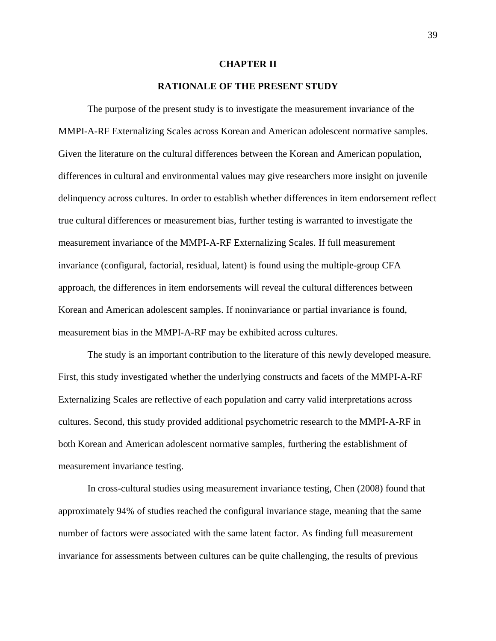### **CHAPTER II**

## **RATIONALE OF THE PRESENT STUDY**

The purpose of the present study is to investigate the measurement invariance of the MMPI-A-RF Externalizing Scales across Korean and American adolescent normative samples. Given the literature on the cultural differences between the Korean and American population, differences in cultural and environmental values may give researchers more insight on juvenile delinquency across cultures. In order to establish whether differences in item endorsement reflect true cultural differences or measurement bias, further testing is warranted to investigate the measurement invariance of the MMPI-A-RF Externalizing Scales. If full measurement invariance (configural, factorial, residual, latent) is found using the multiple-group CFA approach, the differences in item endorsements will reveal the cultural differences between Korean and American adolescent samples. If noninvariance or partial invariance is found, measurement bias in the MMPI-A-RF may be exhibited across cultures.

The study is an important contribution to the literature of this newly developed measure. First, this study investigated whether the underlying constructs and facets of the MMPI-A-RF Externalizing Scales are reflective of each population and carry valid interpretations across cultures. Second, this study provided additional psychometric research to the MMPI-A-RF in both Korean and American adolescent normative samples, furthering the establishment of measurement invariance testing.

In cross-cultural studies using measurement invariance testing, Chen (2008) found that approximately 94% of studies reached the configural invariance stage, meaning that the same number of factors were associated with the same latent factor. As finding full measurement invariance for assessments between cultures can be quite challenging, the results of previous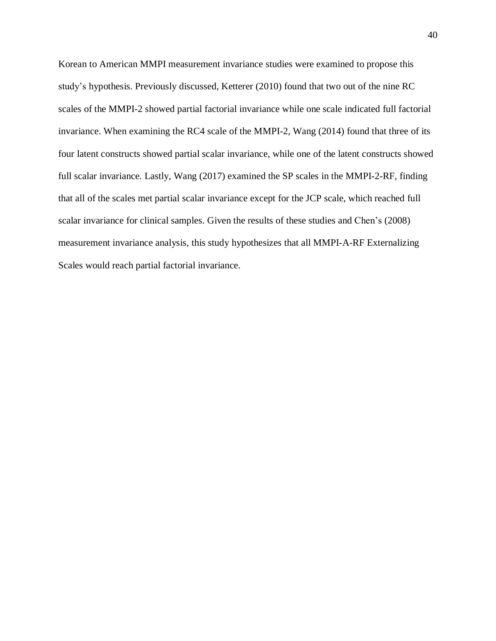Korean to American MMPI measurement invariance studies were examined to propose this study's hypothesis. Previously discussed, Ketterer (2010) found that two out of the nine RC scales of the MMPI-2 showed partial factorial invariance while one scale indicated full factorial invariance. When examining the RC4 scale of the MMPI-2, Wang (2014) found that three of its four latent constructs showed partial scalar invariance, while one of the latent constructs showed full scalar invariance. Lastly, Wang (2017) examined the SP scales in the MMPI-2-RF, finding that all of the scales met partial scalar invariance except for the JCP scale, which reached full scalar invariance for clinical samples. Given the results of these studies and Chen's (2008) measurement invariance analysis, this study hypothesizes that all MMPI-A-RF Externalizing Scales would reach partial factorial invariance.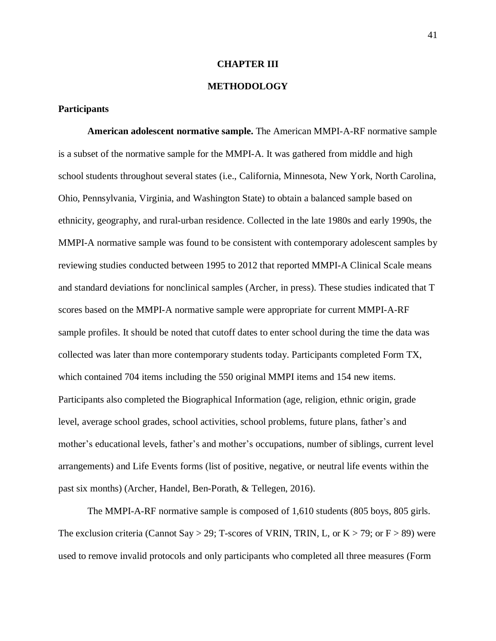## **CHAPTER III**

## **METHODOLOGY**

## **Participants**

**American adolescent normative sample.** The American MMPI-A-RF normative sample is a subset of the normative sample for the MMPI-A. It was gathered from middle and high school students throughout several states (i.e., California, Minnesota, New York, North Carolina, Ohio, Pennsylvania, Virginia, and Washington State) to obtain a balanced sample based on ethnicity, geography, and rural-urban residence. Collected in the late 1980s and early 1990s, the MMPI-A normative sample was found to be consistent with contemporary adolescent samples by reviewing studies conducted between 1995 to 2012 that reported MMPI-A Clinical Scale means and standard deviations for nonclinical samples (Archer, in press). These studies indicated that T scores based on the MMPI-A normative sample were appropriate for current MMPI-A-RF sample profiles. It should be noted that cutoff dates to enter school during the time the data was collected was later than more contemporary students today. Participants completed Form TX, which contained 704 items including the 550 original MMPI items and 154 new items. Participants also completed the Biographical Information (age, religion, ethnic origin, grade level, average school grades, school activities, school problems, future plans, father's and mother's educational levels, father's and mother's occupations, number of siblings, current level arrangements) and Life Events forms (list of positive, negative, or neutral life events within the past six months) (Archer, Handel, Ben-Porath, & Tellegen, 2016).

The MMPI-A-RF normative sample is composed of 1,610 students (805 boys, 805 girls. The exclusion criteria (Cannot Say > 29; T-scores of VRIN, TRIN, L, or  $K > 79$ ; or  $F > 89$ ) were used to remove invalid protocols and only participants who completed all three measures (Form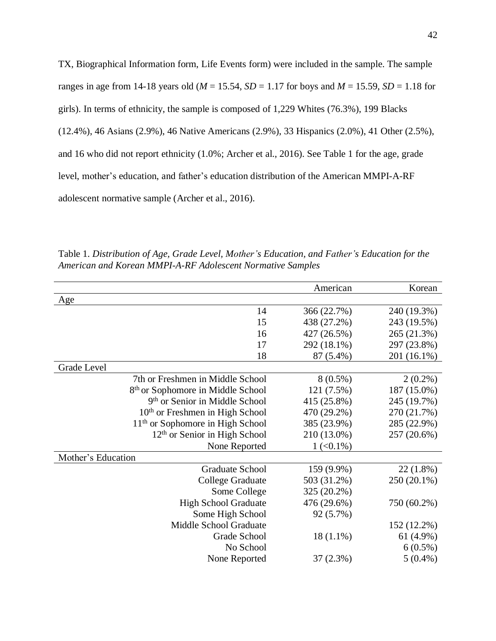TX, Biographical Information form, Life Events form) were included in the sample. The sample ranges in age from 14-18 years old ( $M = 15.54$ ,  $SD = 1.17$  for boys and  $M = 15.59$ ,  $SD = 1.18$  for girls). In terms of ethnicity, the sample is composed of 1,229 Whites (76.3%), 199 Blacks (12.4%), 46 Asians (2.9%), 46 Native Americans (2.9%), 33 Hispanics (2.0%), 41 Other (2.5%), and 16 who did not report ethnicity (1.0%; Archer et al., 2016). See Table 1 for the age, grade level, mother's education, and father's education distribution of the American MMPI-A-RF adolescent normative sample (Archer et al., 2016).

|                                               | American      | Korean      |
|-----------------------------------------------|---------------|-------------|
| Age                                           |               |             |
| 14                                            | 366 (22.7%)   | 240 (19.3%) |
| 15                                            | 438 (27.2%)   | 243 (19.5%) |
| 16                                            | 427 (26.5%)   | 265 (21.3%) |
| 17                                            | 292 (18.1%)   | 297 (23.8%) |
| 18                                            | 87 (5.4%)     | 201 (16.1%) |
| Grade Level                                   |               |             |
| 7th or Freshmen in Middle School              | $8(0.5\%)$    | $2(0.2\%)$  |
| 8 <sup>th</sup> or Sophomore in Middle School | 121 (7.5%)    | 187 (15.0%) |
| 9 <sup>th</sup> or Senior in Middle School    | 415 (25.8%)   | 245 (19.7%) |
| $10th$ or Freshmen in High School             | 470 (29.2%)   | 270 (21.7%) |
| $11th$ or Sophomore in High School            | 385 (23.9%)   | 285 (22.9%) |
| $12th$ or Senior in High School               | 210 (13.0%)   | 257 (20.6%) |
| None Reported                                 | $1 (< 0.1\%)$ |             |
| Mother's Education                            |               |             |
| <b>Graduate School</b>                        | 159 (9.9%)    | $22(1.8\%)$ |
| College Graduate                              | 503 (31.2%)   | 250 (20.1%) |
| Some College                                  | 325 (20.2%)   |             |
| <b>High School Graduate</b>                   | 476 (29.6%)   | 750 (60.2%) |
| Some High School                              | 92 (5.7%)     |             |
| Middle School Graduate                        |               | 152 (12.2%) |
| Grade School                                  | $18(1.1\%)$   | 61 (4.9%)   |
| No School                                     |               | $6(0.5\%)$  |
| None Reported                                 | 37(2.3%)      | $5(0.4\%)$  |
|                                               |               |             |

Table 1. *Distribution of Age, Grade Level, Mother's Education, and Father's Education for the American and Korean MMPI-A-RF Adolescent Normative Samples*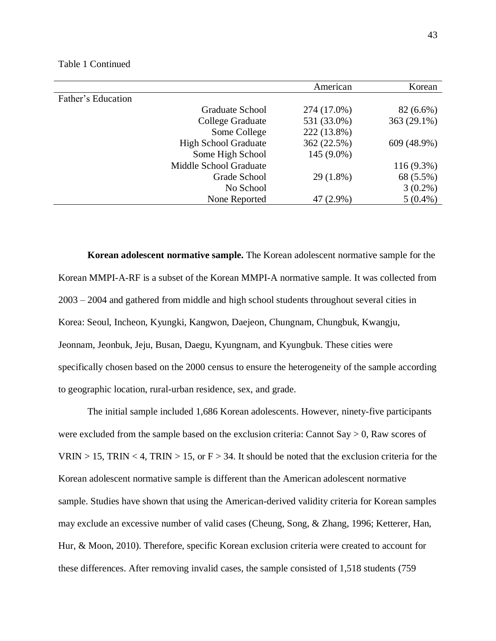|                    |                             | American     | Korean       |
|--------------------|-----------------------------|--------------|--------------|
| Father's Education |                             |              |              |
|                    | Graduate School             | 274 (17.0%)  | $82(6.6\%)$  |
|                    | College Graduate            | 531 (33.0%)  | 363 (29.1%)  |
|                    | Some College                | 222 (13.8%)  |              |
|                    | <b>High School Graduate</b> | 362 (22.5%)  | 609 (48.9%)  |
|                    | Some High School            | $145(9.0\%)$ |              |
|                    | Middle School Graduate      |              | $116(9.3\%)$ |
|                    | Grade School                | 29 (1.8%)    | 68 (5.5%)    |
|                    | No School                   |              | $3(0.2\%)$   |
|                    | None Reported               | 47 (2.9%)    | $5(0.4\%)$   |

**Korean adolescent normative sample.** The Korean adolescent normative sample for the Korean MMPI-A-RF is a subset of the Korean MMPI-A normative sample. It was collected from 2003 – 2004 and gathered from middle and high school students throughout several cities in Korea: Seoul, Incheon, Kyungki, Kangwon, Daejeon, Chungnam, Chungbuk, Kwangju, Jeonnam, Jeonbuk, Jeju, Busan, Daegu, Kyungnam, and Kyungbuk. These cities were specifically chosen based on the 2000 census to ensure the heterogeneity of the sample according to geographic location, rural-urban residence, sex, and grade.

The initial sample included 1,686 Korean adolescents. However, ninety-five participants were excluded from the sample based on the exclusion criteria: Cannot Say  $> 0$ , Raw scores of VRIN > 15, TRIN < 4, TRIN > 15, or  $F > 34$ . It should be noted that the exclusion criteria for the Korean adolescent normative sample is different than the American adolescent normative sample. Studies have shown that using the American-derived validity criteria for Korean samples may exclude an excessive number of valid cases (Cheung, Song, & Zhang, 1996; Ketterer, Han, Hur, & Moon, 2010). Therefore, specific Korean exclusion criteria were created to account for these differences. After removing invalid cases, the sample consisted of 1,518 students (759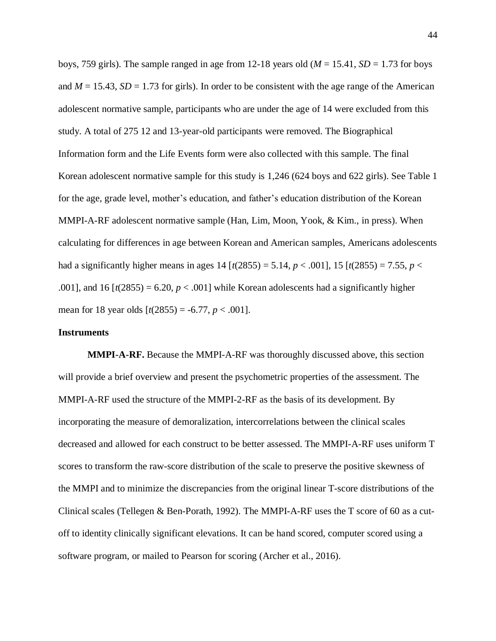boys, 759 girls). The sample ranged in age from 12-18 years old ( $M = 15.41$ ,  $SD = 1.73$  for boys and  $M = 15.43$ ,  $SD = 1.73$  for girls). In order to be consistent with the age range of the American adolescent normative sample, participants who are under the age of 14 were excluded from this study. A total of 275 12 and 13-year-old participants were removed. The Biographical Information form and the Life Events form were also collected with this sample. The final Korean adolescent normative sample for this study is 1,246 (624 boys and 622 girls). See Table 1 for the age, grade level, mother's education, and father's education distribution of the Korean MMPI-A-RF adolescent normative sample (Han, Lim, Moon, Yook, & Kim., in press). When calculating for differences in age between Korean and American samples, Americans adolescents had a significantly higher means in ages 14 [ $t(2855) = 5.14$ ,  $p < .001$ ], 15 [ $t(2855) = 7.55$ ,  $p <$ .001], and 16  $[t(2855) = 6.20, p < .001]$  while Korean adolescents had a significantly higher mean for 18 year olds  $[t(2855) = -6.77, p < .001]$ .

## **Instruments**

**MMPI-A-RF.** Because the MMPI-A-RF was thoroughly discussed above, this section will provide a brief overview and present the psychometric properties of the assessment. The MMPI-A-RF used the structure of the MMPI-2-RF as the basis of its development. By incorporating the measure of demoralization, intercorrelations between the clinical scales decreased and allowed for each construct to be better assessed. The MMPI-A-RF uses uniform T scores to transform the raw-score distribution of the scale to preserve the positive skewness of the MMPI and to minimize the discrepancies from the original linear T-score distributions of the Clinical scales (Tellegen & Ben-Porath, 1992). The MMPI-A-RF uses the T score of 60 as a cutoff to identity clinically significant elevations. It can be hand scored, computer scored using a software program, or mailed to Pearson for scoring (Archer et al., 2016).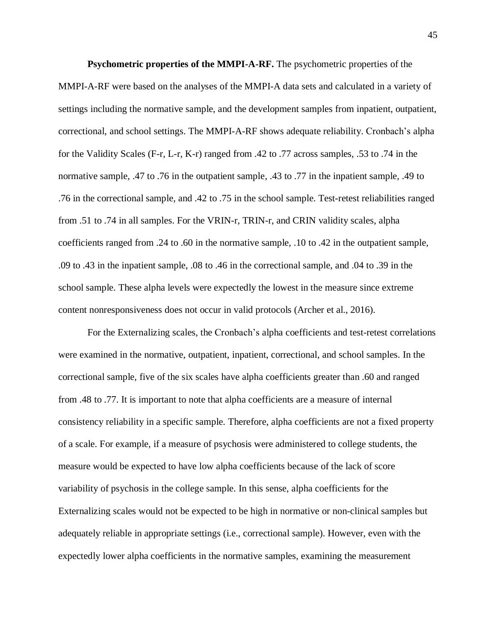**Psychometric properties of the MMPI-A-RF.** The psychometric properties of the MMPI-A-RF were based on the analyses of the MMPI-A data sets and calculated in a variety of settings including the normative sample, and the development samples from inpatient, outpatient, correctional, and school settings. The MMPI-A-RF shows adequate reliability. Cronbach's alpha for the Validity Scales (F-r, L-r, K-r) ranged from .42 to .77 across samples, .53 to .74 in the normative sample, .47 to .76 in the outpatient sample, .43 to .77 in the inpatient sample, .49 to .76 in the correctional sample, and .42 to .75 in the school sample. Test-retest reliabilities ranged from .51 to .74 in all samples. For the VRIN-r, TRIN-r, and CRIN validity scales, alpha coefficients ranged from .24 to .60 in the normative sample, .10 to .42 in the outpatient sample, .09 to .43 in the inpatient sample, .08 to .46 in the correctional sample, and .04 to .39 in the school sample. These alpha levels were expectedly the lowest in the measure since extreme content nonresponsiveness does not occur in valid protocols (Archer et al., 2016).

For the Externalizing scales, the Cronbach's alpha coefficients and test-retest correlations were examined in the normative, outpatient, inpatient, correctional, and school samples. In the correctional sample, five of the six scales have alpha coefficients greater than .60 and ranged from .48 to .77. It is important to note that alpha coefficients are a measure of internal consistency reliability in a specific sample. Therefore, alpha coefficients are not a fixed property of a scale. For example, if a measure of psychosis were administered to college students, the measure would be expected to have low alpha coefficients because of the lack of score variability of psychosis in the college sample. In this sense, alpha coefficients for the Externalizing scales would not be expected to be high in normative or non-clinical samples but adequately reliable in appropriate settings (i.e., correctional sample). However, even with the expectedly lower alpha coefficients in the normative samples, examining the measurement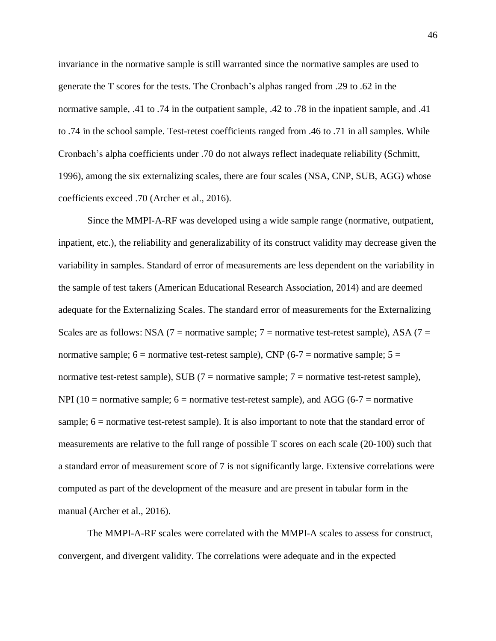invariance in the normative sample is still warranted since the normative samples are used to generate the T scores for the tests. The Cronbach's alphas ranged from .29 to .62 in the normative sample, .41 to .74 in the outpatient sample, .42 to .78 in the inpatient sample, and .41 to .74 in the school sample. Test-retest coefficients ranged from .46 to .71 in all samples. While Cronbach's alpha coefficients under .70 do not always reflect inadequate reliability (Schmitt, 1996), among the six externalizing scales, there are four scales (NSA, CNP, SUB, AGG) whose coefficients exceed .70 (Archer et al., 2016).

Since the MMPI-A-RF was developed using a wide sample range (normative, outpatient, inpatient, etc.), the reliability and generalizability of its construct validity may decrease given the variability in samples. Standard of error of measurements are less dependent on the variability in the sample of test takers (American Educational Research Association, 2014) and are deemed adequate for the Externalizing Scales. The standard error of measurements for the Externalizing Scales are as follows: NSA (7 = normative sample; 7 = normative test-retest sample), ASA (7 = normative sample;  $6 =$  normative test-retest sample), CNP (6-7 = normative sample;  $5 =$ normative test-retest sample), SUB ( $7$  = normative sample;  $7$  = normative test-retest sample), NPI (10 = normative sample;  $6 =$  normative test-retest sample), and AGG (6-7 = normative sample; 6 = normative test-retest sample). It is also important to note that the standard error of measurements are relative to the full range of possible T scores on each scale (20-100) such that a standard error of measurement score of 7 is not significantly large. Extensive correlations were computed as part of the development of the measure and are present in tabular form in the manual (Archer et al., 2016).

The MMPI-A-RF scales were correlated with the MMPI-A scales to assess for construct, convergent, and divergent validity. The correlations were adequate and in the expected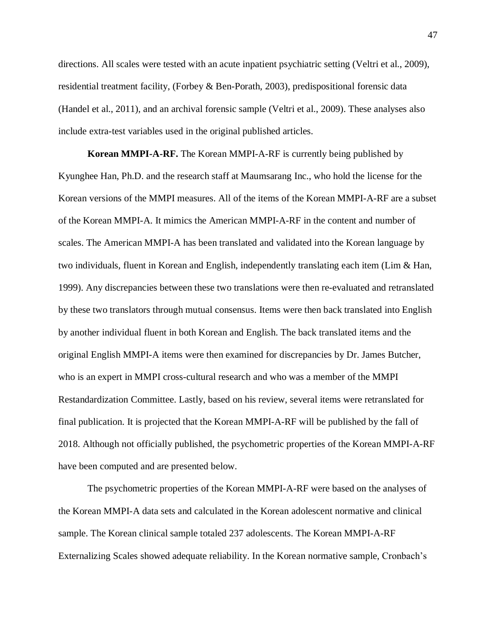directions. All scales were tested with an acute inpatient psychiatric setting (Veltri et al., 2009), residential treatment facility, (Forbey & Ben-Porath, 2003), predispositional forensic data (Handel et al., 2011), and an archival forensic sample (Veltri et al., 2009). These analyses also include extra-test variables used in the original published articles.

**Korean MMPI-A-RF.** The Korean MMPI-A-RF is currently being published by Kyunghee Han, Ph.D. and the research staff at Maumsarang Inc., who hold the license for the Korean versions of the MMPI measures. All of the items of the Korean MMPI-A-RF are a subset of the Korean MMPI-A. It mimics the American MMPI-A-RF in the content and number of scales. The American MMPI-A has been translated and validated into the Korean language by two individuals, fluent in Korean and English, independently translating each item (Lim & Han, 1999). Any discrepancies between these two translations were then re-evaluated and retranslated by these two translators through mutual consensus. Items were then back translated into English by another individual fluent in both Korean and English. The back translated items and the original English MMPI-A items were then examined for discrepancies by Dr. James Butcher, who is an expert in MMPI cross-cultural research and who was a member of the MMPI Restandardization Committee. Lastly, based on his review, several items were retranslated for final publication. It is projected that the Korean MMPI-A-RF will be published by the fall of 2018. Although not officially published, the psychometric properties of the Korean MMPI-A-RF have been computed and are presented below.

The psychometric properties of the Korean MMPI-A-RF were based on the analyses of the Korean MMPI-A data sets and calculated in the Korean adolescent normative and clinical sample. The Korean clinical sample totaled 237 adolescents. The Korean MMPI-A-RF Externalizing Scales showed adequate reliability. In the Korean normative sample, Cronbach's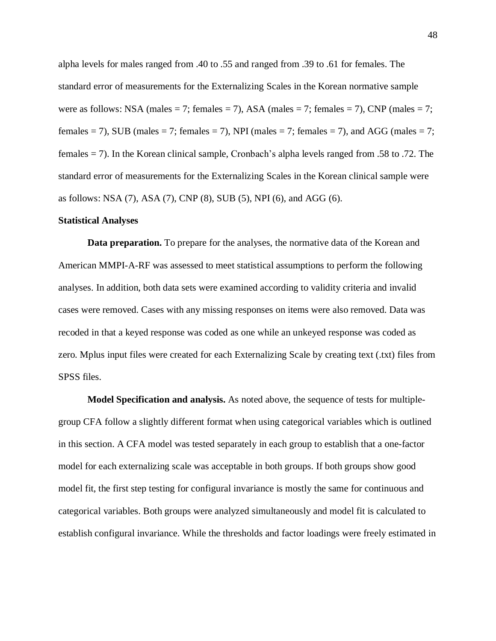alpha levels for males ranged from .40 to .55 and ranged from .39 to .61 for females. The standard error of measurements for the Externalizing Scales in the Korean normative sample were as follows: NSA (males = 7; females = 7), ASA (males = 7; females = 7), CNP (males = 7; females = 7), SUB (males = 7; females = 7), NPI (males = 7; females = 7), and AGG (males = 7; females = 7). In the Korean clinical sample, Cronbach's alpha levels ranged from .58 to .72. The standard error of measurements for the Externalizing Scales in the Korean clinical sample were as follows: NSA (7), ASA (7), CNP (8), SUB (5), NPI (6), and AGG (6).

#### **Statistical Analyses**

**Data preparation.** To prepare for the analyses, the normative data of the Korean and American MMPI-A-RF was assessed to meet statistical assumptions to perform the following analyses. In addition, both data sets were examined according to validity criteria and invalid cases were removed. Cases with any missing responses on items were also removed. Data was recoded in that a keyed response was coded as one while an unkeyed response was coded as zero. Mplus input files were created for each Externalizing Scale by creating text (.txt) files from SPSS files.

**Model Specification and analysis.** As noted above, the sequence of tests for multiplegroup CFA follow a slightly different format when using categorical variables which is outlined in this section. A CFA model was tested separately in each group to establish that a one-factor model for each externalizing scale was acceptable in both groups. If both groups show good model fit, the first step testing for configural invariance is mostly the same for continuous and categorical variables. Both groups were analyzed simultaneously and model fit is calculated to establish configural invariance. While the thresholds and factor loadings were freely estimated in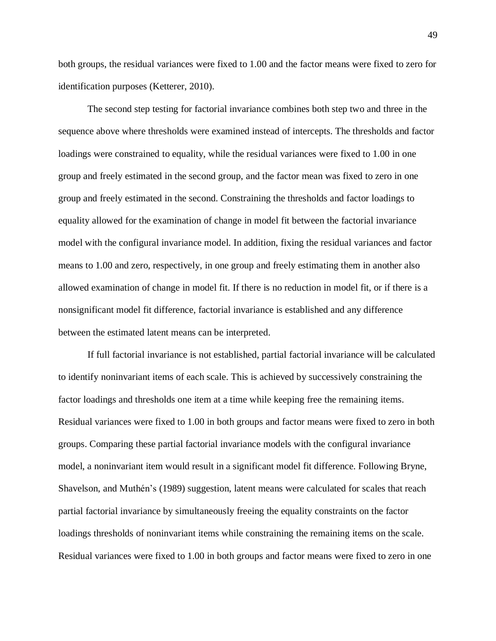both groups, the residual variances were fixed to 1.00 and the factor means were fixed to zero for identification purposes (Ketterer, 2010).

The second step testing for factorial invariance combines both step two and three in the sequence above where thresholds were examined instead of intercepts. The thresholds and factor loadings were constrained to equality, while the residual variances were fixed to 1.00 in one group and freely estimated in the second group, and the factor mean was fixed to zero in one group and freely estimated in the second. Constraining the thresholds and factor loadings to equality allowed for the examination of change in model fit between the factorial invariance model with the configural invariance model. In addition, fixing the residual variances and factor means to 1.00 and zero, respectively, in one group and freely estimating them in another also allowed examination of change in model fit. If there is no reduction in model fit, or if there is a nonsignificant model fit difference, factorial invariance is established and any difference between the estimated latent means can be interpreted.

If full factorial invariance is not established, partial factorial invariance will be calculated to identify noninvariant items of each scale. This is achieved by successively constraining the factor loadings and thresholds one item at a time while keeping free the remaining items. Residual variances were fixed to 1.00 in both groups and factor means were fixed to zero in both groups. Comparing these partial factorial invariance models with the configural invariance model, a noninvariant item would result in a significant model fit difference. Following Bryne, Shavelson, and Muthén's (1989) suggestion, latent means were calculated for scales that reach partial factorial invariance by simultaneously freeing the equality constraints on the factor loadings thresholds of noninvariant items while constraining the remaining items on the scale. Residual variances were fixed to 1.00 in both groups and factor means were fixed to zero in one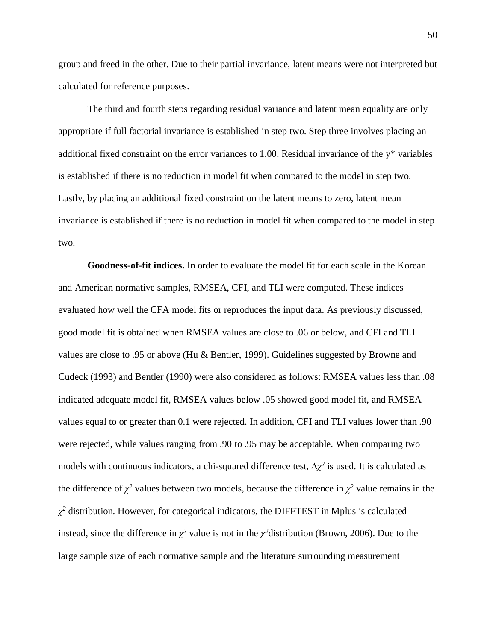group and freed in the other. Due to their partial invariance, latent means were not interpreted but calculated for reference purposes.

The third and fourth steps regarding residual variance and latent mean equality are only appropriate if full factorial invariance is established in step two. Step three involves placing an additional fixed constraint on the error variances to 1.00. Residual invariance of the y\* variables is established if there is no reduction in model fit when compared to the model in step two. Lastly, by placing an additional fixed constraint on the latent means to zero, latent mean invariance is established if there is no reduction in model fit when compared to the model in step two.

**Goodness-of-fit indices.** In order to evaluate the model fit for each scale in the Korean and American normative samples, RMSEA, CFI, and TLI were computed. These indices evaluated how well the CFA model fits or reproduces the input data. As previously discussed, good model fit is obtained when RMSEA values are close to .06 or below, and CFI and TLI values are close to .95 or above (Hu & Bentler, 1999). Guidelines suggested by Browne and Cudeck (1993) and Bentler (1990) were also considered as follows: RMSEA values less than .08 indicated adequate model fit, RMSEA values below .05 showed good model fit, and RMSEA values equal to or greater than 0.1 were rejected. In addition, CFI and TLI values lower than .90 were rejected, while values ranging from .90 to .95 may be acceptable. When comparing two models with continuous indicators, a chi-squared difference test,  $\Delta \chi^2$  is used. It is calculated as the difference of  $\chi^2$  values between two models, because the difference in  $\chi^2$  value remains in the *χ <sup>2</sup>* distribution. However, for categorical indicators, the DIFFTEST in Mplus is calculated instead, since the difference in  $\chi^2$  value is not in the  $\chi^2$ distribution (Brown, 2006). Due to the large sample size of each normative sample and the literature surrounding measurement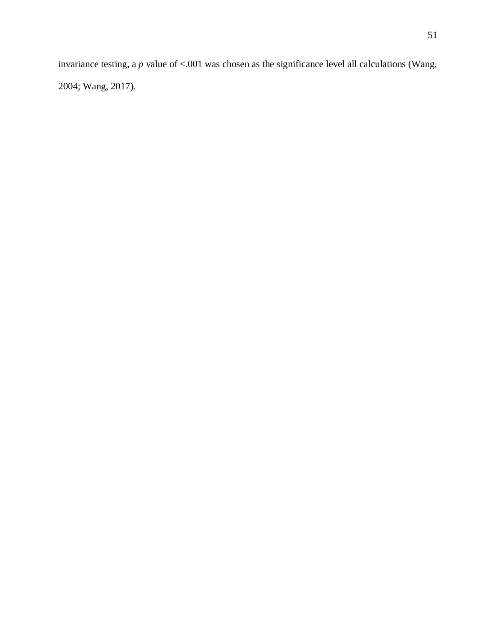invariance testing, a *p* value of <.001 was chosen as the significance level all calculations (Wang, 2004; Wang, 2017).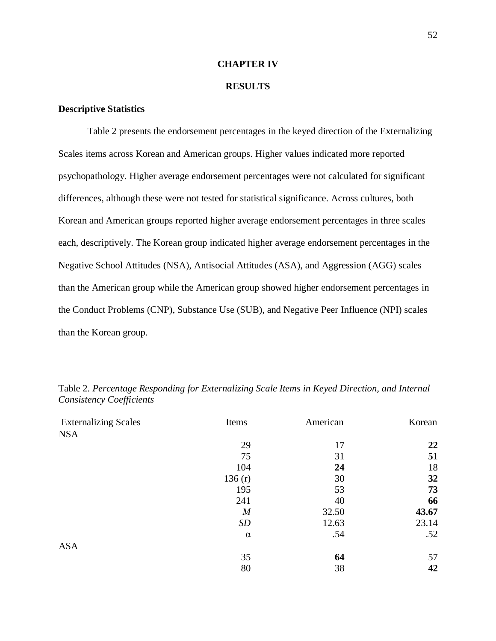#### **CHAPTER IV**

## **RESULTS**

## **Descriptive Statistics**

Table 2 presents the endorsement percentages in the keyed direction of the Externalizing Scales items across Korean and American groups. Higher values indicated more reported psychopathology. Higher average endorsement percentages were not calculated for significant differences, although these were not tested for statistical significance. Across cultures, both Korean and American groups reported higher average endorsement percentages in three scales each, descriptively. The Korean group indicated higher average endorsement percentages in the Negative School Attitudes (NSA), Antisocial Attitudes (ASA), and Aggression (AGG) scales than the American group while the American group showed higher endorsement percentages in the Conduct Problems (CNP), Substance Use (SUB), and Negative Peer Influence (NPI) scales than the Korean group.

| <b>Externalizing Scales</b> | Items          | American | Korean |
|-----------------------------|----------------|----------|--------|
| <b>NSA</b>                  |                |          |        |
|                             | 29             | 17       | 22     |
|                             | 75             | 31       | 51     |
|                             | 104            | 24       | 18     |
|                             | 136(r)         | 30       | 32     |
|                             | 195            | 53       | 73     |
|                             | 241            | 40       | 66     |
|                             | $\overline{M}$ | 32.50    | 43.67  |
|                             | SD             | 12.63    | 23.14  |
|                             | $\alpha$       | .54      | .52    |
| <b>ASA</b>                  |                |          |        |
|                             | 35             | 64       | 57     |
|                             | 80             | 38       | 42     |

Table 2. *Percentage Responding for Externalizing Scale Items in Keyed Direction, and Internal Consistency Coefficients*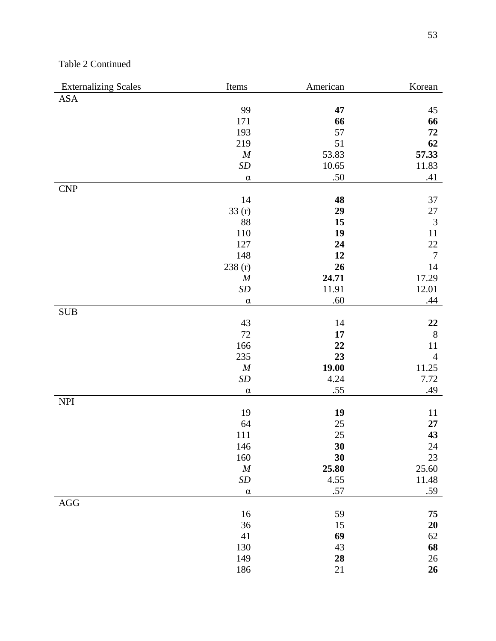## Table 2 Continued

| <b>Externalizing Scales</b> | Items                         | American       | Korean           |
|-----------------------------|-------------------------------|----------------|------------------|
| ASA                         |                               |                |                  |
|                             | 99                            | 47             | 45               |
|                             | 171                           | 66             | 66               |
|                             | 193                           | 57             | ${\bf 72}$       |
|                             | 219                           | 51             | 62               |
|                             | M                             | 53.83          | 57.33            |
|                             | $\boldsymbol{SD}$             | 10.65          | 11.83            |
|                             | $\alpha$                      | .50            | .41              |
| CNP                         |                               |                |                  |
|                             | 14                            | 48             | 37               |
|                             | 33(r)                         | 29             | $27\,$           |
|                             | 88                            | 15             | $\mathfrak{Z}$   |
|                             | 110                           | 19             | $11\,$           |
|                             | 127                           | 24             | $22\,$           |
|                             | 148                           | 12             | $\boldsymbol{7}$ |
|                             | 238 (r)                       | 26             | 14               |
|                             | $\boldsymbol{M}$              | 24.71<br>11.91 | 17.29<br>12.01   |
|                             | $\boldsymbol{SD}$<br>$\alpha$ | .60            | .44              |
| $\rm SUB$                   |                               |                |                  |
|                             | 43                            | 14             | 22               |
|                             | $72\,$                        | 17             | $8\,$            |
|                             | 166                           | 22             | 11               |
|                             | 235                           | 23             | $\overline{4}$   |
|                             | $\boldsymbol{M}$              | 19.00          | 11.25            |
|                             | $\boldsymbol{SD}$             | 4.24           | 7.72             |
|                             | $\alpha$                      | .55            | .49              |
| $\ensuremath{\mathsf{NPI}}$ |                               |                |                  |
|                             | 19                            | 19             | 11               |
|                             | 64                            | $25\,$         | 27               |
|                             | 111                           | $25\,$         | 43               |
|                             | 146                           | 30             | 24               |
|                             | 160                           | 30             | 23               |
|                             | $\boldsymbol{M}$              | 25.80          | 25.60            |
|                             | $\boldsymbol{SD}$             | 4.55           | 11.48            |
|                             | $\alpha$                      | .57            | .59              |
| $\rm{AGG}$                  |                               |                |                  |
|                             | 16                            | 59             | 75               |
|                             | 36                            | 15             | <b>20</b>        |
|                             | 41                            | 69             | 62               |
|                             | 130                           | 43             | 68               |
|                             | 149                           | 28             | $26\,$           |
|                             | 186                           | $21\,$         | 26               |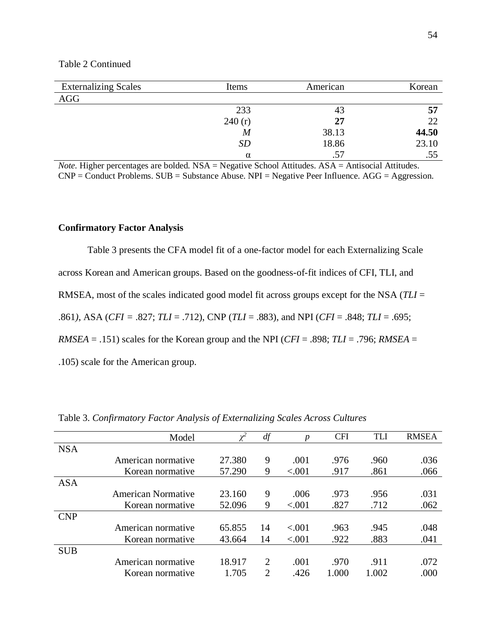## Table 2 Continued

| <b>Externalizing Scales</b> | Items            | American | Korean |
|-----------------------------|------------------|----------|--------|
| AGG                         |                  |          |        |
|                             | 233              | 43       | 57     |
|                             | 240(r)           | 27       | 22     |
|                             | $\boldsymbol{M}$ | 38.13    | 44.50  |
|                             | <b>SD</b>        | 18.86    | 23.10  |
|                             | $\alpha$         | .57      | .55    |

*Note.* Higher percentages are bolded. NSA = Negative School Attitudes. ASA = Antisocial Attitudes. CNP = Conduct Problems. SUB = Substance Abuse. NPI = Negative Peer Influence. AGG = Aggression.

## **Confirmatory Factor Analysis**

Table 3 presents the CFA model fit of a one-factor model for each Externalizing Scale across Korean and American groups. Based on the goodness-of-fit indices of CFI, TLI, and RMSEA, most of the scales indicated good model fit across groups except for the NSA (*TLI* = .861*)*, ASA (*CFI =* .827; *TLI* = .712), CNP (*TLI* = .883), and NPI (*CFI* = .848; *TLI* = .695; *RMSEA* = .151) scales for the Korean group and the NPI (*CFI* = .898; *TLI* = .796; *RMSEA* = .105) scale for the American group.

|            | Model                     | $\chi^2$ | df                          | р       | <b>CFI</b> | <b>TLI</b> | <b>RMSEA</b> |
|------------|---------------------------|----------|-----------------------------|---------|------------|------------|--------------|
| <b>NSA</b> |                           |          |                             |         |            |            |              |
|            | American normative        | 27.380   | 9                           | .001    | .976       | .960       | .036         |
|            | Korean normative          | 57.290   | 9                           | < .001  | .917       | .861       | .066         |
| <b>ASA</b> |                           |          |                             |         |            |            |              |
|            | <b>American Normative</b> | 23.160   | 9                           | .006    | .973       | .956       | .031         |
|            | Korean normative          | 52.096   | 9                           | < 0.001 | .827       | .712       | .062         |
| <b>CNP</b> |                           |          |                             |         |            |            |              |
|            | American normative        | 65.855   | 14                          | < .001  | .963       | .945       | .048         |
|            | Korean normative          | 43.664   | 14                          | < .001  | .922       | .883       | .041         |
| <b>SUB</b> |                           |          |                             |         |            |            |              |
|            | American normative        | 18.917   | $\mathcal{D}_{\cdot}$       | .001    | .970       | .911       | .072         |
|            | Korean normative          | 1.705    | $\mathcal{D}_{\mathcal{L}}$ | .426    | 1.000      | 1.002      | .000         |

Table 3. *Confirmatory Factor Analysis of Externalizing Scales Across Cultures*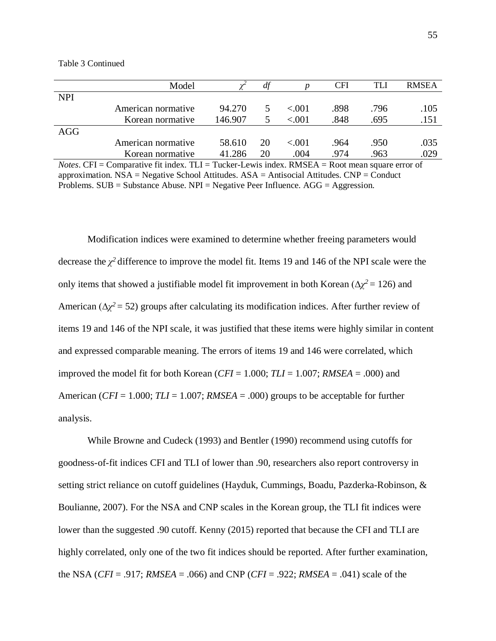|            | Model              |         |    |          | CFI  | TLI  | <b>RMSEA</b> |
|------------|--------------------|---------|----|----------|------|------|--------------|
| <b>NPI</b> |                    |         |    |          |      |      |              |
|            | American normative | 94.270  |    | < 0.01   | .898 | .796 | .105         |
|            | Korean normative   | 146.907 |    | < 0.01   | .848 | .695 | .151         |
| AGG        |                    |         |    |          |      |      |              |
|            | American normative | 58.610  | 20 | ${<}001$ | .964 | .950 | .035         |
|            | Korean normative   | 41.286  | 20 | .004     | .974 | .963 | .029         |

Table 3 Continued

*Notes*. CFI = Comparative fit index. TLI = Tucker-Lewis index. RMSEA = Root mean square error of approximation.  $NSA = Negative School Attitudes. ASA = Antisocial Attitudes. CNP = Conduct$ Problems.  $SUB = Substance$  Abuse.  $NPI = Negative$  Peer Influence.  $AGG = Aggression$ .

Modification indices were examined to determine whether freeing parameters would decrease the  $\chi^2$  difference to improve the model fit. Items 19 and 146 of the NPI scale were the only items that showed a justifiable model fit improvement in both Korean ( $\Delta \chi^2 = 126$ ) and American ( $\Delta \chi^2$  = 52) groups after calculating its modification indices. After further review of items 19 and 146 of the NPI scale, it was justified that these items were highly similar in content and expressed comparable meaning. The errors of items 19 and 146 were correlated, which improved the model fit for both Korean (*CFI* = 1.000; *TLI* = 1.007; *RMSEA* = .000) and American (*CFI* = 1.000; *TLI* = 1.007; *RMSEA* = .000) groups to be acceptable for further analysis.

While Browne and Cudeck (1993) and Bentler (1990) recommend using cutoffs for goodness-of-fit indices CFI and TLI of lower than .90, researchers also report controversy in setting strict reliance on cutoff guidelines (Hayduk, Cummings, Boadu, Pazderka-Robinson, & Boulianne, 2007). For the NSA and CNP scales in the Korean group, the TLI fit indices were lower than the suggested .90 cutoff. Kenny (2015) reported that because the CFI and TLI are highly correlated, only one of the two fit indices should be reported. After further examination, the NSA (*CFI* = .917; *RMSEA* = .066) and CNP (*CFI* = .922; *RMSEA* = .041) scale of the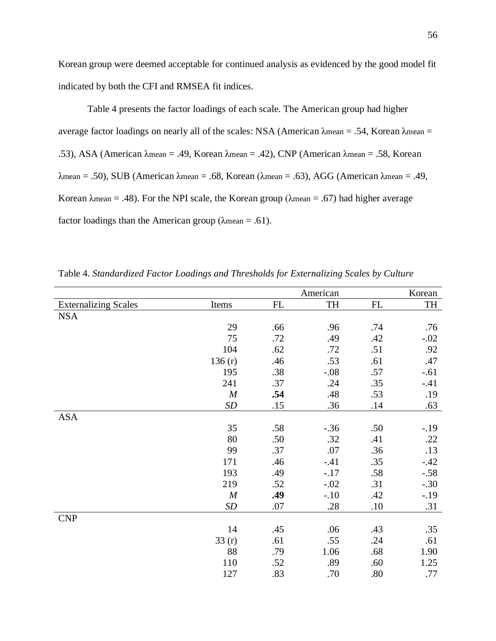Korean group were deemed acceptable for continued analysis as evidenced by the good model fit indicated by both the CFI and RMSEA fit indices.

Table 4 presents the factor loadings of each scale. The American group had higher average factor loadings on nearly all of the scales: NSA (American λmean = .54, Korean λmean = .53), ASA (American λmean = .49, Korean λmean = .42), CNP (American λmean = .58, Korean  $\lambda$ mean = .50), SUB (American  $\lambda$ mean = .68, Korean ( $\lambda$ mean = .63), AGG (American  $\lambda$ mean = .49, Korean  $\lambda$ mean = .48). For the NPI scale, the Korean group ( $\lambda$ mean = .67) had higher average factor loadings than the American group ( $\lambda$ mean = .61).

|                             |                  |     | American |     | Korean |
|-----------------------------|------------------|-----|----------|-----|--------|
| <b>Externalizing Scales</b> | Items            | FL  | TH       | FL  | TH     |
| <b>NSA</b>                  |                  |     |          |     |        |
|                             | 29               | .66 | .96      | .74 | .76    |
|                             | 75               | .72 | .49      | .42 | $-.02$ |
|                             | 104              | .62 | .72      | .51 | .92    |
|                             | 136(r)           | .46 | .53      | .61 | .47    |
|                             | 195              | .38 | $-.08$   | .57 | $-.61$ |
|                             | 241              | .37 | .24      | .35 | $-.41$ |
|                             | $\boldsymbol{M}$ | .54 | .48      | .53 | .19    |
|                             | SD               | .15 | .36      | .14 | .63    |
| <b>ASA</b>                  |                  |     |          |     |        |
|                             | 35               | .58 | $-.36$   | .50 | $-.19$ |
|                             | 80               | .50 | .32      | .41 | .22    |
|                             | 99               | .37 | .07      | .36 | .13    |
|                             | 171              | .46 | $-.41$   | .35 | $-.42$ |
|                             | 193              | .49 | $-.17$   | .58 | $-.58$ |
|                             | 219              | .52 | $-.02$   | .31 | $-.30$ |
|                             | $\boldsymbol{M}$ | .49 | $-.10$   | .42 | $-.19$ |
|                             | SD               | .07 | .28      | .10 | .31    |
| <b>CNP</b>                  |                  |     |          |     |        |
|                             | 14               | .45 | .06      | .43 | .35    |
|                             | 33(r)            | .61 | .55      | .24 | .61    |
|                             | 88               | .79 | 1.06     | .68 | 1.90   |
|                             | 110              | .52 | .89      | .60 | 1.25   |
|                             | 127              | .83 | .70      | .80 | .77    |

Table 4. *Standardized Factor Loadings and Thresholds for Externalizing Scales by Culture*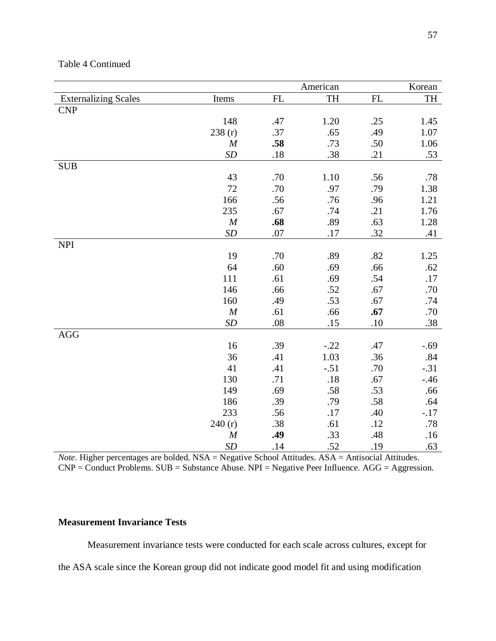Table 4 Continued

|                             |                   |               | American  |               | Korean |
|-----------------------------|-------------------|---------------|-----------|---------------|--------|
| <b>Externalizing Scales</b> | Items             | $\mathbf{FL}$ | <b>TH</b> | $\mathbf{FL}$ | TH     |
| <b>CNP</b>                  |                   |               |           |               |        |
|                             | 148               | .47           | 1.20      | .25           | 1.45   |
|                             | 238(r)            | .37           | .65       | .49           | 1.07   |
|                             | $\boldsymbol{M}$  | .58           | .73       | .50           | 1.06   |
|                             | SD                | .18           | .38       | .21           | .53    |
| <b>SUB</b>                  |                   |               |           |               |        |
|                             | 43                | .70           | 1.10      | .56           | .78    |
|                             | $72\,$            | .70           | .97       | .79           | 1.38   |
|                             | 166               | .56           | .76       | .96           | 1.21   |
|                             | 235               | .67           | .74       | .21           | 1.76   |
|                             | $\cal M$          | .68           | .89       | .63           | 1.28   |
|                             | $\boldsymbol{SD}$ | .07           | .17       | .32           | .41    |
| <b>NPI</b>                  |                   |               |           |               |        |
|                             | 19                | .70           | .89       | .82           | 1.25   |
|                             | 64                | .60           | .69       | .66           | .62    |
|                             | 111               | .61           | .69       | .54           | .17    |
|                             | 146               | .66           | .52       | .67           | .70    |
|                             | 160               | .49           | .53       | .67           | .74    |
|                             | M                 | .61           | .66       | .67           | .70    |
|                             | SD                | .08           | .15       | .10           | .38    |
| AGG                         |                   |               |           |               |        |
|                             | 16                | .39           | $-.22$    | .47           | $-.69$ |
|                             | 36                | .41           | 1.03      | .36           | .84    |
|                             | 41                | .41           | $-.51$    | .70           | $-.31$ |
|                             | 130               | .71           | .18       | .67           | $-.46$ |
|                             | 149               | .69           | .58       | .53           | .66    |
|                             | 186               | .39           | .79       | .58           | .64    |
|                             | 233               | .56           | .17       | .40           | $-.17$ |
|                             | 240(r)            | .38           | .61       | .12           | .78    |
|                             | $\boldsymbol{M}$  | .49           | .33       | .48           | .16    |
|                             | <b>SD</b>         | .14           | .52       | .19           | .63    |

*Note.* Higher percentages are bolded. NSA = Negative School Attitudes. ASA = Antisocial Attitudes. CNP = Conduct Problems. SUB = Substance Abuse. NPI = Negative Peer Influence. AGG = Aggression.

# **Measurement Invariance Tests**

Measurement invariance tests were conducted for each scale across cultures, except for the ASA scale since the Korean group did not indicate good model fit and using modification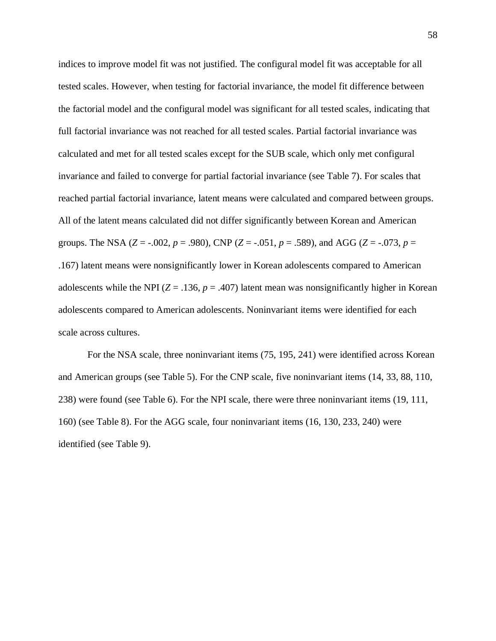indices to improve model fit was not justified. The configural model fit was acceptable for all tested scales. However, when testing for factorial invariance, the model fit difference between the factorial model and the configural model was significant for all tested scales, indicating that full factorial invariance was not reached for all tested scales. Partial factorial invariance was calculated and met for all tested scales except for the SUB scale, which only met configural invariance and failed to converge for partial factorial invariance (see Table 7). For scales that reached partial factorial invariance, latent means were calculated and compared between groups. All of the latent means calculated did not differ significantly between Korean and American groups. The NSA ( $Z = -.002$ ,  $p = .980$ ), CNP ( $Z = -.051$ ,  $p = .589$ ), and AGG ( $Z = -.073$ ,  $p =$ .167) latent means were nonsignificantly lower in Korean adolescents compared to American adolescents while the NPI ( $Z = .136$ ,  $p = .407$ ) latent mean was nonsignificantly higher in Korean adolescents compared to American adolescents. Noninvariant items were identified for each scale across cultures.

For the NSA scale, three noninvariant items (75, 195, 241) were identified across Korean and American groups (see Table 5). For the CNP scale, five noninvariant items (14, 33, 88, 110, 238) were found (see Table 6). For the NPI scale, there were three noninvariant items (19, 111, 160) (see Table 8). For the AGG scale, four noninvariant items (16, 130, 233, 240) were identified (see Table 9).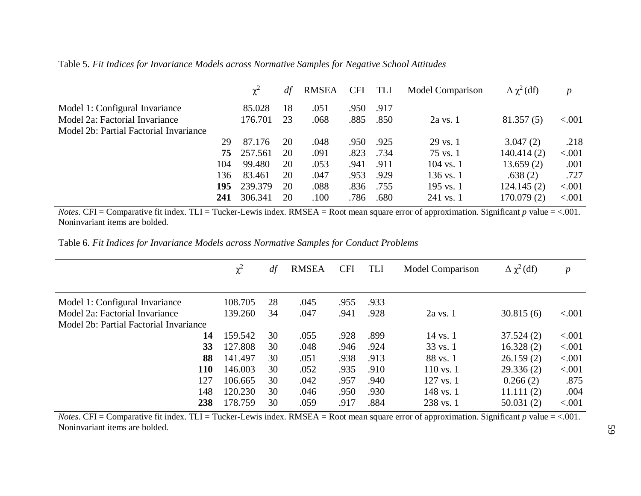Table 5. *Fit Indices for Invariance Models across Normative Samples for Negative School Attitudes*

|                                        |     | $\chi^2$ | df | <b>RMSEA</b> | <b>CFI</b> | TLI  | Model Comparison     | $\Delta \chi^2$ (df) | p        |
|----------------------------------------|-----|----------|----|--------------|------------|------|----------------------|----------------------|----------|
| Model 1: Configural Invariance         |     | 85.028   | 18 | .051         | .950       | .917 |                      |                      |          |
| Model 2a: Factorial Invariance         |     | 176.701  | 23 | .068         | .885       | .850 | $2a$ vs. $1$         | 81.357(5)            | ${<}001$ |
| Model 2b: Partial Factorial Invariance |     |          |    |              |            |      |                      |                      |          |
|                                        | 29  | 87.176   | 20 | .048         | .950       | .925 | $29$ vs. $1$         | 3.047(2)             | .218     |
|                                        | 75  | 257.561  | 20 | .091         | .823       | .734 | $75$ vs. $1$         | 140.414 (2)          | < .001   |
|                                        | 104 | 99.480   | 20 | .053         | .941       | .911 | $104$ vs. 1          | 13.659(2)            | .001     |
|                                        | 136 | 83.461   | 20 | .047         | .953       | .929 | $136 \text{ vs. } 1$ | .638(2)              | .727     |
|                                        | 195 | 239.379  | 20 | .088         | .836       | .755 | 195 vs. $1$          | 124.145(2)           | < .001   |
|                                        | 241 | 306.341  | 20 | 100          | .786       | .680 | 241 vs. 1            | 170.079(2)           | < .001   |

*Notes.* CFI = Comparative fit index. TLI = Tucker-Lewis index. RMSEA = Root mean square error of approximation. Significant  $p$  value = <.001. Noninvariant items are bolded.

Table 6. *Fit Indices for Invariance Models across Normative Samples for Conduct Problems*

|                                        | $\chi^2$ | df | <b>RMSEA</b> | <b>CFI</b> | TLI  | <b>Model Comparison</b> | $\Delta \chi^2$ (df) | $\boldsymbol{p}$ |
|----------------------------------------|----------|----|--------------|------------|------|-------------------------|----------------------|------------------|
|                                        |          |    |              |            |      |                         |                      |                  |
| Model 1: Configural Invariance         | 108.705  | 28 | .045         | .955       | .933 |                         |                      |                  |
| Model 2a: Factorial Invariance         | 139.260  | 34 | .047         | .941       | .928 | $2a$ vs. 1              | 30.815(6)            | < .001           |
| Model 2b: Partial Factorial Invariance |          |    |              |            |      |                         |                      |                  |
| 14                                     | 159.542  | 30 | .055         | .928       | .899 | 14 vs. 1                | 37.524(2)            | < 0.001          |
| 33                                     | 127.808  | 30 | .048         | .946       | .924 | $33 \text{ vs. } 1$     | 16.328(2)            | < 0.001          |
| 88                                     | 141.497  | 30 | .051         | .938       | .913 | 88 vs. 1                | 26.159(2)            | < 0.001          |
| <b>110</b>                             | 146.003  | 30 | .052         | .935       | .910 | $110$ vs. 1             | 29.336(2)            | < 0.001          |
| 127                                    | 106.665  | 30 | .042         | .957       | .940 | $127$ vs. 1             | 0.266(2)             | .875             |
| 148                                    | 120.230  | 30 | .046         | .950       | .930 | 148 vs. 1               | 11.111(2)            | .004             |
| 238                                    | 178.759  | 30 | .059         | .917       | .884 | 238 vs. 1               | 50.031(2)            | < .001           |

*Notes.* CFI = Comparative fit index. TLI = Tucker-Lewis index. RMSEA = Root mean square error of approximation. Significant  $p$  value = <.001. Noninvariant items are bolded.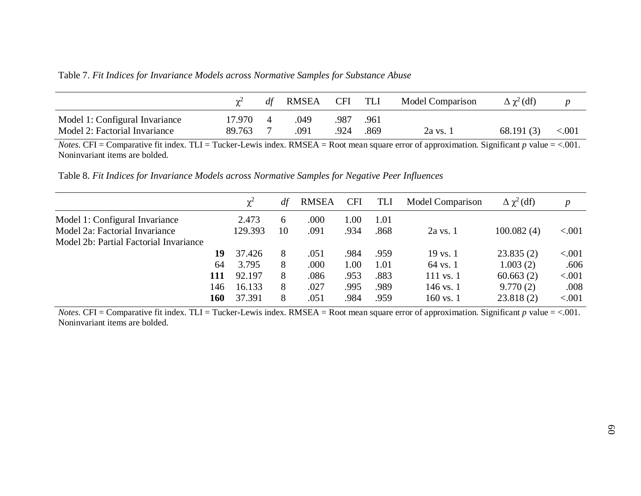Table 7. *Fit Indices for Invariance Models across Normative Samples for Substance Abuse*

|                                |        | RMSEA | CFI TLI |      | Model Comparison | $\Delta \gamma^2$ (df) |          |
|--------------------------------|--------|-------|---------|------|------------------|------------------------|----------|
| Model 1: Configural Invariance | 17.970 | 049   | 987     | .961 |                  |                        |          |
| Model 2: Factorial Invariance  | 89.763 | .091  | .924    | .869 | 2a vs. 1         | 68.191(3)              | ${<}001$ |

*Notes.* CFI = Comparative fit index. TLI = Tucker-Lewis index. RMSEA = Root mean square error of approximation. Significant *p* value = <.001. Noninvariant items are bolded.

Table 8. *Fit Indices for Invariance Models across Normative Samples for Negative Peer Influences*

|                                        |     | $\chi^2$ | df | <b>RMSEA</b> | <b>CFI</b> | TLI  | <b>Model Comparison</b> | $\Delta \chi^2$ (df) | $\boldsymbol{p}$ |
|----------------------------------------|-----|----------|----|--------------|------------|------|-------------------------|----------------------|------------------|
| Model 1: Configural Invariance         |     | 2.473    | 6  | .000         | 1.00       | 1.01 |                         |                      |                  |
| Model 2a: Factorial Invariance         |     | 129.393  | 10 | .091         | .934       | .868 | $2a$ vs. $1$            | 100.082(4)           | < 0.001          |
| Model 2b: Partial Factorial Invariance |     |          |    |              |            |      |                         |                      |                  |
|                                        | 19  | 37.426   | 8  | .051         | .984       | .959 | $19$ vs. $1$            | 23.835(2)            | ${<}001$         |
|                                        | 64  | 3.795    | 8  | .000         | 1.00       | 1.01 | $64$ vs. 1              | 1.003(2)             | .606             |
|                                        | 111 | 92.197   | 8  | .086         | .953       | .883 | 111 vs. 1               | 60.663(2)            | < .001           |
|                                        | 146 | 16.133   | 8  | .027         | .995       | .989 | 146 vs. 1               | 9.770(2)             | .008             |
|                                        | 160 | 37.391   | 8  | .051         | .984       | .959 | 160 vs. 1               | 23.818(2)            | < 0.001          |

*Notes.* CFI = Comparative fit index. TLI = Tucker-Lewis index. RMSEA = Root mean square error of approximation. Significant *p* value = <.001. Noninvariant items are bolded.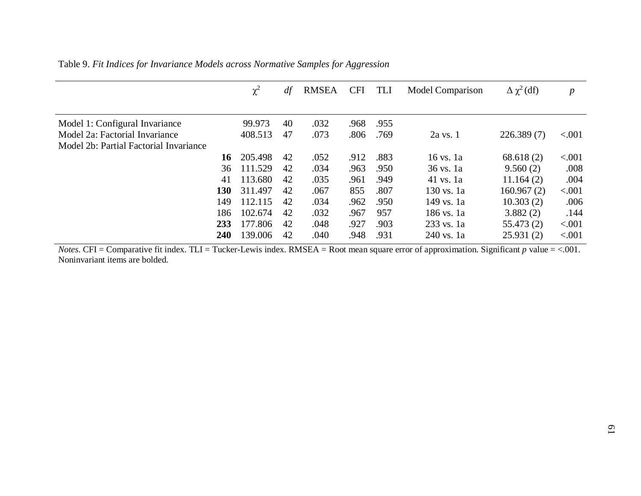| Table 9. Fit Indices for Invariance Models across Normative Samples for Aggression |  |  |  |  |  |  |  |  |  |  |
|------------------------------------------------------------------------------------|--|--|--|--|--|--|--|--|--|--|
|------------------------------------------------------------------------------------|--|--|--|--|--|--|--|--|--|--|

|                                        |     | $\chi^2$ | df | <b>RMSEA</b> | <b>CFI</b> | TLI  | <b>Model Comparison</b> | $\Delta \chi^2$ (df) | $\boldsymbol{p}$ |
|----------------------------------------|-----|----------|----|--------------|------------|------|-------------------------|----------------------|------------------|
|                                        |     |          |    |              |            |      |                         |                      |                  |
| Model 1: Configural Invariance         |     | 99.973   | 40 | .032         | .968       | .955 |                         |                      |                  |
| Model 2a: Factorial Invariance         |     | 408.513  | 47 | .073         | .806       | .769 | $2a$ vs. $1$            | 226.389(7)           | < 0.001          |
| Model 2b: Partial Factorial Invariance |     |          |    |              |            |      |                         |                      |                  |
|                                        | 16  | 205.498  | 42 | .052         | .912       | .883 | $16$ vs. $1a$           | 68.618(2)            | < .001           |
|                                        | 36  | 111.529  | 42 | .034         | .963       | .950 | 36 vs. 1a               | 9.560(2)             | .008             |
|                                        | 41  | 113.680  | 42 | .035         | .961       | .949 | $41$ vs. 1a             | 11.164(2)            | .004             |
|                                        | 130 | 311.497  | 42 | .067         | 855        | .807 | 130 vs. 1a              | 160.967(2)           | < .001           |
|                                        | 149 | 112.115  | 42 | .034         | .962       | .950 | 149 vs. 1a              | 10.303(2)            | .006             |
|                                        | 186 | 102.674  | 42 | .032         | .967       | 957  | 186 vs. 1a              | 3.882(2)             | .144             |
|                                        | 233 | 177.806  | 42 | .048         | .927       | .903 | 233 vs. 1a              | 55.473(2)            | < .001           |
|                                        | 240 | 139.006  | 42 | .040         | .948       | .931 | 240 vs. 1a              | 25.931(2)            | < .001           |

*Notes.* CFI = Comparative fit index. TLI = Tucker-Lewis index. RMSEA = Root mean square error of approximation. Significant *p* value = <.001. Noninvariant items are bolded.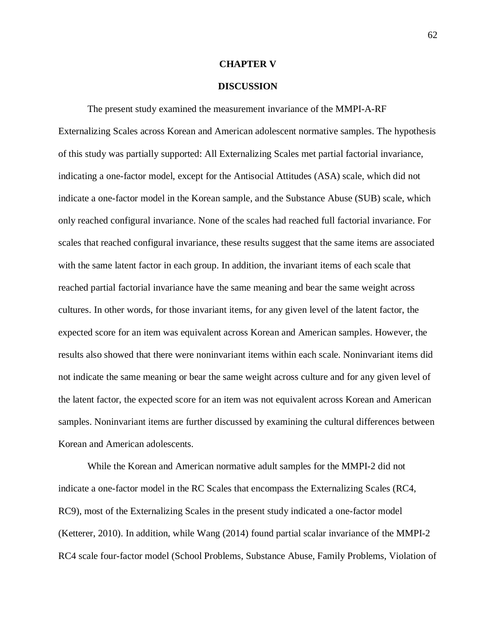### **CHAPTER V**

## **DISCUSSION**

The present study examined the measurement invariance of the MMPI-A-RF Externalizing Scales across Korean and American adolescent normative samples. The hypothesis of this study was partially supported: All Externalizing Scales met partial factorial invariance, indicating a one-factor model, except for the Antisocial Attitudes (ASA) scale, which did not indicate a one-factor model in the Korean sample, and the Substance Abuse (SUB) scale, which only reached configural invariance. None of the scales had reached full factorial invariance. For scales that reached configural invariance, these results suggest that the same items are associated with the same latent factor in each group. In addition, the invariant items of each scale that reached partial factorial invariance have the same meaning and bear the same weight across cultures. In other words, for those invariant items, for any given level of the latent factor, the expected score for an item was equivalent across Korean and American samples. However, the results also showed that there were noninvariant items within each scale. Noninvariant items did not indicate the same meaning or bear the same weight across culture and for any given level of the latent factor, the expected score for an item was not equivalent across Korean and American samples. Noninvariant items are further discussed by examining the cultural differences between Korean and American adolescents.

While the Korean and American normative adult samples for the MMPI-2 did not indicate a one-factor model in the RC Scales that encompass the Externalizing Scales (RC4, RC9), most of the Externalizing Scales in the present study indicated a one-factor model (Ketterer, 2010). In addition, while Wang (2014) found partial scalar invariance of the MMPI-2 RC4 scale four-factor model (School Problems, Substance Abuse, Family Problems, Violation of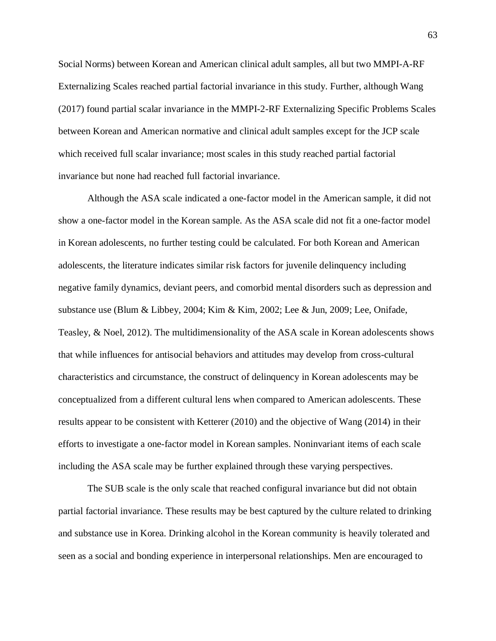Social Norms) between Korean and American clinical adult samples, all but two MMPI-A-RF Externalizing Scales reached partial factorial invariance in this study. Further, although Wang (2017) found partial scalar invariance in the MMPI-2-RF Externalizing Specific Problems Scales between Korean and American normative and clinical adult samples except for the JCP scale which received full scalar invariance; most scales in this study reached partial factorial invariance but none had reached full factorial invariance.

Although the ASA scale indicated a one-factor model in the American sample, it did not show a one-factor model in the Korean sample. As the ASA scale did not fit a one-factor model in Korean adolescents, no further testing could be calculated. For both Korean and American adolescents, the literature indicates similar risk factors for juvenile delinquency including negative family dynamics, deviant peers, and comorbid mental disorders such as depression and substance use (Blum & Libbey, 2004; Kim & Kim, 2002; Lee & Jun, 2009; Lee, Onifade, Teasley, & Noel, 2012). The multidimensionality of the ASA scale in Korean adolescents shows that while influences for antisocial behaviors and attitudes may develop from cross-cultural characteristics and circumstance, the construct of delinquency in Korean adolescents may be conceptualized from a different cultural lens when compared to American adolescents. These results appear to be consistent with Ketterer (2010) and the objective of Wang (2014) in their efforts to investigate a one-factor model in Korean samples. Noninvariant items of each scale including the ASA scale may be further explained through these varying perspectives.

The SUB scale is the only scale that reached configural invariance but did not obtain partial factorial invariance. These results may be best captured by the culture related to drinking and substance use in Korea. Drinking alcohol in the Korean community is heavily tolerated and seen as a social and bonding experience in interpersonal relationships. Men are encouraged to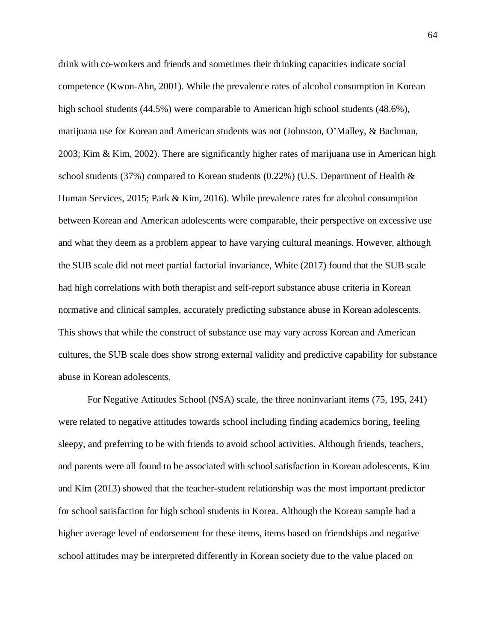drink with co-workers and friends and sometimes their drinking capacities indicate social competence (Kwon-Ahn, 2001). While the prevalence rates of alcohol consumption in Korean high school students (44.5%) were comparable to American high school students (48.6%), marijuana use for Korean and American students was not (Johnston, O'Malley, & Bachman, 2003; Kim & Kim, 2002). There are significantly higher rates of marijuana use in American high school students (37%) compared to Korean students (0.22%) (U.S. Department of Health & Human Services, 2015; Park & Kim, 2016). While prevalence rates for alcohol consumption between Korean and American adolescents were comparable, their perspective on excessive use and what they deem as a problem appear to have varying cultural meanings. However, although the SUB scale did not meet partial factorial invariance, White (2017) found that the SUB scale had high correlations with both therapist and self-report substance abuse criteria in Korean normative and clinical samples, accurately predicting substance abuse in Korean adolescents. This shows that while the construct of substance use may vary across Korean and American cultures, the SUB scale does show strong external validity and predictive capability for substance abuse in Korean adolescents.

For Negative Attitudes School (NSA) scale, the three noninvariant items (75, 195, 241) were related to negative attitudes towards school including finding academics boring, feeling sleepy, and preferring to be with friends to avoid school activities. Although friends, teachers, and parents were all found to be associated with school satisfaction in Korean adolescents, Kim and Kim (2013) showed that the teacher-student relationship was the most important predictor for school satisfaction for high school students in Korea. Although the Korean sample had a higher average level of endorsement for these items, items based on friendships and negative school attitudes may be interpreted differently in Korean society due to the value placed on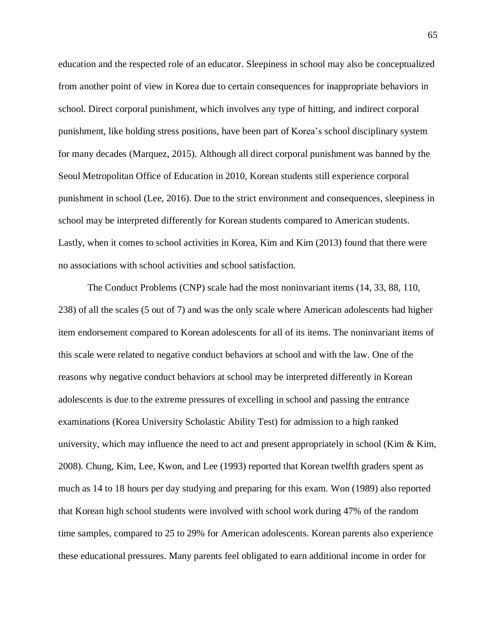education and the respected role of an educator. Sleepiness in school may also be conceptualized from another point of view in Korea due to certain consequences for inappropriate behaviors in school. Direct corporal punishment, which involves any type of hitting, and indirect corporal punishment, like holding stress positions, have been part of Korea's school disciplinary system for many decades (Marquez, 2015). Although all direct corporal punishment was banned by the Seoul Metropolitan Office of Education in 2010, Korean students still experience corporal punishment in school (Lee, 2016). Due to the strict environment and consequences, sleepiness in school may be interpreted differently for Korean students compared to American students. Lastly, when it comes to school activities in Korea, Kim and Kim (2013) found that there were no associations with school activities and school satisfaction.

The Conduct Problems (CNP) scale had the most noninvariant items (14, 33, 88, 110, 238) of all the scales (5 out of 7) and was the only scale where American adolescents had higher item endorsement compared to Korean adolescents for all of its items. The noninvariant items of this scale were related to negative conduct behaviors at school and with the law. One of the reasons why negative conduct behaviors at school may be interpreted differently in Korean adolescents is due to the extreme pressures of excelling in school and passing the entrance examinations (Korea University Scholastic Ability Test) for admission to a high ranked university, which may influence the need to act and present appropriately in school (Kim  $\&$  Kim, 2008). Chung, Kim, Lee, Kwon, and Lee (1993) reported that Korean twelfth graders spent as much as 14 to 18 hours per day studying and preparing for this exam. Won (1989) also reported that Korean high school students were involved with school work during 47% of the random time samples, compared to 25 to 29% for American adolescents. Korean parents also experience these educational pressures. Many parents feel obligated to earn additional income in order for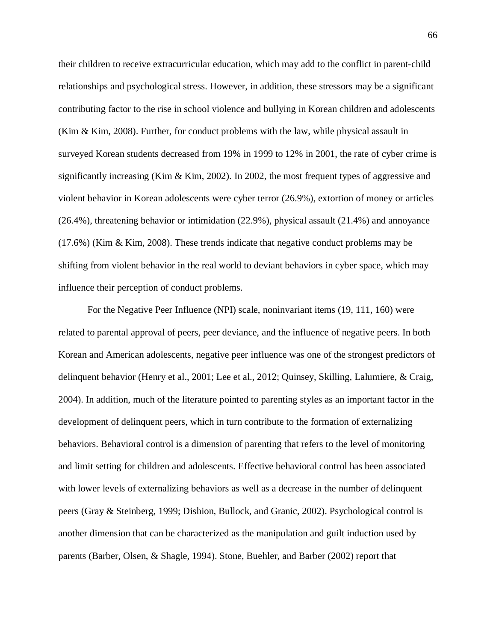their children to receive extracurricular education, which may add to the conflict in parent-child relationships and psychological stress. However, in addition, these stressors may be a significant contributing factor to the rise in school violence and bullying in Korean children and adolescents (Kim & Kim, 2008). Further, for conduct problems with the law, while physical assault in surveyed Korean students decreased from 19% in 1999 to 12% in 2001, the rate of cyber crime is significantly increasing (Kim & Kim, 2002). In 2002, the most frequent types of aggressive and violent behavior in Korean adolescents were cyber terror (26.9%), extortion of money or articles  $(26.4\%)$ , threatening behavior or intimidation  $(22.9\%)$ , physical assault  $(21.4\%)$  and annoyance (17.6%) (Kim & Kim, 2008). These trends indicate that negative conduct problems may be shifting from violent behavior in the real world to deviant behaviors in cyber space, which may influence their perception of conduct problems.

For the Negative Peer Influence (NPI) scale, noninvariant items (19, 111, 160) were related to parental approval of peers, peer deviance, and the influence of negative peers. In both Korean and American adolescents, negative peer influence was one of the strongest predictors of delinquent behavior (Henry et al., 2001; Lee et al., 2012; Quinsey, Skilling, Lalumiere, & Craig, 2004). In addition, much of the literature pointed to parenting styles as an important factor in the development of delinquent peers, which in turn contribute to the formation of externalizing behaviors. Behavioral control is a dimension of parenting that refers to the level of monitoring and limit setting for children and adolescents. Effective behavioral control has been associated with lower levels of externalizing behaviors as well as a decrease in the number of delinquent peers (Gray & Steinberg, 1999; Dishion, Bullock, and Granic, 2002). Psychological control is another dimension that can be characterized as the manipulation and guilt induction used by parents (Barber, Olsen, & Shagle, 1994). Stone, Buehler, and Barber (2002) report that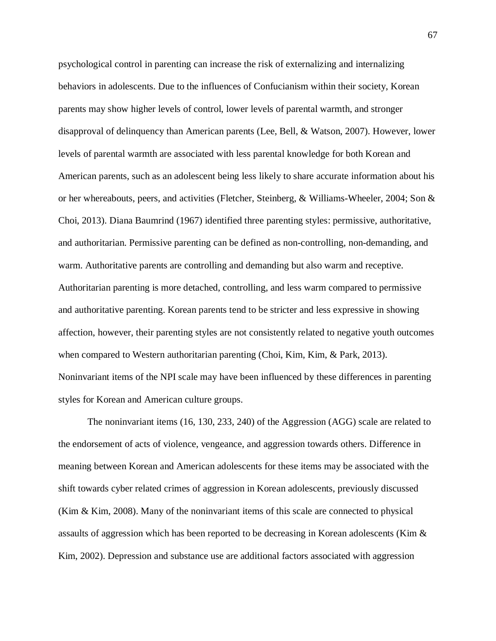psychological control in parenting can increase the risk of externalizing and internalizing behaviors in adolescents. Due to the influences of Confucianism within their society, Korean parents may show higher levels of control, lower levels of parental warmth, and stronger disapproval of delinquency than American parents (Lee, Bell, & Watson, 2007). However, lower levels of parental warmth are associated with less parental knowledge for both Korean and American parents, such as an adolescent being less likely to share accurate information about his or her whereabouts, peers, and activities (Fletcher, Steinberg, & Williams-Wheeler, 2004; Son & Choi, 2013). Diana Baumrind (1967) identified three parenting styles: permissive, authoritative, and authoritarian. Permissive parenting can be defined as non-controlling, non-demanding, and warm. Authoritative parents are controlling and demanding but also warm and receptive. Authoritarian parenting is more detached, controlling, and less warm compared to permissive and authoritative parenting. Korean parents tend to be stricter and less expressive in showing affection, however, their parenting styles are not consistently related to negative youth outcomes when compared to Western authoritarian parenting (Choi, Kim, Kim, & Park, 2013). Noninvariant items of the NPI scale may have been influenced by these differences in parenting styles for Korean and American culture groups.

The noninvariant items (16, 130, 233, 240) of the Aggression (AGG) scale are related to the endorsement of acts of violence, vengeance, and aggression towards others. Difference in meaning between Korean and American adolescents for these items may be associated with the shift towards cyber related crimes of aggression in Korean adolescents, previously discussed (Kim & Kim, 2008). Many of the noninvariant items of this scale are connected to physical assaults of aggression which has been reported to be decreasing in Korean adolescents (Kim & Kim, 2002). Depression and substance use are additional factors associated with aggression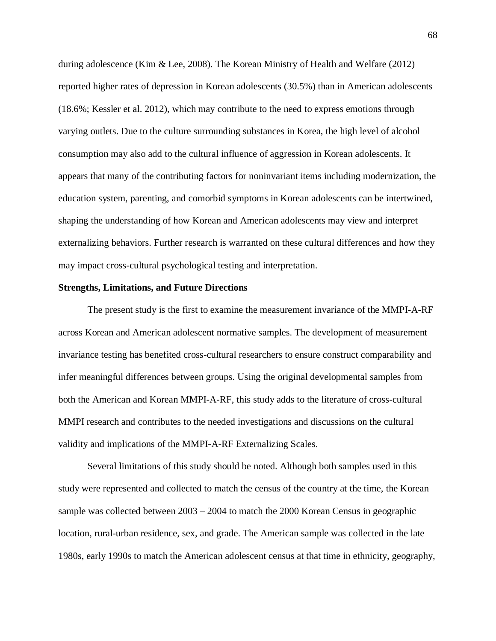during adolescence (Kim & Lee, 2008). The Korean Ministry of Health and Welfare (2012) reported higher rates of depression in Korean adolescents (30.5%) than in American adolescents (18.6%; Kessler et al. 2012), which may contribute to the need to express emotions through varying outlets. Due to the culture surrounding substances in Korea, the high level of alcohol consumption may also add to the cultural influence of aggression in Korean adolescents. It appears that many of the contributing factors for noninvariant items including modernization, the education system, parenting, and comorbid symptoms in Korean adolescents can be intertwined, shaping the understanding of how Korean and American adolescents may view and interpret externalizing behaviors. Further research is warranted on these cultural differences and how they may impact cross-cultural psychological testing and interpretation.

#### **Strengths, Limitations, and Future Directions**

The present study is the first to examine the measurement invariance of the MMPI-A-RF across Korean and American adolescent normative samples. The development of measurement invariance testing has benefited cross-cultural researchers to ensure construct comparability and infer meaningful differences between groups. Using the original developmental samples from both the American and Korean MMPI-A-RF, this study adds to the literature of cross-cultural MMPI research and contributes to the needed investigations and discussions on the cultural validity and implications of the MMPI-A-RF Externalizing Scales.

Several limitations of this study should be noted. Although both samples used in this study were represented and collected to match the census of the country at the time, the Korean sample was collected between 2003 – 2004 to match the 2000 Korean Census in geographic location, rural-urban residence, sex, and grade. The American sample was collected in the late 1980s, early 1990s to match the American adolescent census at that time in ethnicity, geography,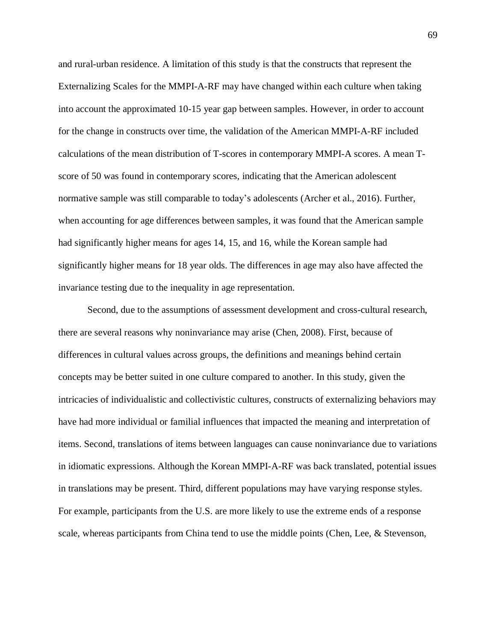and rural-urban residence. A limitation of this study is that the constructs that represent the Externalizing Scales for the MMPI-A-RF may have changed within each culture when taking into account the approximated 10-15 year gap between samples. However, in order to account for the change in constructs over time, the validation of the American MMPI-A-RF included calculations of the mean distribution of T-scores in contemporary MMPI-A scores. A mean Tscore of 50 was found in contemporary scores, indicating that the American adolescent normative sample was still comparable to today's adolescents (Archer et al., 2016). Further, when accounting for age differences between samples, it was found that the American sample had significantly higher means for ages 14, 15, and 16, while the Korean sample had significantly higher means for 18 year olds. The differences in age may also have affected the invariance testing due to the inequality in age representation.

Second, due to the assumptions of assessment development and cross-cultural research, there are several reasons why noninvariance may arise (Chen, 2008). First, because of differences in cultural values across groups, the definitions and meanings behind certain concepts may be better suited in one culture compared to another. In this study, given the intricacies of individualistic and collectivistic cultures, constructs of externalizing behaviors may have had more individual or familial influences that impacted the meaning and interpretation of items. Second, translations of items between languages can cause noninvariance due to variations in idiomatic expressions. Although the Korean MMPI-A-RF was back translated, potential issues in translations may be present. Third, different populations may have varying response styles. For example, participants from the U.S. are more likely to use the extreme ends of a response scale, whereas participants from China tend to use the middle points (Chen, Lee, & Stevenson,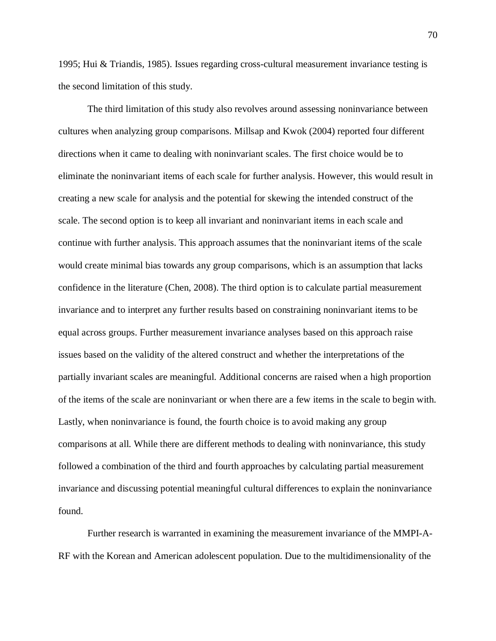1995; Hui & Triandis, 1985). Issues regarding cross-cultural measurement invariance testing is the second limitation of this study.

The third limitation of this study also revolves around assessing noninvariance between cultures when analyzing group comparisons. Millsap and Kwok (2004) reported four different directions when it came to dealing with noninvariant scales. The first choice would be to eliminate the noninvariant items of each scale for further analysis. However, this would result in creating a new scale for analysis and the potential for skewing the intended construct of the scale. The second option is to keep all invariant and noninvariant items in each scale and continue with further analysis. This approach assumes that the noninvariant items of the scale would create minimal bias towards any group comparisons, which is an assumption that lacks confidence in the literature (Chen, 2008). The third option is to calculate partial measurement invariance and to interpret any further results based on constraining noninvariant items to be equal across groups. Further measurement invariance analyses based on this approach raise issues based on the validity of the altered construct and whether the interpretations of the partially invariant scales are meaningful. Additional concerns are raised when a high proportion of the items of the scale are noninvariant or when there are a few items in the scale to begin with. Lastly, when noninvariance is found, the fourth choice is to avoid making any group comparisons at all. While there are different methods to dealing with noninvariance, this study followed a combination of the third and fourth approaches by calculating partial measurement invariance and discussing potential meaningful cultural differences to explain the noninvariance found.

Further research is warranted in examining the measurement invariance of the MMPI-A-RF with the Korean and American adolescent population. Due to the multidimensionality of the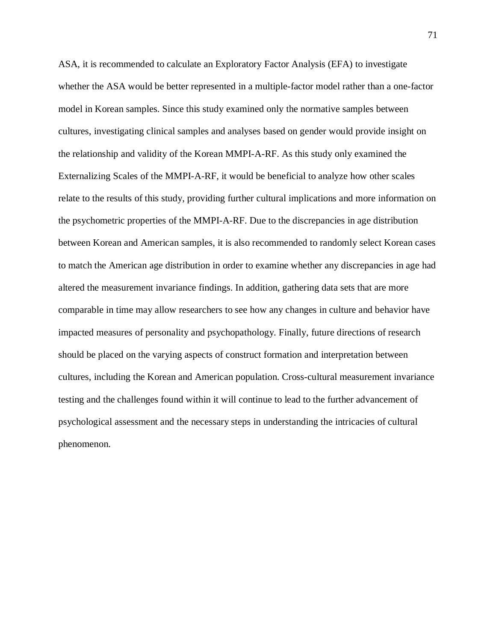ASA, it is recommended to calculate an Exploratory Factor Analysis (EFA) to investigate whether the ASA would be better represented in a multiple-factor model rather than a one-factor model in Korean samples. Since this study examined only the normative samples between cultures, investigating clinical samples and analyses based on gender would provide insight on the relationship and validity of the Korean MMPI-A-RF. As this study only examined the Externalizing Scales of the MMPI-A-RF, it would be beneficial to analyze how other scales relate to the results of this study, providing further cultural implications and more information on the psychometric properties of the MMPI-A-RF. Due to the discrepancies in age distribution between Korean and American samples, it is also recommended to randomly select Korean cases to match the American age distribution in order to examine whether any discrepancies in age had altered the measurement invariance findings. In addition, gathering data sets that are more comparable in time may allow researchers to see how any changes in culture and behavior have impacted measures of personality and psychopathology. Finally, future directions of research should be placed on the varying aspects of construct formation and interpretation between cultures, including the Korean and American population. Cross-cultural measurement invariance testing and the challenges found within it will continue to lead to the further advancement of psychological assessment and the necessary steps in understanding the intricacies of cultural phenomenon.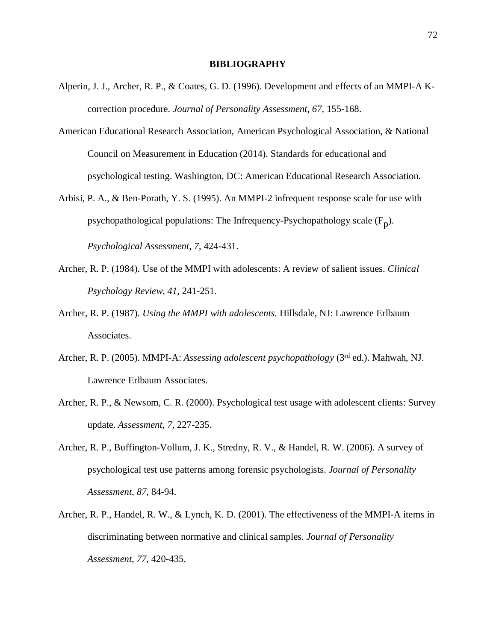### **BIBLIOGRAPHY**

- Alperin, J. J., Archer, R. P., & Coates, G. D. (1996). Development and effects of an MMPI-A Kcorrection procedure. *Journal of Personality Assessment, 67,* 155-168.
- American Educational Research Association, American Psychological Association, & National Council on Measurement in Education (2014). Standards for educational and psychological testing. Washington, DC: American Educational Research Association.
- Arbisi, P. A., & Ben-Porath, Y. S. (1995). An MMPI-2 infrequent response scale for use with psychopathological populations: The Infrequency-Psychopathology scale  $(F_p)$ . *Psychological Assessment, 7*, 424-431.
- Archer, R. P. (1984). Use of the MMPI with adolescents: A review of salient issues. *Clinical Psychology Review, 41,* 241-251.
- Archer, R. P. (1987). *Using the MMPI with adolescents.* Hillsdale, NJ: Lawrence Erlbaum Associates.
- Archer, R. P. (2005). MMPI-A: *Assessing adolescent psychopathology* (3rd ed.). Mahwah, NJ. Lawrence Erlbaum Associates.
- Archer, R. P., & Newsom, C. R. (2000). Psychological test usage with adolescent clients: Survey update. *Assessment, 7,* 227-235.
- Archer, R. P., Buffington-Vollum, J. K., Stredny, R. V., & Handel, R. W. (2006). A survey of psychological test use patterns among forensic psychologists. *Journal of Personality Assessment, 87,* 84-94.
- Archer, R. P., Handel, R. W., & Lynch, K. D. (2001). The effectiveness of the MMPI-A items in discriminating between normative and clinical samples. *Journal of Personality Assessment, 77,* 420-435.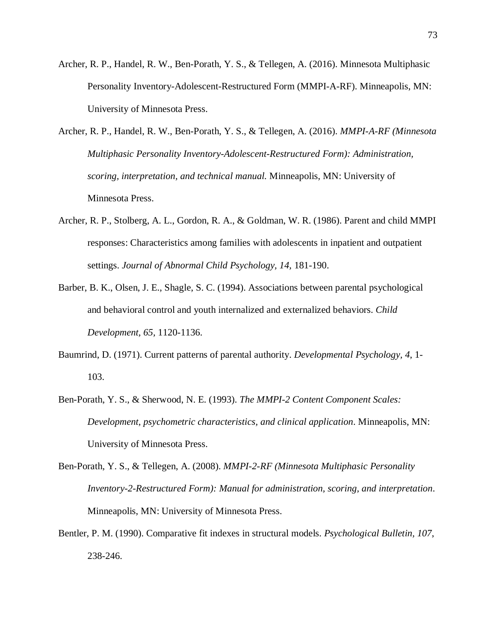- Archer, R. P., Handel, R. W., Ben-Porath, Y. S., & Tellegen, A. (2016). Minnesota Multiphasic Personality Inventory-Adolescent-Restructured Form (MMPI-A-RF). Minneapolis, MN: University of Minnesota Press.
- Archer, R. P., Handel, R. W., Ben-Porath, Y. S., & Tellegen, A. (2016). *MMPI-A-RF (Minnesota Multiphasic Personality Inventory-Adolescent-Restructured Form): Administration, scoring, interpretation, and technical manual.* Minneapolis, MN: University of Minnesota Press.
- Archer, R. P., Stolberg, A. L., Gordon, R. A., & Goldman, W. R. (1986). Parent and child MMPI responses: Characteristics among families with adolescents in inpatient and outpatient settings. *Journal of Abnormal Child Psychology, 14,* 181-190.
- Barber, B. K., Olsen, J. E., Shagle, S. C. (1994). Associations between parental psychological and behavioral control and youth internalized and externalized behaviors. *Child Development, 65,* 1120-1136.
- Baumrind, D. (1971). Current patterns of parental authority. *Developmental Psychology, 4*, 1- 103.
- Ben-Porath, Y. S., & Sherwood, N. E. (1993). *The MMPI-2 Content Component Scales: Development, psychometric characteristics, and clinical application*. Minneapolis, MN: University of Minnesota Press.
- Ben-Porath, Y. S., & Tellegen, A. (2008). *MMPI-2-RF (Minnesota Multiphasic Personality Inventory-2-Restructured Form): Manual for administration, scoring, and interpretation*. Minneapolis, MN: University of Minnesota Press.
- Bentler, P. M. (1990). Comparative fit indexes in structural models. *Psychological Bulletin, 107*, 238-246.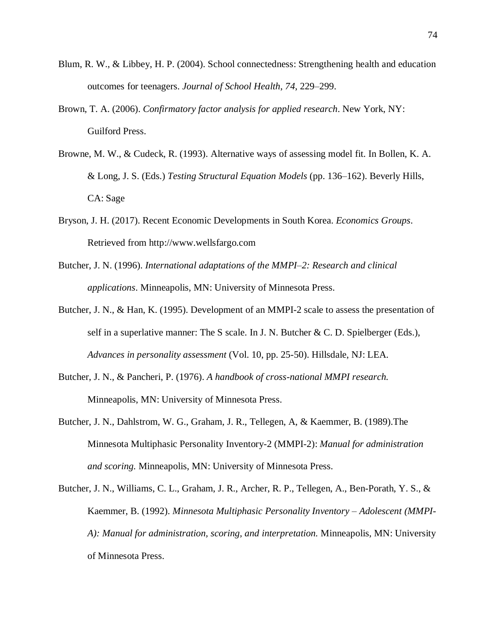- Blum, R. W., & Libbey, H. P. (2004). School connectedness: Strengthening health and education outcomes for teenagers. *Journal of School Health*, *74*, 229–299.
- Brown, T. A. (2006). *Confirmatory factor analysis for applied research*. New York, NY: Guilford Press.
- Browne, M. W., & Cudeck, R. (1993). Alternative ways of assessing model fit. In Bollen, K. A. & Long, J. S. (Eds.) *Testing Structural Equation Models* (pp. 136–162). Beverly Hills, CA: Sage
- Bryson, J. H. (2017). Recent Economic Developments in South Korea. *Economics Groups*. Retrieved from http://www.wellsfargo.com
- Butcher, J. N. (1996). *International adaptations of the MMPI–2: Research and clinical applications*. Minneapolis, MN: University of Minnesota Press.
- Butcher, J. N., & Han, K. (1995). Development of an MMPI-2 scale to assess the presentation of self in a superlative manner: The S scale. In J. N. Butcher & C. D. Spielberger (Eds.), *Advances in personality assessment* (Vol. 10, pp. 25-50). Hillsdale, NJ: LEA.
- Butcher, J. N., & Pancheri, P. (1976). *A handbook of cross-national MMPI research.* Minneapolis, MN: University of Minnesota Press.
- Butcher, J. N., Dahlstrom, W. G., Graham, J. R., Tellegen, A, & Kaemmer, B. (1989).The Minnesota Multiphasic Personality Inventory-2 (MMPI-2): *Manual for administration and scoring.* Minneapolis, MN: University of Minnesota Press.
- Butcher, J. N., Williams, C. L., Graham, J. R., Archer, R. P., Tellegen, A., Ben-Porath, Y. S., & Kaemmer, B. (1992). *Minnesota Multiphasic Personality Inventory – Adolescent (MMPI-A): Manual for administration, scoring, and interpretation.* Minneapolis, MN: University of Minnesota Press.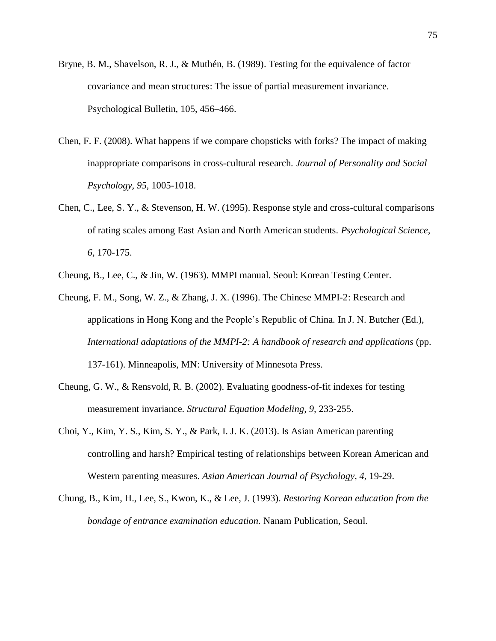- Bryne, B. M., Shavelson, R. J., & Muthén, B. (1989). Testing for the equivalence of factor covariance and mean structures: The issue of partial measurement invariance. Psychological Bulletin, 105, 456–466.
- Chen, F. F. (2008). What happens if we compare chopsticks with forks? The impact of making inappropriate comparisons in cross-cultural research. *Journal of Personality and Social Psychology, 95,* 1005-1018.
- Chen, C., Lee, S. Y., & Stevenson, H. W. (1995). Response style and cross-cultural comparisons of rating scales among East Asian and North American students. *Psychological Science, 6,* 170-175.
- Cheung, B., Lee, C., & Jin, W. (1963). MMPI manual. Seoul: Korean Testing Center.
- Cheung, F. M., Song, W. Z., & Zhang, J. X. (1996). The Chinese MMPI-2: Research and applications in Hong Kong and the People's Republic of China. In J. N. Butcher (Ed.), *International adaptations of the MMPI-2: A handbook of research and applications* (pp. 137-161). Minneapolis, MN: University of Minnesota Press.
- Cheung, G. W., & Rensvold, R. B. (2002). Evaluating goodness-of-fit indexes for testing measurement invariance. *Structural Equation Modeling, 9,* 233-255.
- Choi, Y., Kim, Y. S., Kim, S. Y., & Park, I. J. K. (2013). Is Asian American parenting controlling and harsh? Empirical testing of relationships between Korean American and Western parenting measures. *Asian American Journal of Psychology, 4*, 19-29.
- Chung, B., Kim, H., Lee, S., Kwon, K., & Lee, J. (1993). *Restoring Korean education from the bondage of entrance examination education.* Nanam Publication, Seoul.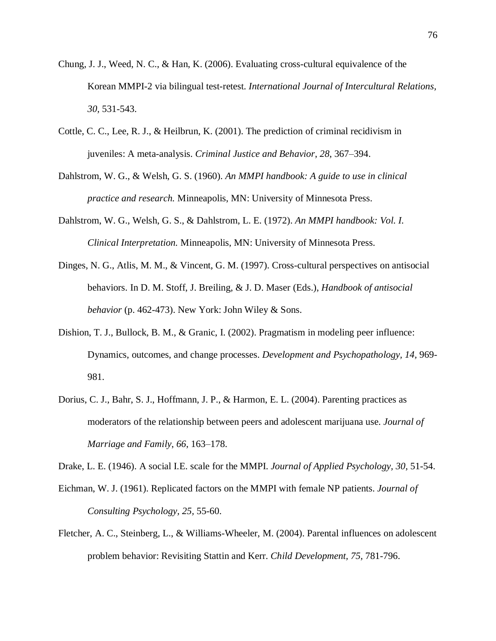- Chung, J. J., Weed, N. C., & Han, K. (2006). Evaluating cross-cultural equivalence of the Korean MMPI-2 via bilingual test-retest. *International Journal of Intercultural Relations, 30,* 531-543.
- Cottle, C. C., Lee, R. J., & Heilbrun, K. (2001). The prediction of criminal recidivism in juveniles: A meta-analysis. *Criminal Justice and Behavior*, *28*, 367–394.
- Dahlstrom, W. G., & Welsh, G. S. (1960). *An MMPI handbook: A guide to use in clinical practice and research.* Minneapolis, MN: University of Minnesota Press.
- Dahlstrom, W. G., Welsh, G. S., & Dahlstrom, L. E. (1972). *An MMPI handbook: Vol. I. Clinical Interpretation.* Minneapolis, MN: University of Minnesota Press.
- Dinges, N. G., Atlis, M. M., & Vincent, G. M. (1997). Cross-cultural perspectives on antisocial behaviors. In D. M. Stoff, J. Breiling, & J. D. Maser (Eds.), *Handbook of antisocial behavior* (p. 462-473). New York: John Wiley & Sons.
- Dishion, T. J., Bullock, B. M., & Granic, I. (2002). Pragmatism in modeling peer influence: Dynamics, outcomes, and change processes. *Development and Psychopathology, 14,* 969- 981.
- Dorius, C. J., Bahr, S. J., Hoffmann, J. P., & Harmon, E. L. (2004). Parenting practices as moderators of the relationship between peers and adolescent marijuana use. *Journal of Marriage and Family*, *66*, 163–178.

Drake, L. E. (1946). A social I.E. scale for the MMPI. *Journal of Applied Psychology, 30,* 51-54.

- Eichman, W. J. (1961). Replicated factors on the MMPI with female NP patients. *Journal of Consulting Psychology, 25,* 55-60.
- Fletcher, A. C., Steinberg, L., & Williams-Wheeler, M. (2004). Parental influences on adolescent problem behavior: Revisiting Stattin and Kerr. *Child Development, 75,* 781-796.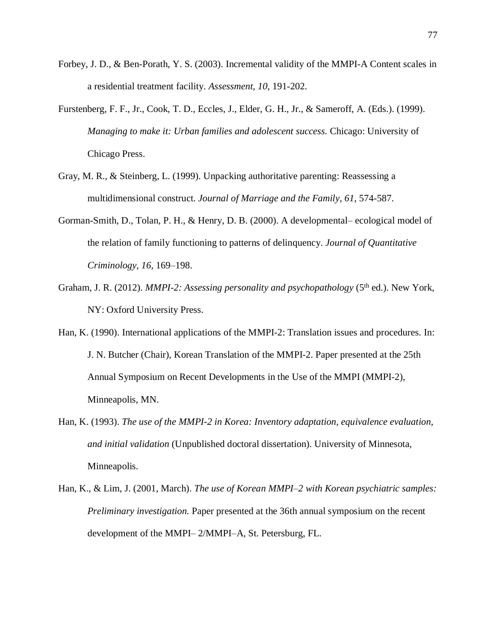- Forbey, J. D., & Ben-Porath, Y. S. (2003). Incremental validity of the MMPI-A Content scales in a residential treatment facility. *Assessment, 10,* 191-202.
- Furstenberg, F. F., Jr., Cook, T. D., Eccles, J., Elder, G. H., Jr., & Sameroff, A. (Eds.). (1999). *Managing to make it: Urban families and adolescent success.* Chicago: University of Chicago Press.
- Gray, M. R., & Steinberg, L. (1999). Unpacking authoritative parenting: Reassessing a multidimensional construct. *Journal of Marriage and the Family, 61*, 574-587.
- Gorman-Smith, D., Tolan, P. H., & Henry, D. B. (2000). A developmental– ecological model of the relation of family functioning to patterns of delinquency. *Journal of Quantitative Criminology, 16,* 169–198.
- Graham, J. R. (2012). *MMPI-2: Assessing personality and psychopathology* (5<sup>th</sup> ed.). New York, NY: Oxford University Press.
- Han, K. (1990). International applications of the MMPI-2: Translation issues and procedures. In: J. N. Butcher (Chair), Korean Translation of the MMPI-2. Paper presented at the 25th Annual Symposium on Recent Developments in the Use of the MMPI (MMPI-2), Minneapolis, MN.
- Han, K. (1993). *The use of the MMPI-2 in Korea: Inventory adaptation, equivalence evaluation, and initial validation* (Unpublished doctoral dissertation). University of Minnesota, Minneapolis.
- Han, K., & Lim, J. (2001, March). *The use of Korean MMPI–2 with Korean psychiatric samples: Preliminary investigation.* Paper presented at the 36th annual symposium on the recent development of the MMPI–2/MMPI–A, St. Petersburg, FL.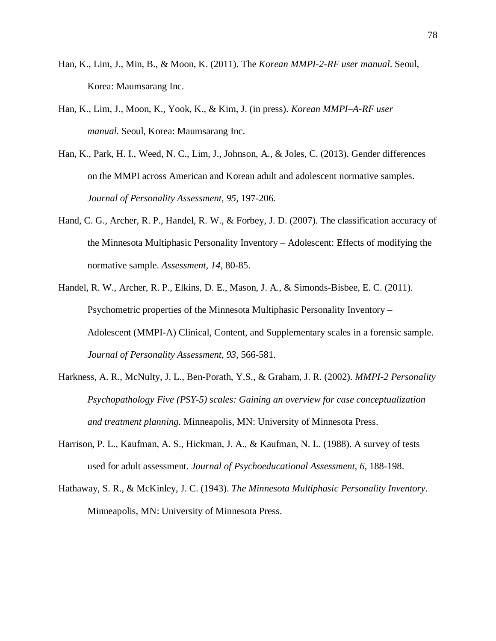- Han, K., Lim, J., Min, B., & Moon, K. (2011). The *Korean MMPI-2-RF user manual*. Seoul, Korea: Maumsarang Inc.
- Han, K., Lim, J., Moon, K., Yook, K., & Kim, J. (in press). *Korean MMPI–A-RF user manual.* Seoul, Korea: Maumsarang Inc.
- Han, K., Park, H. I., Weed, N. C., Lim, J., Johnson, A., & Joles, C. (2013). Gender differences on the MMPI across American and Korean adult and adolescent normative samples. *Journal of Personality Assessment, 95,* 197-206.
- Hand, C. G., Archer, R. P., Handel, R. W., & Forbey, J. D. (2007). The classification accuracy of the Minnesota Multiphasic Personality Inventory – Adolescent: Effects of modifying the normative sample. *Assessment, 14,* 80-85.
- Handel, R. W., Archer, R. P., Elkins, D. E., Mason, J. A., & Simonds-Bisbee, E. C. (2011). Psychometric properties of the Minnesota Multiphasic Personality Inventory – Adolescent (MMPI-A) Clinical, Content, and Supplementary scales in a forensic sample. *Journal of Personality Assessment, 93,* 566-581.
- Harkness, A. R., McNulty, J. L., Ben-Porath, Y.S., & Graham, J. R. (2002). *MMPI-2 Personality Psychopathology Five (PSY-5) scales: Gaining an overview for case conceptualization and treatment planning.* Minneapolis, MN: University of Minnesota Press.
- Harrison, P. L., Kaufman, A. S., Hickman, J. A., & Kaufman, N. L. (1988). A survey of tests used for adult assessment. *Journal of Psychoeducational Assessment, 6,* 188-198.
- Hathaway, S. R., & McKinley, J. C. (1943). *The Minnesota Multiphasic Personality Inventory*. Minneapolis, MN: University of Minnesota Press.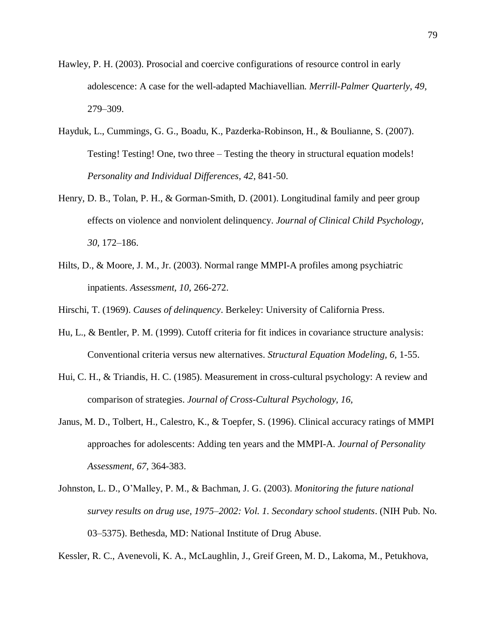- Hawley, P. H. (2003). Prosocial and coercive configurations of resource control in early adolescence: A case for the well-adapted Machiavellian. *Merrill-Palmer Quarterly, 49,* 279–309.
- Hayduk, L., Cummings, G. G., Boadu, K., Pazderka-Robinson, H., & Boulianne, S. (2007). Testing! Testing! One, two three – Testing the theory in structural equation models! *Personality and Individual Differences, 42*, 841-50.
- Henry, D. B., Tolan, P. H., & Gorman-Smith, D. (2001). Longitudinal family and peer group effects on violence and nonviolent delinquency. *Journal of Clinical Child Psychology, 30,* 172–186.
- Hilts, D., & Moore, J. M., Jr. (2003). Normal range MMPI-A profiles among psychiatric inpatients. *Assessment, 10,* 266-272.

Hirschi, T. (1969). *Causes of delinquency*. Berkeley: University of California Press.

- Hu, L., & Bentler, P. M. (1999). Cutoff criteria for fit indices in covariance structure analysis: Conventional criteria versus new alternatives. *Structural Equation Modeling, 6,* 1-55.
- Hui, C. H., & Triandis, H. C. (1985). Measurement in cross-cultural psychology: A review and comparison of strategies. *Journal of Cross-Cultural Psychology, 16,*
- Janus, M. D., Tolbert, H., Calestro, K., & Toepfer, S. (1996). Clinical accuracy ratings of MMPI approaches for adolescents: Adding ten years and the MMPI-A. *Journal of Personality Assessment, 67,* 364-383.
- Johnston, L. D., O'Malley, P. M., & Bachman, J. G. (2003). *Monitoring the future national survey results on drug use, 1975–2002: Vol. 1. Secondary school students*. (NIH Pub. No. 03–5375). Bethesda, MD: National Institute of Drug Abuse.

Kessler, R. C., Avenevoli, K. A., McLaughlin, J., Greif Green, M. D., Lakoma, M., Petukhova,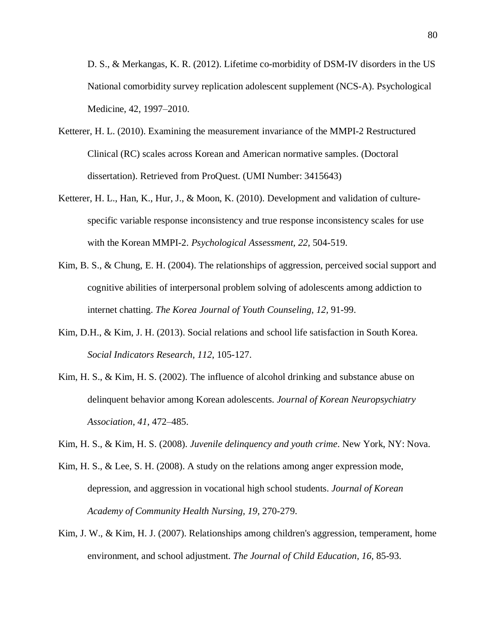D. S., & Merkangas, K. R. (2012). Lifetime co-morbidity of DSM-IV disorders in the US National comorbidity survey replication adolescent supplement (NCS-A). Psychological Medicine, 42, 1997–2010.

- Ketterer, H. L. (2010). Examining the measurement invariance of the MMPI-2 Restructured Clinical (RC) scales across Korean and American normative samples. (Doctoral dissertation). Retrieved from ProQuest. (UMI Number: 3415643)
- Ketterer, H. L., Han, K., Hur, J., & Moon, K. (2010). Development and validation of culturespecific variable response inconsistency and true response inconsistency scales for use with the Korean MMPI-2. *Psychological Assessment, 22,* 504-519.
- Kim, B. S., & Chung, E. H. (2004). The relationships of aggression, perceived social support and cognitive abilities of interpersonal problem solving of adolescents among addiction to internet chatting. *The Korea Journal of Youth Counseling, 12,* 91-99.
- Kim, D.H., & Kim, J. H. (2013). Social relations and school life satisfaction in South Korea. *Social Indicators Research*, *112*, 105-127.
- Kim, H. S., & Kim, H. S. (2002). The influence of alcohol drinking and substance abuse on delinquent behavior among Korean adolescents. *Journal of Korean Neuropsychiatry Association*, *41*, 472–485.
- Kim, H. S., & Kim, H. S. (2008). *Juvenile delinquency and youth crime*. New York, NY: Nova.
- Kim, H. S., & Lee, S. H. (2008). A study on the relations among anger expression mode, depression, and aggression in vocational high school students. *Journal of Korean Academy of Community Health Nursing, 19,* 270-279.
- Kim, J. W., & Kim, H. J. (2007). Relationships among children's aggression, temperament, home environment, and school adjustment. *The Journal of Child Education, 16,* 85-93.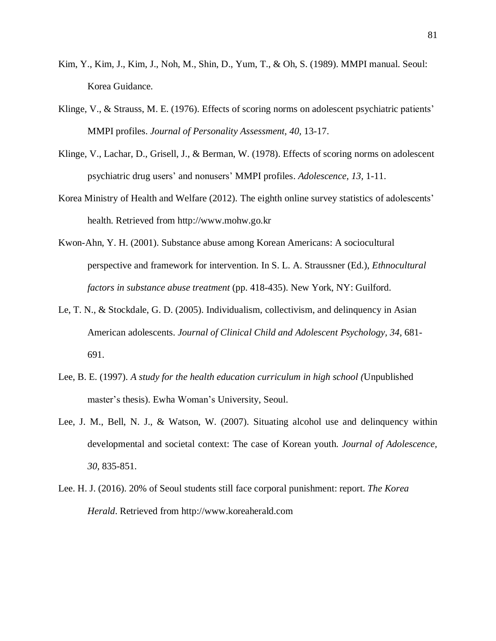- Kim, Y., Kim, J., Kim, J., Noh, M., Shin, D., Yum, T., & Oh, S. (1989). MMPI manual. Seoul: Korea Guidance.
- Klinge, V., & Strauss, M. E. (1976). Effects of scoring norms on adolescent psychiatric patients' MMPI profiles. *Journal of Personality Assessment, 40,* 13-17.
- Klinge, V., Lachar, D., Grisell, J., & Berman, W. (1978). Effects of scoring norms on adolescent psychiatric drug users' and nonusers' MMPI profiles. *Adolescence, 13,* 1-11.
- Korea Ministry of Health and Welfare (2012). The eighth online survey statistics of adolescents' health. Retrieved from http://www.mohw.go.kr
- Kwon-Ahn, Y. H. (2001). Substance abuse among Korean Americans: A sociocultural perspective and framework for intervention. In S. L. A. Straussner (Ed.), *Ethnocultural factors in substance abuse treatment* (pp. 418-435). New York, NY: Guilford.
- Le, T. N., & Stockdale, G. D. (2005). Individualism, collectivism, and delinquency in Asian American adolescents. *Journal of Clinical Child and Adolescent Psychology, 34,* 681- 691.
- Lee, B. E. (1997). *A study for the health education curriculum in high school (*Unpublished master's thesis). Ewha Woman's University, Seoul.
- Lee, J. M., Bell, N. J., & Watson, W. (2007). Situating alcohol use and delinquency within developmental and societal context: The case of Korean youth. *Journal of Adolescence, 30,* 835-851.
- Lee. H. J. (2016). 20% of Seoul students still face corporal punishment: report. *The Korea Herald*. Retrieved from http://www.koreaherald.com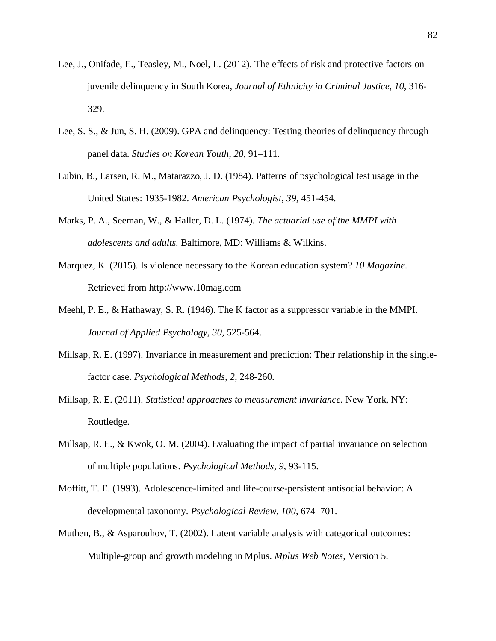- Lee, J., Onifade, E., Teasley, M., Noel, L. (2012). The effects of risk and protective factors on juvenile delinquency in South Korea, *Journal of Ethnicity in Criminal Justice, 10,* 316- 329.
- Lee, S. S., & Jun, S. H. (2009). GPA and delinquency: Testing theories of delinquency through panel data. *Studies on Korean Youth*, *20*, 91–111.
- Lubin, B., Larsen, R. M., Matarazzo, J. D. (1984). Patterns of psychological test usage in the United States: 1935-1982. *American Psychologist, 39,* 451-454.
- Marks, P. A., Seeman, W., & Haller, D. L. (1974). *The actuarial use of the MMPI with adolescents and adults.* Baltimore, MD: Williams & Wilkins.
- Marquez, K. (2015). Is violence necessary to the Korean education system? *10 Magazine.* Retrieved from http://www.10mag.com
- Meehl, P. E., & Hathaway, S. R. (1946). The K factor as a suppressor variable in the MMPI. *Journal of Applied Psychology, 30,* 525-564.
- Millsap, R. E. (1997). Invariance in measurement and prediction: Their relationship in the singlefactor case. *Psychological Methods, 2*, 248-260.
- Millsap, R. E. (2011). *Statistical approaches to measurement invariance.* New York, NY: Routledge.
- Millsap, R. E., & Kwok, O. M. (2004). Evaluating the impact of partial invariance on selection of multiple populations. *Psychological Methods, 9,* 93-115.
- Moffitt, T. E. (1993). Adolescence-limited and life-course-persistent antisocial behavior: A developmental taxonomy. *Psychological Review*, *100*, 674–701.
- Muthen, B., & Asparouhov, T. (2002). Latent variable analysis with categorical outcomes: Multiple-group and growth modeling in Mplus. *Mplus Web Notes,* Version 5.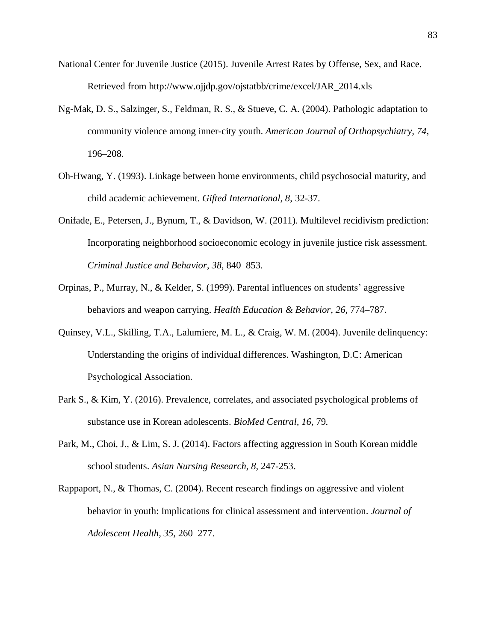- National Center for Juvenile Justice (2015). Juvenile Arrest Rates by Offense, Sex, and Race. Retrieved from [http://www.ojjdp.gov/ojstatbb/crime/excel/JAR\\_2014.xls](http://www.ojjdp.gov/ojstatbb/crime/excel/JAR_2014.xls)
- Ng-Mak, D. S., Salzinger, S., Feldman, R. S., & Stueve, C. A. (2004). Pathologic adaptation to community violence among inner-city youth. *American Journal of Orthopsychiatry, 74,* 196–208.
- Oh-Hwang, Y. (1993). Linkage between home environments, child psychosocial maturity, and child academic achievement. *Gifted International, 8*, 32-37.
- Onifade, E., Petersen, J., Bynum, T., & Davidson, W. (2011). Multilevel recidivism prediction: Incorporating neighborhood socioeconomic ecology in juvenile justice risk assessment. *Criminal Justice and Behavior*, *38*, 840–853.
- Orpinas, P., Murray, N., & Kelder, S. (1999). Parental influences on students' aggressive behaviors and weapon carrying. *Health Education & Behavior, 26,* 774–787.
- Quinsey, V.L., Skilling, T.A., Lalumiere, M. L., & Craig, W. M. (2004). Juvenile delinquency: Understanding the origins of individual differences. Washington, D.C: American Psychological Association.
- Park S., & Kim, Y. (2016). Prevalence, correlates, and associated psychological problems of substance use in Korean adolescents. *BioMed Central, 16,* 79*.*
- Park, M., Choi, J., & Lim, S. J. (2014). Factors affecting aggression in South Korean middle school students. *Asian Nursing Research, 8,* 247-253.
- Rappaport, N., & Thomas, C. (2004). Recent research findings on aggressive and violent behavior in youth: Implications for clinical assessment and intervention. *Journal of Adolescent Health, 35,* 260–277.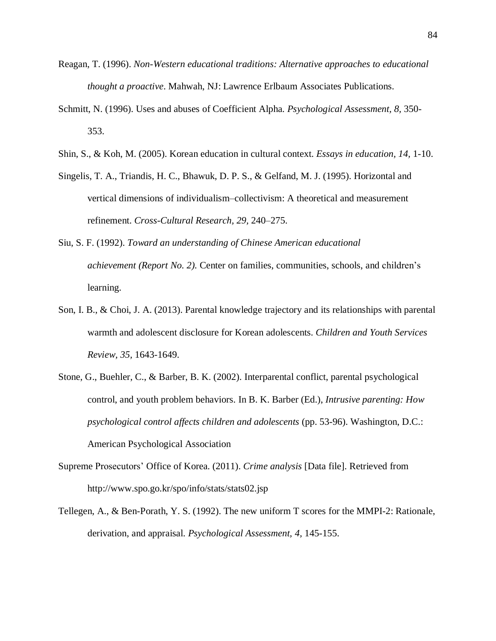- Reagan, T. (1996). *Non-Western educational traditions: Alternative approaches to educational thought a proactive*. Mahwah, NJ: Lawrence Erlbaum Associates Publications.
- Schmitt, N. (1996). Uses and abuses of Coefficient Alpha. *Psychological Assessment, 8,* 350- 353.
- Shin, S., & Koh, M. (2005). Korean education in cultural context. *Essays in education, 14,* 1-10.
- Singelis, T. A., Triandis, H. C., Bhawuk, D. P. S., & Gelfand, M. J. (1995). Horizontal and vertical dimensions of individualism–collectivism: A theoretical and measurement refinement. *Cross-Cultural Research, 29,* 240–275.
- Siu, S. F. (1992). *Toward an understanding of Chinese American educational achievement (Report No. 2).* Center on families, communities, schools, and children's learning.
- Son, I. B., & Choi, J. A. (2013). Parental knowledge trajectory and its relationships with parental warmth and adolescent disclosure for Korean adolescents. *Children and Youth Services Review, 35,* 1643-1649.
- Stone, G., Buehler, C., & Barber, B. K. (2002). Interparental conflict, parental psychological control, and youth problem behaviors. In B. K. Barber (Ed.), *Intrusive parenting: How psychological control affects children and adolescents* (pp. 53-96). Washington, D.C.: American Psychological Association
- Supreme Prosecutors' Office of Korea. (2011). *Crime analysis* [Data file]. Retrieved from http://www.spo.go.kr/spo/info/stats/stats02.jsp
- Tellegen, A., & Ben-Porath, Y. S. (1992). The new uniform T scores for the MMPI-2: Rationale, derivation, and appraisal. *Psychological Assessment, 4,* 145-155.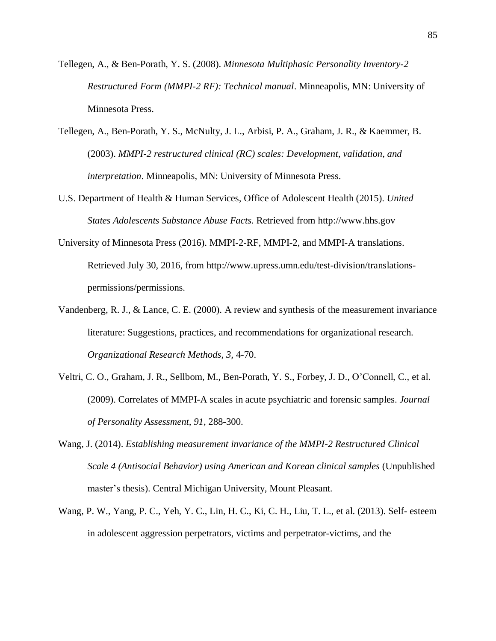- Tellegen, A., & Ben-Porath, Y. S. (2008). *Minnesota Multiphasic Personality Inventory-2 Restructured Form (MMPI-2 RF): Technical manual*. Minneapolis, MN: University of Minnesota Press.
- Tellegen, A., Ben-Porath, Y. S., McNulty, J. L., Arbisi, P. A., Graham, J. R., & Kaemmer, B. (2003). *MMPI-2 restructured clinical (RC) scales: Development, validation, and interpretation*. Minneapolis, MN: University of Minnesota Press.
- U.S. Department of Health & Human Services, Office of Adolescent Health (2015). *United States Adolescents Substance Abuse Facts.* Retrieved from http://www.hhs.gov
- University of Minnesota Press (2016). MMPI-2-RF, MMPI-2, and MMPI-A translations. Retrieved July 30, 2016, from http://www.upress.umn.edu/test-division/translationspermissions/permissions.
- Vandenberg, R. J., & Lance, C. E. (2000). A review and synthesis of the measurement invariance literature: Suggestions, practices, and recommendations for organizational research. *Organizational Research Methods, 3,* 4-70.
- Veltri, C. O., Graham, J. R., Sellbom, M., Ben-Porath, Y. S., Forbey, J. D., O'Connell, C., et al. (2009). Correlates of MMPI-A scales in acute psychiatric and forensic samples. *Journal of Personality Assessment, 91,* 288-300.
- Wang, J. (2014). *Establishing measurement invariance of the MMPI-2 Restructured Clinical Scale 4 (Antisocial Behavior) using American and Korean clinical samples* (Unpublished master's thesis). Central Michigan University, Mount Pleasant.
- Wang, P. W., Yang, P. C., Yeh, Y. C., Lin, H. C., Ki, C. H., Liu, T. L., et al. (2013). Self- esteem in adolescent aggression perpetrators, victims and perpetrator-victims, and the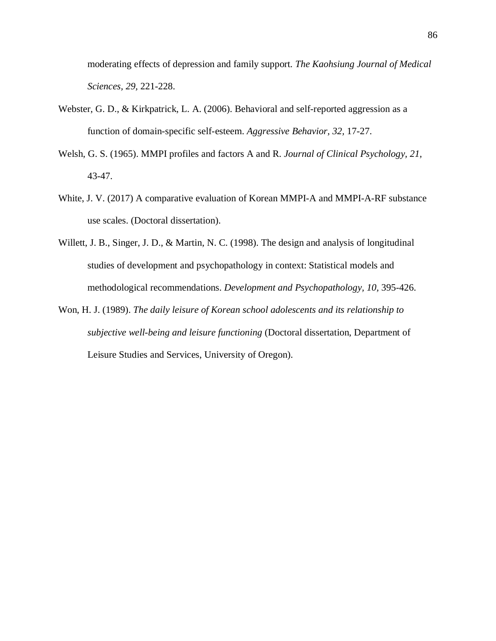moderating effects of depression and family support. *The Kaohsiung Journal of Medical Sciences, 29,* 221-228.

- Webster, G. D., & Kirkpatrick, L. A. (2006). Behavioral and self-reported aggression as a function of domain-specific self-esteem. *Aggressive Behavior, 32,* 17-27.
- Welsh, G. S. (1965). MMPI profiles and factors A and R. *Journal of Clinical Psychology, 21,* 43-47.
- White, J. V. (2017) A comparative evaluation of Korean MMPI-A and MMPI-A-RF substance use scales. (Doctoral dissertation).
- Willett, J. B., Singer, J. D., & Martin, N. C. (1998). The design and analysis of longitudinal studies of development and psychopathology in context: Statistical models and methodological recommendations. *Development and Psychopathology, 10,* 395-426.
- Won, H. J. (1989). *The daily leisure of Korean school adolescents and its relationship to subjective well-being and leisure functioning* (Doctoral dissertation, Department of Leisure Studies and Services, University of Oregon).